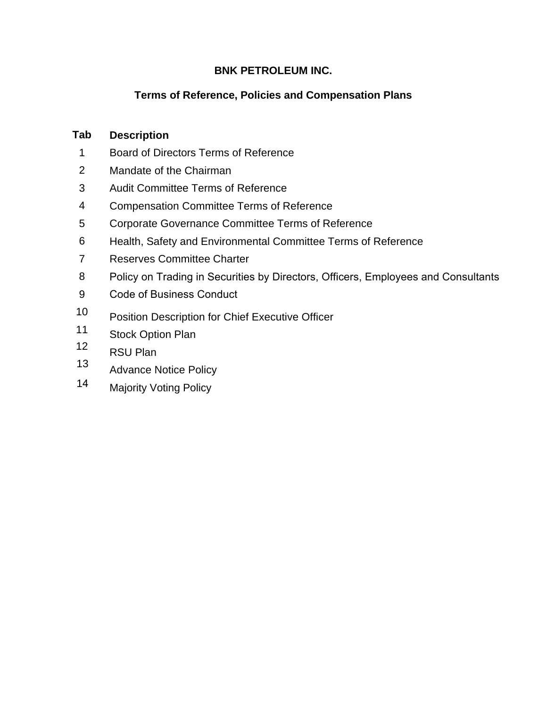# **BNK PETROLEUM INC.**

# **Terms of Reference, Policies and Compensation Plans**

#### **Tab Description**

- 1 Board of Directors Terms of Reference
- 2 Mandate of the Chairman
- 3 Audit Committee Terms of Reference
- 4 Compensation Committee Terms of Reference
- 5 Corporate Governance Committee Terms of Reference
- 6 Health, Safety and Environmental Committee Terms of Reference
- 7 Reserves Committee Charter
- 8 Policy on Trading in Securities by Directors, Officers, Employees and Consultants
- 9 Code of Business Conduct
- 10 Position Description for Chief Executive Officer
- 11 Stock Option Plan
- 12 RSU Plan
- 13 Advance Notice Policy
- 14 Majority Voting Policy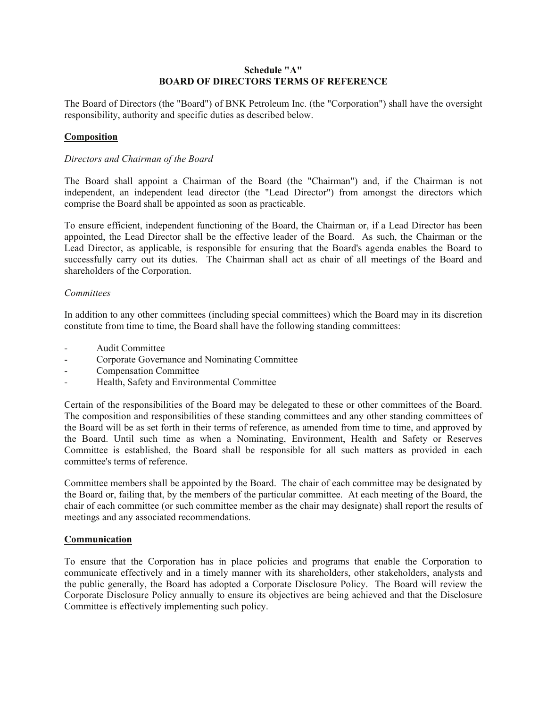### **Schedule "A" BOARD OF DIRECTORS TERMS OF REFERENCE**

The Board of Directors (the "Board") of BNK Petroleum Inc. (the "Corporation") shall have the oversight responsibility, authority and specific duties as described below.

# **Composition**

### *Directors and Chairman of the Board*

The Board shall appoint a Chairman of the Board (the "Chairman") and, if the Chairman is not independent, an independent lead director (the "Lead Director") from amongst the directors which comprise the Board shall be appointed as soon as practicable.

To ensure efficient, independent functioning of the Board, the Chairman or, if a Lead Director has been appointed, the Lead Director shall be the effective leader of the Board. As such, the Chairman or the Lead Director, as applicable, is responsible for ensuring that the Board's agenda enables the Board to successfully carry out its duties. The Chairman shall act as chair of all meetings of the Board and shareholders of the Corporation.

### *Committees*

In addition to any other committees (including special committees) which the Board may in its discretion constitute from time to time, the Board shall have the following standing committees:

- Audit Committee
- Corporate Governance and Nominating Committee
- Compensation Committee
- Health, Safety and Environmental Committee

Certain of the responsibilities of the Board may be delegated to these or other committees of the Board. The composition and responsibilities of these standing committees and any other standing committees of the Board will be as set forth in their terms of reference, as amended from time to time, and approved by the Board. Until such time as when a Nominating, Environment, Health and Safety or Reserves Committee is established, the Board shall be responsible for all such matters as provided in each committee's terms of reference.

Committee members shall be appointed by the Board. The chair of each committee may be designated by the Board or, failing that, by the members of the particular committee. At each meeting of the Board, the chair of each committee (or such committee member as the chair may designate) shall report the results of meetings and any associated recommendations.

### **Communication**

To ensure that the Corporation has in place policies and programs that enable the Corporation to communicate effectively and in a timely manner with its shareholders, other stakeholders, analysts and the public generally, the Board has adopted a Corporate Disclosure Policy. The Board will review the Corporate Disclosure Policy annually to ensure its objectives are being achieved and that the Disclosure Committee is effectively implementing such policy.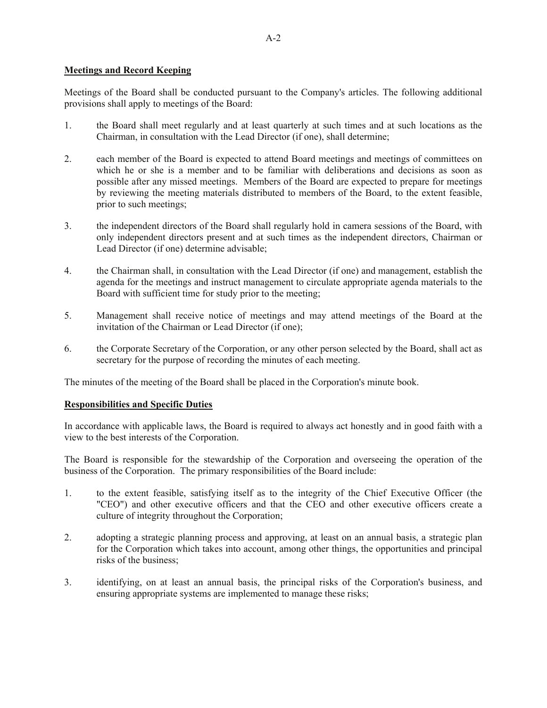# **Meetings and Record Keeping**

Meetings of the Board shall be conducted pursuant to the Company's articles. The following additional provisions shall apply to meetings of the Board:

- 1. the Board shall meet regularly and at least quarterly at such times and at such locations as the Chairman, in consultation with the Lead Director (if one), shall determine;
- 2. each member of the Board is expected to attend Board meetings and meetings of committees on which he or she is a member and to be familiar with deliberations and decisions as soon as possible after any missed meetings. Members of the Board are expected to prepare for meetings by reviewing the meeting materials distributed to members of the Board, to the extent feasible, prior to such meetings;
- 3. the independent directors of the Board shall regularly hold in camera sessions of the Board, with only independent directors present and at such times as the independent directors, Chairman or Lead Director (if one) determine advisable;
- 4. the Chairman shall, in consultation with the Lead Director (if one) and management, establish the agenda for the meetings and instruct management to circulate appropriate agenda materials to the Board with sufficient time for study prior to the meeting;
- 5. Management shall receive notice of meetings and may attend meetings of the Board at the invitation of the Chairman or Lead Director (if one);
- 6. the Corporate Secretary of the Corporation, or any other person selected by the Board, shall act as secretary for the purpose of recording the minutes of each meeting.

The minutes of the meeting of the Board shall be placed in the Corporation's minute book.

### **Responsibilities and Specific Duties**

In accordance with applicable laws, the Board is required to always act honestly and in good faith with a view to the best interests of the Corporation.

The Board is responsible for the stewardship of the Corporation and overseeing the operation of the business of the Corporation. The primary responsibilities of the Board include:

- 1. to the extent feasible, satisfying itself as to the integrity of the Chief Executive Officer (the "CEO") and other executive officers and that the CEO and other executive officers create a culture of integrity throughout the Corporation;
- 2. adopting a strategic planning process and approving, at least on an annual basis, a strategic plan for the Corporation which takes into account, among other things, the opportunities and principal risks of the business;
- 3. identifying, on at least an annual basis, the principal risks of the Corporation's business, and ensuring appropriate systems are implemented to manage these risks;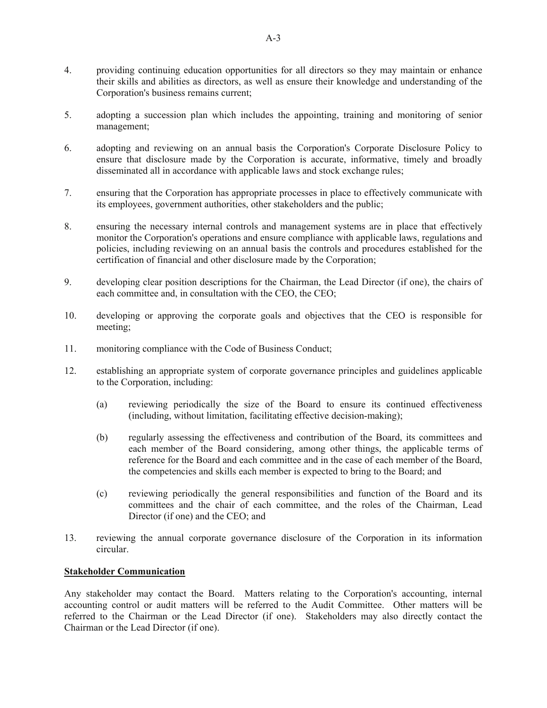- 4. providing continuing education opportunities for all directors so they may maintain or enhance their skills and abilities as directors, as well as ensure their knowledge and understanding of the Corporation's business remains current;
- 5. adopting a succession plan which includes the appointing, training and monitoring of senior management;
- 6. adopting and reviewing on an annual basis the Corporation's Corporate Disclosure Policy to ensure that disclosure made by the Corporation is accurate, informative, timely and broadly disseminated all in accordance with applicable laws and stock exchange rules;
- 7. ensuring that the Corporation has appropriate processes in place to effectively communicate with its employees, government authorities, other stakeholders and the public;
- 8. ensuring the necessary internal controls and management systems are in place that effectively monitor the Corporation's operations and ensure compliance with applicable laws, regulations and policies, including reviewing on an annual basis the controls and procedures established for the certification of financial and other disclosure made by the Corporation;
- 9. developing clear position descriptions for the Chairman, the Lead Director (if one), the chairs of each committee and, in consultation with the CEO, the CEO;
- 10. developing or approving the corporate goals and objectives that the CEO is responsible for meeting;
- 11. monitoring compliance with the Code of Business Conduct;
- 12. establishing an appropriate system of corporate governance principles and guidelines applicable to the Corporation, including:
	- (a) reviewing periodically the size of the Board to ensure its continued effectiveness (including, without limitation, facilitating effective decision-making);
	- (b) regularly assessing the effectiveness and contribution of the Board, its committees and each member of the Board considering, among other things, the applicable terms of reference for the Board and each committee and in the case of each member of the Board, the competencies and skills each member is expected to bring to the Board; and
	- (c) reviewing periodically the general responsibilities and function of the Board and its committees and the chair of each committee, and the roles of the Chairman, Lead Director (if one) and the CEO; and
- 13. reviewing the annual corporate governance disclosure of the Corporation in its information circular.

### **Stakeholder Communication**

Any stakeholder may contact the Board. Matters relating to the Corporation's accounting, internal accounting control or audit matters will be referred to the Audit Committee. Other matters will be referred to the Chairman or the Lead Director (if one). Stakeholders may also directly contact the Chairman or the Lead Director (if one).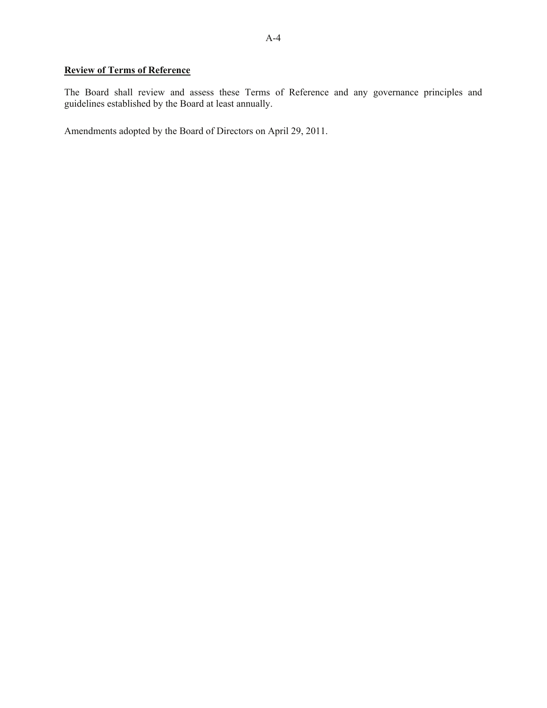# **Review of Terms of Reference**

The Board shall review and assess these Terms of Reference and any governance principles and guidelines established by the Board at least annually.

Amendments adopted by the Board of Directors on April 29, 2011.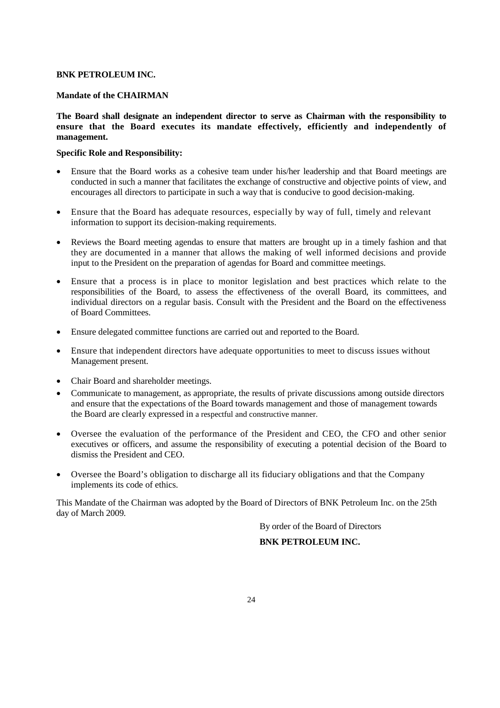### **BNK PETROLEUM INC.**

### **Mandate of the CHAIRMAN**

**The Board shall designate an independent director to serve as Chairman with the responsibility to ensure that the Board executes its mandate effectively, efficiently and independently of management.**

### **Specific Role and Responsibility:**

- Ensure that the Board works as a cohesive team under his/her leadership and that Board meetings are conducted in such a manner that facilitates the exchange of constructive and objective points of view, and encourages all directors to participate in such a way that is conducive to good decision-making.
- Ensure that the Board has adequate resources, especially by way of full, timely and relevant information to support its decision-making requirements.
- Reviews the Board meeting agendas to ensure that matters are brought up in a timely fashion and that they are documented in a manner that allows the making of well informed decisions and provide input to the President on the preparation of agendas for Board and committee meetings.
- Ensure that a process is in place to monitor legislation and best practices which relate to the responsibilities of the Board, to assess the effectiveness of the overall Board, its committees, and individual directors on a regular basis. Consult with the President and the Board on the effectiveness of Board Committees.
- Ensure delegated committee functions are carried out and reported to the Board.
- Ensure that independent directors have adequate opportunities to meet to discuss issues without Management present.
- Chair Board and shareholder meetings.
- Communicate to management, as appropriate, the results of private discussions among outside directors and ensure that the expectations of the Board towards management and those of management towards the Board are clearly expressed in a respectful and constructive manner.
- Oversee the evaluation of the performance of the President and CEO, the CFO and other senior executives or officers, and assume the responsibility of executing a potential decision of the Board to dismiss the President and CEO.
- Oversee the Board's obligation to discharge all its fiduciary obligations and that the Company implements its code of ethics.

This Mandate of the Chairman was adopted by the Board of Directors of BNK Petroleum Inc. on the 25th day of March 2009.

By order of the Board of Directors

# **BNK PETROLEUM INC.**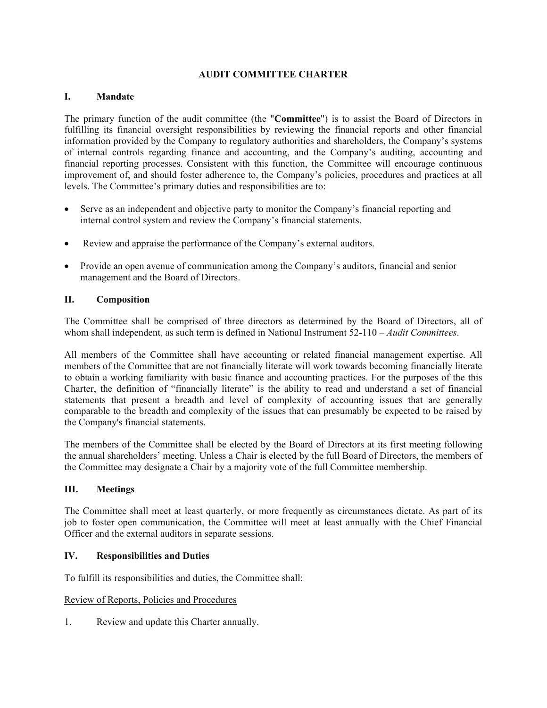# **AUDIT COMMITTEE CHARTER**

# **I. Mandate**

The primary function of the audit committee (the "**Committee**") is to assist the Board of Directors in fulfilling its financial oversight responsibilities by reviewing the financial reports and other financial information provided by the Company to regulatory authorities and shareholders, the Company's systems of internal controls regarding finance and accounting, and the Company's auditing, accounting and financial reporting processes. Consistent with this function, the Committee will encourage continuous improvement of, and should foster adherence to, the Company's policies, procedures and practices at all levels. The Committee's primary duties and responsibilities are to:

- Serve as an independent and objective party to monitor the Company's financial reporting and internal control system and review the Company's financial statements.
- Review and appraise the performance of the Company's external auditors.
- Provide an open avenue of communication among the Company's auditors, financial and senior management and the Board of Directors.

### **II. Composition**

The Committee shall be comprised of three directors as determined by the Board of Directors, all of whom shall independent, as such term is defined in National Instrument 52-110 *– Audit Committees*.

All members of the Committee shall have accounting or related financial management expertise. All members of the Committee that are not financially literate will work towards becoming financially literate to obtain a working familiarity with basic finance and accounting practices. For the purposes of the this Charter, the definition of "financially literate" is the ability to read and understand a set of financial statements that present a breadth and level of complexity of accounting issues that are generally comparable to the breadth and complexity of the issues that can presumably be expected to be raised by the Company's financial statements.

The members of the Committee shall be elected by the Board of Directors at its first meeting following the annual shareholders' meeting. Unless a Chair is elected by the full Board of Directors, the members of the Committee may designate a Chair by a majority vote of the full Committee membership.

# **III. Meetings**

The Committee shall meet at least quarterly, or more frequently as circumstances dictate. As part of its job to foster open communication, the Committee will meet at least annually with the Chief Financial Officer and the external auditors in separate sessions.

# **IV. Responsibilities and Duties**

To fulfill its responsibilities and duties, the Committee shall:

### Review of Reports, Policies and Procedures

1. Review and update this Charter annually.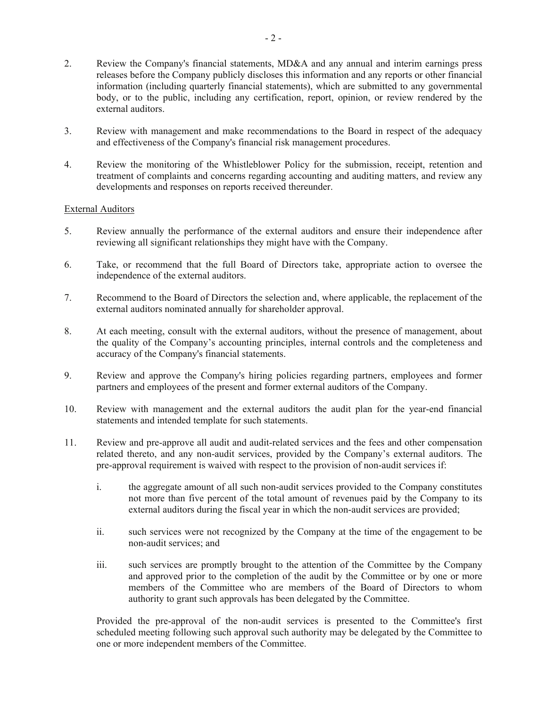- 2. Review the Company's financial statements, MD&A and any annual and interim earnings press releases before the Company publicly discloses this information and any reports or other financial information (including quarterly financial statements), which are submitted to any governmental body, or to the public, including any certification, report, opinion, or review rendered by the external auditors.
- 3. Review with management and make recommendations to the Board in respect of the adequacy and effectiveness of the Company's financial risk management procedures.
- 4. Review the monitoring of the Whistleblower Policy for the submission, receipt, retention and treatment of complaints and concerns regarding accounting and auditing matters, and review any developments and responses on reports received thereunder.

# External Auditors

- 5. Review annually the performance of the external auditors and ensure their independence after reviewing all significant relationships they might have with the Company.
- 6. Take, or recommend that the full Board of Directors take, appropriate action to oversee the independence of the external auditors.
- 7. Recommend to the Board of Directors the selection and, where applicable, the replacement of the external auditors nominated annually for shareholder approval.
- 8. At each meeting, consult with the external auditors, without the presence of management, about the quality of the Company's accounting principles, internal controls and the completeness and accuracy of the Company's financial statements.
- 9. Review and approve the Company's hiring policies regarding partners, employees and former partners and employees of the present and former external auditors of the Company.
- 10. Review with management and the external auditors the audit plan for the year-end financial statements and intended template for such statements.
- 11. Review and pre-approve all audit and audit-related services and the fees and other compensation related thereto, and any non-audit services, provided by the Company's external auditors. The pre-approval requirement is waived with respect to the provision of non-audit services if:
	- i. the aggregate amount of all such non-audit services provided to the Company constitutes not more than five percent of the total amount of revenues paid by the Company to its external auditors during the fiscal year in which the non-audit services are provided;
	- ii. such services were not recognized by the Company at the time of the engagement to be non-audit services; and
	- iii. such services are promptly brought to the attention of the Committee by the Company and approved prior to the completion of the audit by the Committee or by one or more members of the Committee who are members of the Board of Directors to whom authority to grant such approvals has been delegated by the Committee.

Provided the pre-approval of the non-audit services is presented to the Committee's first scheduled meeting following such approval such authority may be delegated by the Committee to one or more independent members of the Committee.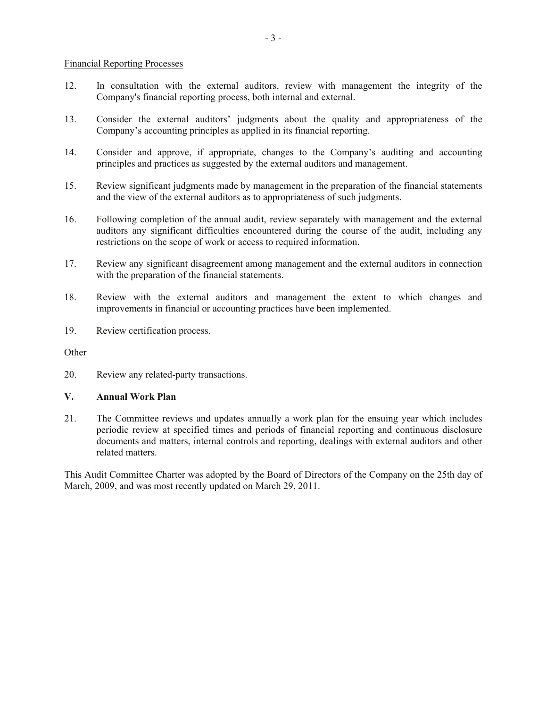### Financial Reporting Processes

- 12. In consultation with the external auditors, review with management the integrity of the Company's financial reporting process, both internal and external.
- 13. Consider the external auditors' judgments about the quality and appropriateness of the Company's accounting principles as applied in its financial reporting.
- 14. Consider and approve, if appropriate, changes to the Company's auditing and accounting principles and practices as suggested by the external auditors and management.
- 15. Review significant judgments made by management in the preparation of the financial statements and the view of the external auditors as to appropriateness of such judgments.
- 16. Following completion of the annual audit, review separately with management and the external auditors any significant difficulties encountered during the course of the audit, including any restrictions on the scope of work or access to required information.
- 17. Review any significant disagreement among management and the external auditors in connection with the preparation of the financial statements.
- 18. Review with the external auditors and management the extent to which changes and improvements in financial or accounting practices have been implemented.
- 19. Review certification process.

### Other

20. Review any related-party transactions.

# **V. Annual Work Plan**

21. The Committee reviews and updates annually a work plan for the ensuing year which includes periodic review at specified times and periods of financial reporting and continuous disclosure documents and matters, internal controls and reporting, dealings with external auditors and other related matters.

This Audit Committee Charter was adopted by the Board of Directors of the Company on the 25th day of March, 2009, and was most recently updated on March 29, 2011.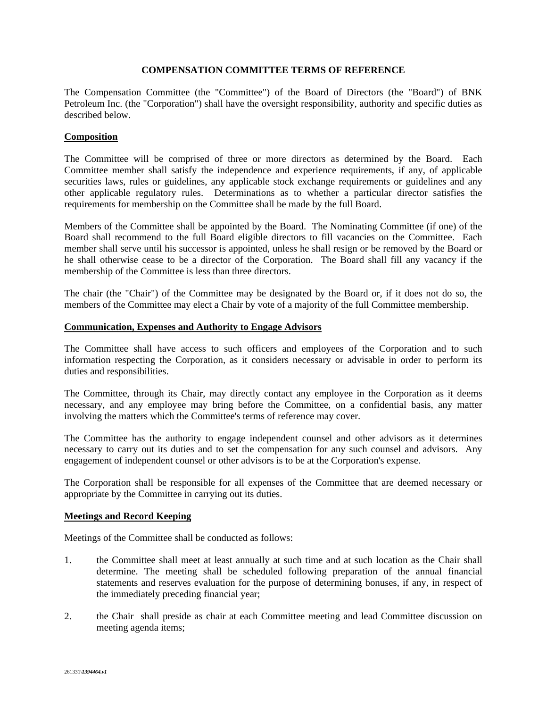# **COMPENSATION COMMITTEE TERMS OF REFERENCE**

The Compensation Committee (the "Committee") of the Board of Directors (the "Board") of BNK Petroleum Inc. (the "Corporation") shall have the oversight responsibility, authority and specific duties as described below.

# **Composition**

The Committee will be comprised of three or more directors as determined by the Board. Each Committee member shall satisfy the independence and experience requirements, if any, of applicable securities laws, rules or guidelines, any applicable stock exchange requirements or guidelines and any other applicable regulatory rules. Determinations as to whether a particular director satisfies the requirements for membership on the Committee shall be made by the full Board.

Members of the Committee shall be appointed by the Board. The Nominating Committee (if one) of the Board shall recommend to the full Board eligible directors to fill vacancies on the Committee. Each member shall serve until his successor is appointed, unless he shall resign or be removed by the Board or he shall otherwise cease to be a director of the Corporation. The Board shall fill any vacancy if the membership of the Committee is less than three directors.

The chair (the "Chair") of the Committee may be designated by the Board or, if it does not do so, the members of the Committee may elect a Chair by vote of a majority of the full Committee membership.

### **Communication, Expenses and Authority to Engage Advisors**

The Committee shall have access to such officers and employees of the Corporation and to such information respecting the Corporation, as it considers necessary or advisable in order to perform its duties and responsibilities.

The Committee, through its Chair, may directly contact any employee in the Corporation as it deems necessary, and any employee may bring before the Committee, on a confidential basis, any matter involving the matters which the Committee's terms of reference may cover.

The Committee has the authority to engage independent counsel and other advisors as it determines necessary to carry out its duties and to set the compensation for any such counsel and advisors. Any engagement of independent counsel or other advisors is to be at the Corporation's expense.

The Corporation shall be responsible for all expenses of the Committee that are deemed necessary or appropriate by the Committee in carrying out its duties.

# **Meetings and Record Keeping**

Meetings of the Committee shall be conducted as follows:

- 1. the Committee shall meet at least annually at such time and at such location as the Chair shall determine. The meeting shall be scheduled following preparation of the annual financial statements and reserves evaluation for the purpose of determining bonuses, if any, in respect of the immediately preceding financial year;
- 2. the Chair shall preside as chair at each Committee meeting and lead Committee discussion on meeting agenda items;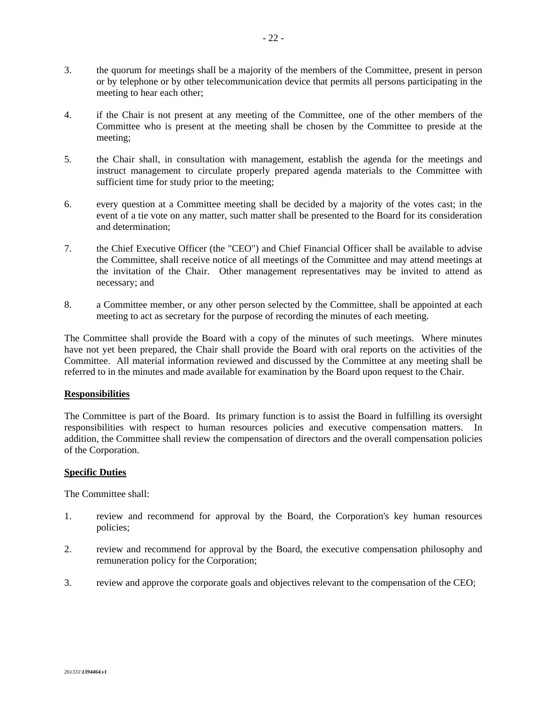- 3. the quorum for meetings shall be a majority of the members of the Committee, present in person or by telephone or by other telecommunication device that permits all persons participating in the meeting to hear each other;
- 4. if the Chair is not present at any meeting of the Committee, one of the other members of the Committee who is present at the meeting shall be chosen by the Committee to preside at the meeting;
- 5. the Chair shall, in consultation with management, establish the agenda for the meetings and instruct management to circulate properly prepared agenda materials to the Committee with sufficient time for study prior to the meeting;
- 6. every question at a Committee meeting shall be decided by a majority of the votes cast; in the event of a tie vote on any matter, such matter shall be presented to the Board for its consideration and determination;
- 7. the Chief Executive Officer (the "CEO") and Chief Financial Officer shall be available to advise the Committee, shall receive notice of all meetings of the Committee and may attend meetings at the invitation of the Chair. Other management representatives may be invited to attend as necessary; and
- 8. a Committee member, or any other person selected by the Committee, shall be appointed at each meeting to act as secretary for the purpose of recording the minutes of each meeting.

The Committee shall provide the Board with a copy of the minutes of such meetings. Where minutes have not yet been prepared, the Chair shall provide the Board with oral reports on the activities of the Committee. All material information reviewed and discussed by the Committee at any meeting shall be referred to in the minutes and made available for examination by the Board upon request to the Chair.

### **Responsibilities**

The Committee is part of the Board. Its primary function is to assist the Board in fulfilling its oversight responsibilities with respect to human resources policies and executive compensation matters. In addition, the Committee shall review the compensation of directors and the overall compensation policies of the Corporation.

### **Specific Duties**

The Committee shall:

- 1. review and recommend for approval by the Board, the Corporation's key human resources policies;
- 2. review and recommend for approval by the Board, the executive compensation philosophy and remuneration policy for the Corporation;
- 3. review and approve the corporate goals and objectives relevant to the compensation of the CEO;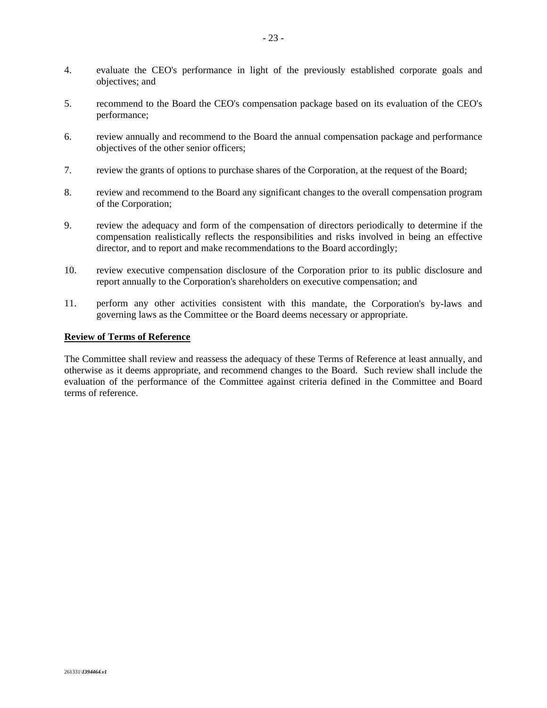- 4. evaluate the CEO's performance in light of the previously established corporate goals and objectives; and
- 5. recommend to the Board the CEO's compensation package based on its evaluation of the CEO's performance;
- 6. review annually and recommend to the Board the annual compensation package and performance objectives of the other senior officers;
- 7. review the grants of options to purchase shares of the Corporation, at the request of the Board;
- 8. review and recommend to the Board any significant changes to the overall compensation program of the Corporation;
- 9. review the adequacy and form of the compensation of directors periodically to determine if the compensation realistically reflects the responsibilities and risks involved in being an effective director, and to report and make recommendations to the Board accordingly;
- 10. review executive compensation disclosure of the Corporation prior to its public disclosure and report annually to the Corporation's shareholders on executive compensation; and
- 11. perform any other activities consistent with this mandate, the Corporation's by-laws and governing laws as the Committee or the Board deems necessary or appropriate.

# **Review of Terms of Reference**

The Committee shall review and reassess the adequacy of these Terms of Reference at least annually, and otherwise as it deems appropriate, and recommend changes to the Board. Such review shall include the evaluation of the performance of the Committee against criteria defined in the Committee and Board terms of reference.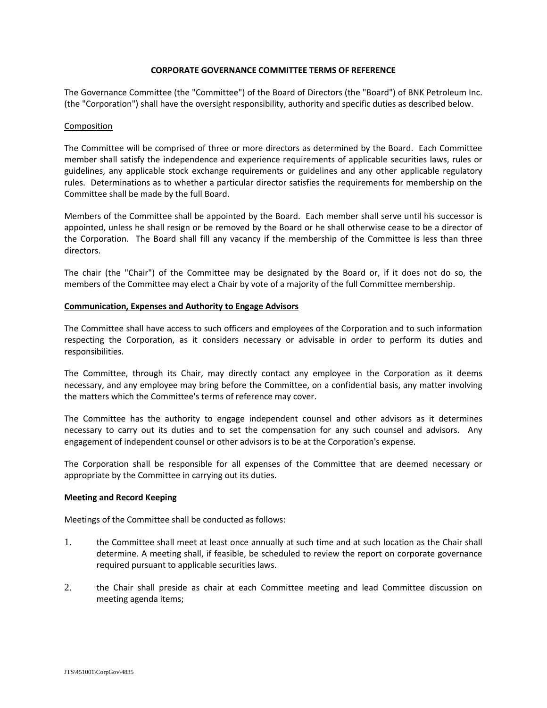#### **CORPORATE GOVERNANCE COMMITTEE TERMS OF REFERENCE**

The Governance Committee (the "Committee") of the Board of Directors (the "Board") of BNK Petroleum Inc. (the "Corporation") shall have the oversight responsibility, authority and specific duties as described below.

#### Composition

The Committee will be comprised of three or more directors as determined by the Board. Each Committee member shall satisfy the independence and experience requirements of applicable securities laws, rules or guidelines, any applicable stock exchange requirements or guidelines and any other applicable regulatory rules. Determinations as to whether a particular director satisfies the requirements for membership on the Committee shall be made by the full Board.

Members of the Committee shall be appointed by the Board. Each member shall serve until his successor is appointed, unless he shall resign or be removed by the Board or he shall otherwise cease to be a director of the Corporation. The Board shall fill any vacancy if the membership of the Committee is less than three directors.

The chair (the "Chair") of the Committee may be designated by the Board or, if it does not do so, the members of the Committee may elect a Chair by vote of a majority of the full Committee membership.

#### **Communication, Expenses and Authority to Engage Advisors**

The Committee shall have access to such officers and employees of the Corporation and to such information respecting the Corporation, as it considers necessary or advisable in order to perform its duties and responsibilities.

The Committee, through its Chair, may directly contact any employee in the Corporation as it deems necessary, and any employee may bring before the Committee, on a confidential basis, any matter involving the matters which the Committee's terms of reference may cover.

The Committee has the authority to engage independent counsel and other advisors as it determines necessary to carry out its duties and to set the compensation for any such counsel and advisors. Any engagement of independent counsel or other advisors is to be at the Corporation's expense.

The Corporation shall be responsible for all expenses of the Committee that are deemed necessary or appropriate by the Committee in carrying out its duties.

#### **Meeting and Record Keeping**

Meetings of the Committee shall be conducted as follows:

- 1. the Committee shall meet at least once annually at such time and at such location as the Chair shall determine. A meeting shall, if feasible, be scheduled to review the report on corporate governance required pursuant to applicable securities laws.
- 2. the Chair shall preside as chair at each Committee meeting and lead Committee discussion on meeting agenda items;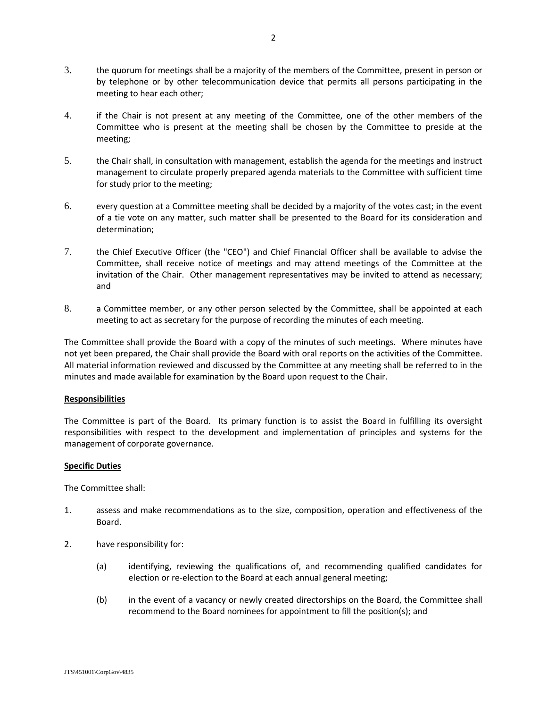- 3. the quorum for meetings shall be a majority of the members of the Committee, present in person or by telephone or by other telecommunication device that permits all persons participating in the meeting to hear each other;
- 4. if the Chair is not present at any meeting of the Committee, one of the other members of the Committee who is present at the meeting shall be chosen by the Committee to preside at the meeting;
- 5. the Chair shall, in consultation with management, establish the agenda for the meetings and instruct management to circulate properly prepared agenda materials to the Committee with sufficient time for study prior to the meeting;
- 6. every question at a Committee meeting shall be decided by a majority of the votes cast; in the event of a tie vote on any matter, such matter shall be presented to the Board for its consideration and determination;
- 7. the Chief Executive Officer (the "CEO") and Chief Financial Officer shall be available to advise the Committee, shall receive notice of meetings and may attend meetings of the Committee at the invitation of the Chair. Other management representatives may be invited to attend as necessary; and
- 8. a Committee member, or any other person selected by the Committee, shall be appointed at each meeting to act as secretary for the purpose of recording the minutes of each meeting.

The Committee shall provide the Board with a copy of the minutes of such meetings. Where minutes have not yet been prepared, the Chair shall provide the Board with oral reports on the activities of the Committee. All material information reviewed and discussed by the Committee at any meeting shall be referred to in the minutes and made available for examination by the Board upon request to the Chair.

### **Responsibilities**

The Committee is part of the Board. Its primary function is to assist the Board in fulfilling its oversight responsibilities with respect to the development and implementation of principles and systems for the management of corporate governance.

### **Specific Duties**

The Committee shall:

- 1. assess and make recommendations as to the size, composition, operation and effectiveness of the Board.
- 2. have responsibility for:
	- (a) identifying, reviewing the qualifications of, and recommending qualified candidates for election or re-election to the Board at each annual general meeting;
	- (b) in the event of a vacancy or newly created directorships on the Board, the Committee shall recommend to the Board nominees for appointment to fill the position(s); and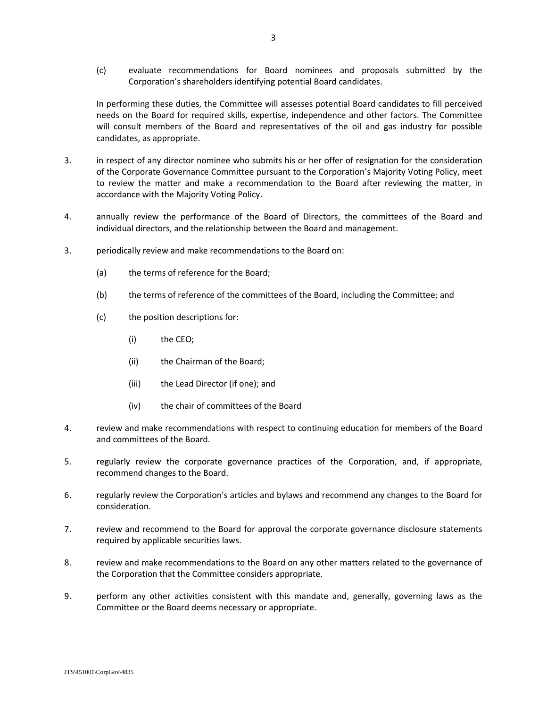(c) evaluate recommendations for Board nominees and proposals submitted by the Corporation's shareholders identifying potential Board candidates.

In performing these duties, the Committee will assesses potential Board candidates to fill perceived needs on the Board for required skills, expertise, independence and other factors. The Committee will consult members of the Board and representatives of the oil and gas industry for possible candidates, as appropriate.

- 3. in respect of any director nominee who submits his or her offer of resignation for the consideration of the Corporate Governance Committee pursuant to the Corporation's Majority Voting Policy, meet to review the matter and make a recommendation to the Board after reviewing the matter, in accordance with the Majority Voting Policy.
- 4. annually review the performance of the Board of Directors, the committees of the Board and individual directors, and the relationship between the Board and management.
- 3. periodically review and make recommendations to the Board on:
	- (a) the terms of reference for the Board;
	- (b) the terms of reference of the committees of the Board, including the Committee; and
	- (c) the position descriptions for:
		- (i) the CEO;
		- (ii) the Chairman of the Board;
		- (iii) the Lead Director (if one); and
		- (iv) the chair of committees of the Board
- 4. review and make recommendations with respect to continuing education for members of the Board and committees of the Board.
- 5. regularly review the corporate governance practices of the Corporation, and, if appropriate, recommend changes to the Board.
- 6. regularly review the Corporation's articles and bylaws and recommend any changes to the Board for consideration.
- 7. review and recommend to the Board for approval the corporate governance disclosure statements required by applicable securities laws.
- 8. review and make recommendations to the Board on any other matters related to the governance of the Corporation that the Committee considers appropriate.
- 9. perform any other activities consistent with this mandate and, generally, governing laws as the Committee or the Board deems necessary or appropriate.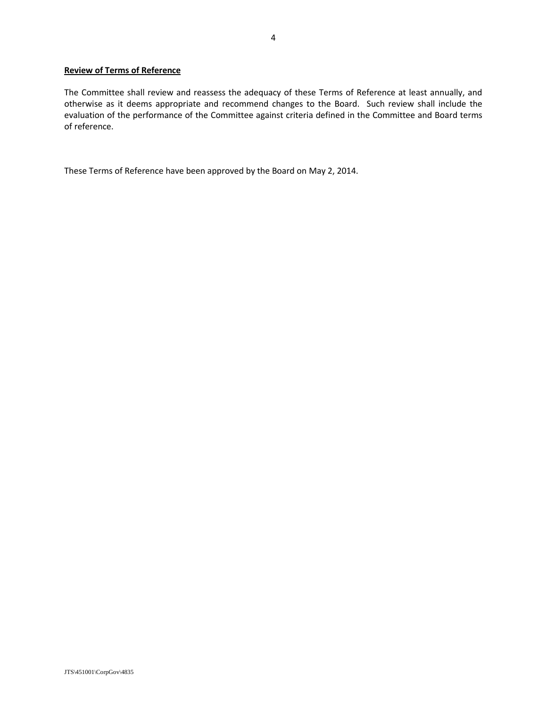### **Review of Terms of Reference**

The Committee shall review and reassess the adequacy of these Terms of Reference at least annually, and otherwise as it deems appropriate and recommend changes to the Board. Such review shall include the evaluation of the performance of the Committee against criteria defined in the Committee and Board terms of reference.

These Terms of Reference have been approved by the Board on May 2, 2014.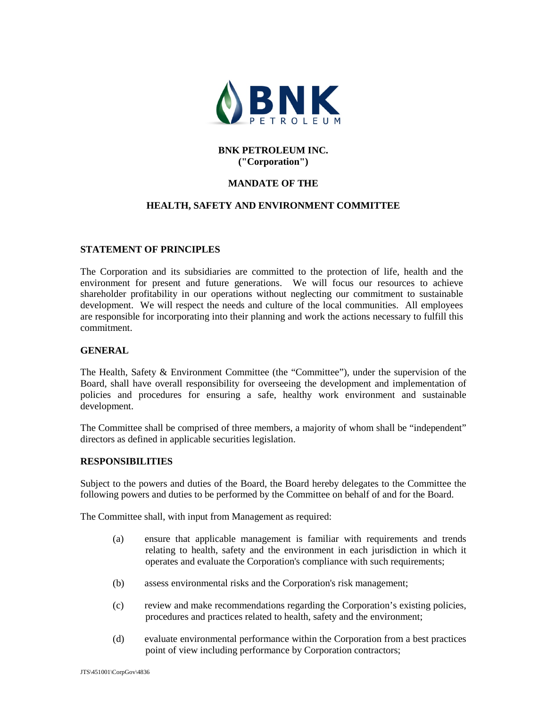

# **BNK PETROLEUM INC. ("Corporation")**

# **MANDATE OF THE**

# **HEALTH, SAFETY AND ENVIRONMENT COMMITTEE**

### **STATEMENT OF PRINCIPLES**

The Corporation and its subsidiaries are committed to the protection of life, health and the environment for present and future generations. We will focus our resources to achieve shareholder profitability in our operations without neglecting our commitment to sustainable development. We will respect the needs and culture of the local communities. All employees are responsible for incorporating into their planning and work the actions necessary to fulfill this commitment.

### **GENERAL**

The Health, Safety & Environment Committee (the "Committee"), under the supervision of the Board, shall have overall responsibility for overseeing the development and implementation of policies and procedures for ensuring a safe, healthy work environment and sustainable development.

The Committee shall be comprised of three members, a majority of whom shall be "independent" directors as defined in applicable securities legislation.

### **RESPONSIBILITIES**

Subject to the powers and duties of the Board, the Board hereby delegates to the Committee the following powers and duties to be performed by the Committee on behalf of and for the Board.

The Committee shall, with input from Management as required:

- (a) ensure that applicable management is familiar with requirements and trends relating to health, safety and the environment in each jurisdiction in which it operates and evaluate the Corporation's compliance with such requirements;
- (b) assess environmental risks and the Corporation's risk management;
- (c) review and make recommendations regarding the Corporation's existing policies, procedures and practices related to health, safety and the environment;
- (d) evaluate environmental performance within the Corporation from a best practices point of view including performance by Corporation contractors;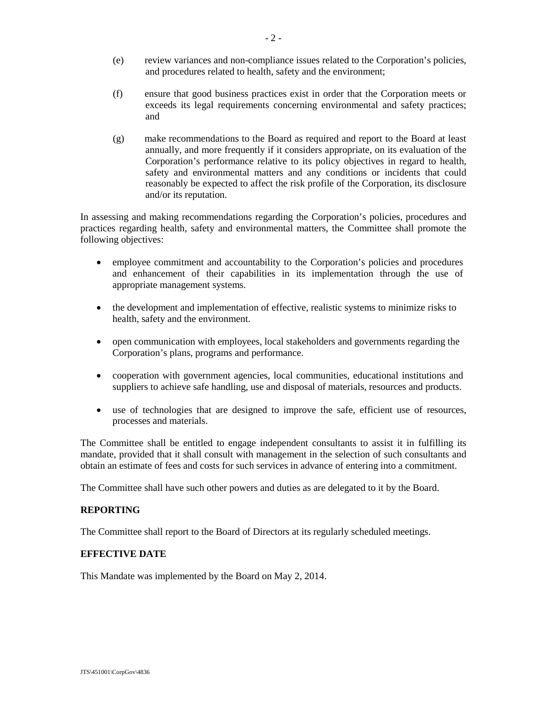- (e) review variances and non-compliance issues related to the Corporation's policies, and procedures related to health, safety and the environment;
- (f) ensure that good business practices exist in order that the Corporation meets or exceeds its legal requirements concerning environmental and safety practices; and
- (g) make recommendations to the Board as required and report to the Board at least annually, and more frequently if it considers appropriate, on its evaluation of the Corporation's performance relative to its policy objectives in regard to health, safety and environmental matters and any conditions or incidents that could reasonably be expected to affect the risk profile of the Corporation, its disclosure and/or its reputation.

In assessing and making recommendations regarding the Corporation's policies, procedures and practices regarding health, safety and environmental matters, the Committee shall promote the following objectives:

- employee commitment and accountability to the Corporation's policies and procedures and enhancement of their capabilities in its implementation through the use of appropriate management systems.
- the development and implementation of effective, realistic systems to minimize risks to health, safety and the environment.
- open communication with employees, local stakeholders and governments regarding the Corporation's plans, programs and performance.
- cooperation with government agencies, local communities, educational institutions and suppliers to achieve safe handling, use and disposal of materials, resources and products.
- use of technologies that are designed to improve the safe, efficient use of resources, processes and materials.

The Committee shall be entitled to engage independent consultants to assist it in fulfilling its mandate, provided that it shall consult with management in the selection of such consultants and obtain an estimate of fees and costs for such services in advance of entering into a commitment.

The Committee shall have such other powers and duties as are delegated to it by the Board.

# **REPORTING**

The Committee shall report to the Board of Directors at its regularly scheduled meetings.

### **EFFECTIVE DATE**

This Mandate was implemented by the Board on May 2, 2014.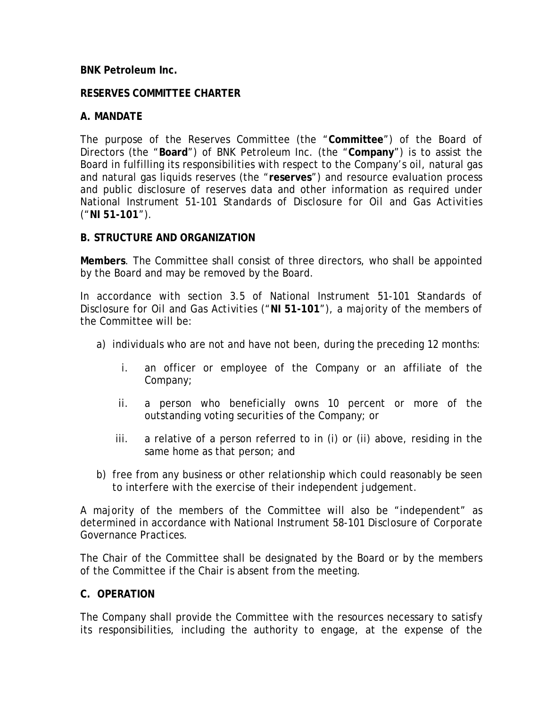# **BNK Petroleum Inc.**

# **RESERVES COMMITTEE CHARTER**

# **A. MANDATE**

The purpose of the Reserves Committee (the "**Committee**") of the Board of Directors (the "**Board**") of BNK Petroleum Inc. (the "**Company**") is to assist the Board in fulfilling its responsibilities with respect to the Company's oil, natural gas and natural gas liquids reserves (the "**reserves**") and resource evaluation process and public disclosure of reserves data and other information as required under National Instrument 51-101 *Standards of Disclosure for Oil and Gas Activities* ("**NI 51-101**").

# **B. STRUCTURE AND ORGANIZATION**

**Members**. The Committee shall consist of three directors, who shall be appointed by the Board and may be removed by the Board.

In accordance with section 3.5 of National Instrument 51-101 *Standards of Disclosure for Oil and Gas Activities* ("**NI 51-101**"), a majority of the members of the Committee will be:

- a) individuals who are not and have not been, during the preceding 12 months:
	- i. an officer or employee of the Company or an affiliate of the Company;
	- ii. a person who beneficially owns 10 percent or more of the outstanding voting securities of the Company; or
	- iii. a relative of a person referred to in (i) or (ii) above, residing in the same home as that person; and
- b) free from any business or other relationship which could reasonably be seen to interfere with the exercise of their independent judgement.

A majority of the members of the Committee will also be "independent" as determined in accordance with National Instrument 58-101 *Disclosure of Corporate Governance Practices*.

The Chair of the Committee shall be designated by the Board or by the members of the Committee if the Chair is absent from the meeting.

# **C. OPERATION**

The Company shall provide the Committee with the resources necessary to satisfy its responsibilities, including the authority to engage, at the expense of the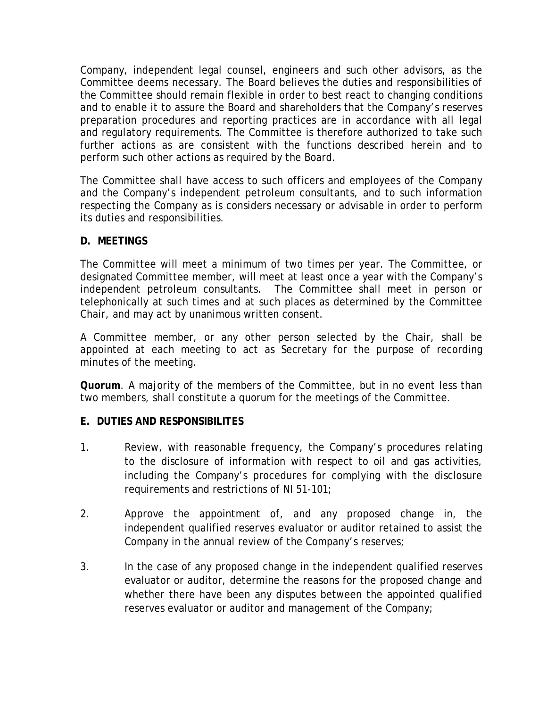Company, independent legal counsel, engineers and such other advisors, as the Committee deems necessary. The Board believes the duties and responsibilities of the Committee should remain flexible in order to best react to changing conditions and to enable it to assure the Board and shareholders that the Company's reserves preparation procedures and reporting practices are in accordance with all legal and regulatory requirements. The Committee is therefore authorized to take such further actions as are consistent with the functions described herein and to perform such other actions as required by the Board.

The Committee shall have access to such officers and employees of the Company and the Company's independent petroleum consultants, and to such information respecting the Company as is considers necessary or advisable in order to perform its duties and responsibilities.

# **D. MEETINGS**

The Committee will meet a minimum of two times per year. The Committee, or designated Committee member, will meet at least once a year with the Company's independent petroleum consultants. The Committee shall meet in person or telephonically at such times and at such places as determined by the Committee Chair, and may act by unanimous written consent.

A Committee member, or any other person selected by the Chair, shall be appointed at each meeting to act as Secretary for the purpose of recording minutes of the meeting.

**Quorum**. A majority of the members of the Committee, but in no event less than two members, shall constitute a quorum for the meetings of the Committee.

# **E. DUTIES AND RESPONSIBILITES**

- 1. Review, with reasonable frequency, the Company's procedures relating to the disclosure of information with respect to oil and gas activities, including the Company's procedures for complying with the disclosure requirements and restrictions of NI 51-101;
- 2. Approve the appointment of, and any proposed change in, the independent qualified reserves evaluator or auditor retained to assist the Company in the annual review of the Company's reserves;
- 3. In the case of any proposed change in the independent qualified reserves evaluator or auditor, determine the reasons for the proposed change and whether there have been any disputes between the appointed qualified reserves evaluator or auditor and management of the Company;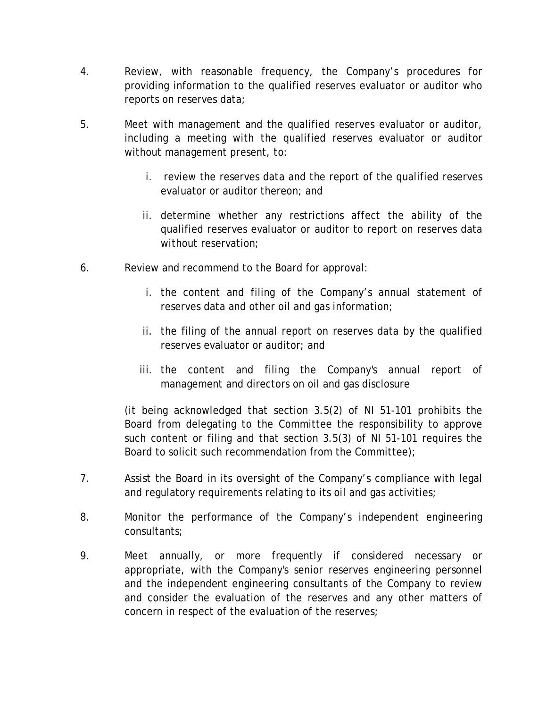- 4. Review, with reasonable frequency, the Company's procedures for providing information to the qualified reserves evaluator or auditor who reports on reserves data;
- 5. Meet with management and the qualified reserves evaluator or auditor, including a meeting with the qualified reserves evaluator or auditor without management present, to:
	- i. review the reserves data and the report of the qualified reserves evaluator or auditor thereon; and
	- ii. determine whether any restrictions affect the ability of the qualified reserves evaluator or auditor to report on reserves data without reservation;
- 6. Review and recommend to the Board for approval:
	- i. the content and filing of the Company's annual statement of reserves data and other oil and gas information;
	- ii. the filing of the annual report on reserves data by the qualified reserves evaluator or auditor; and
	- iii. the content and filing the Company's annual report of management and directors on oil and gas disclosure

(it being acknowledged that section 3.5(2) of NI 51-101 prohibits the Board from delegating to the Committee the responsibility to approve such content or filing and that section 3.5(3) of NI 51-101 requires the Board to solicit such recommendation from the Committee);

- 7. Assist the Board in its oversight of the Company's compliance with legal and regulatory requirements relating to its oil and gas activities;
- 8. Monitor the performance of the Company's independent engineering consultants;
- 9. Meet annually, or more frequently if considered necessary or appropriate, with the Company's senior reserves engineering personnel and the independent engineering consultants of the Company to review and consider the evaluation of the reserves and any other matters of concern in respect of the evaluation of the reserves;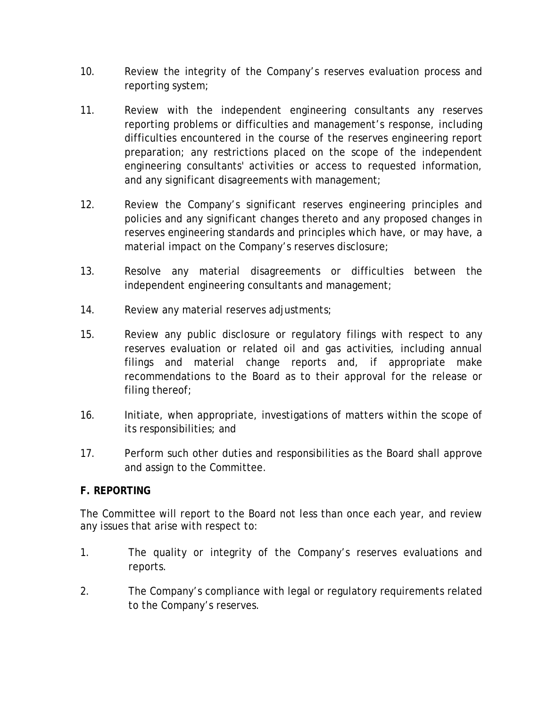- 10. Review the integrity of the Company's reserves evaluation process and reporting system;
- 11. Review with the independent engineering consultants any reserves reporting problems or difficulties and management's response, including difficulties encountered in the course of the reserves engineering report preparation; any restrictions placed on the scope of the independent engineering consultants' activities or access to requested information, and any significant disagreements with management;
- 12. Review the Company's significant reserves engineering principles and policies and any significant changes thereto and any proposed changes in reserves engineering standards and principles which have, or may have, a material impact on the Company's reserves disclosure;
- 13. Resolve any material disagreements or difficulties between the independent engineering consultants and management;
- 14. Review any material reserves adjustments;
- 15. Review any public disclosure or regulatory filings with respect to any reserves evaluation or related oil and gas activities, including annual filings and material change reports and, if appropriate make recommendations to the Board as to their approval for the release or filing thereof;
- 16. Initiate, when appropriate, investigations of matters within the scope of its responsibilities; and
- 17. Perform such other duties and responsibilities as the Board shall approve and assign to the Committee.

# **F. REPORTING**

The Committee will report to the Board not less than once each year, and review any issues that arise with respect to:

- 1. The quality or integrity of the Company's reserves evaluations and reports.
- 2. The Company's compliance with legal or regulatory requirements related to the Company's reserves.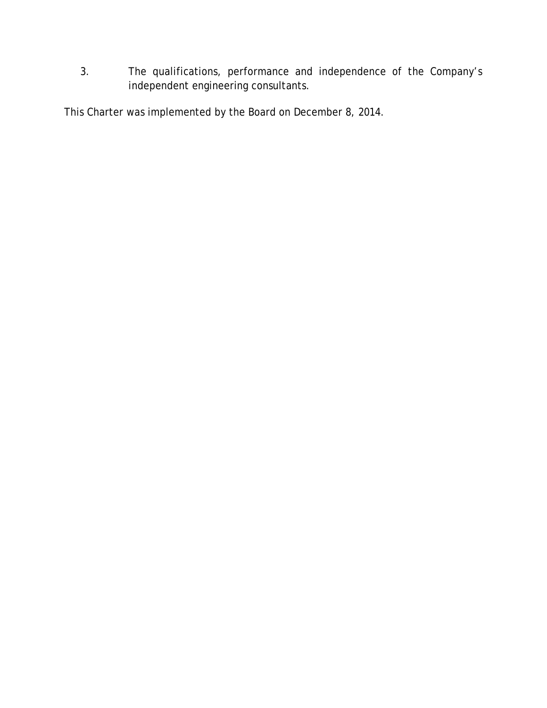3. The qualifications, performance and independence of the Company's independent engineering consultants.

This Charter was implemented by the Board on December 8, 2014.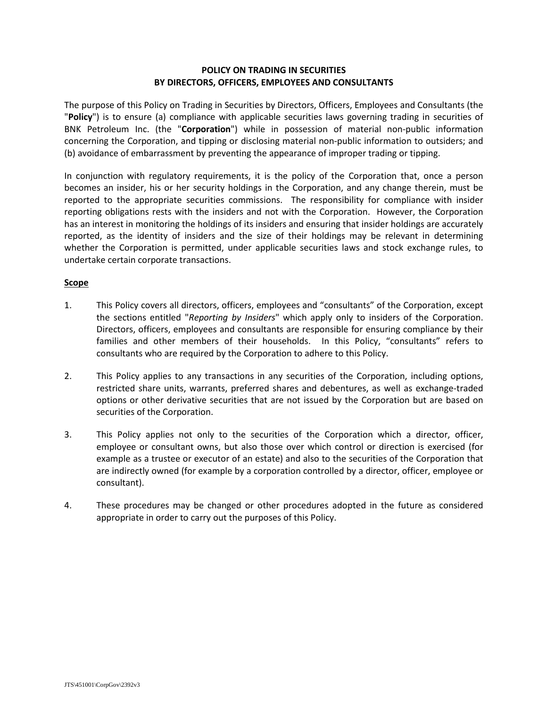### **POLICY ON TRADING IN SECURITIES BY DIRECTORS, OFFICERS, EMPLOYEES AND CONSULTANTS**

The purpose of this Policy on Trading in Securities by Directors, Officers, Employees and Consultants (the "**Policy**") is to ensure (a) compliance with applicable securities laws governing trading in securities of BNK Petroleum Inc. (the "**Corporation**") while in possession of material non-public information concerning the Corporation, and tipping or disclosing material non-public information to outsiders; and (b) avoidance of embarrassment by preventing the appearance of improper trading or tipping.

In conjunction with regulatory requirements, it is the policy of the Corporation that, once a person becomes an insider, his or her security holdings in the Corporation, and any change therein, must be reported to the appropriate securities commissions. The responsibility for compliance with insider reporting obligations rests with the insiders and not with the Corporation. However, the Corporation has an interest in monitoring the holdings of its insiders and ensuring that insider holdings are accurately reported, as the identity of insiders and the size of their holdings may be relevant in determining whether the Corporation is permitted, under applicable securities laws and stock exchange rules, to undertake certain corporate transactions.

### **Scope**

- 1. This Policy covers all directors, officers, employees and "consultants" of the Corporation, except the sections entitled "*Reporting by Insiders*" which apply only to insiders of the Corporation. Directors, officers, employees and consultants are responsible for ensuring compliance by their families and other members of their households. In this Policy, "consultants" refers to consultants who are required by the Corporation to adhere to this Policy.
- 2. This Policy applies to any transactions in any securities of the Corporation, including options, restricted share units, warrants, preferred shares and debentures, as well as exchange-traded options or other derivative securities that are not issued by the Corporation but are based on securities of the Corporation.
- 3. This Policy applies not only to the securities of the Corporation which a director, officer, employee or consultant owns, but also those over which control or direction is exercised (for example as a trustee or executor of an estate) and also to the securities of the Corporation that are indirectly owned (for example by a corporation controlled by a director, officer, employee or consultant).
- 4. These procedures may be changed or other procedures adopted in the future as considered appropriate in order to carry out the purposes of this Policy.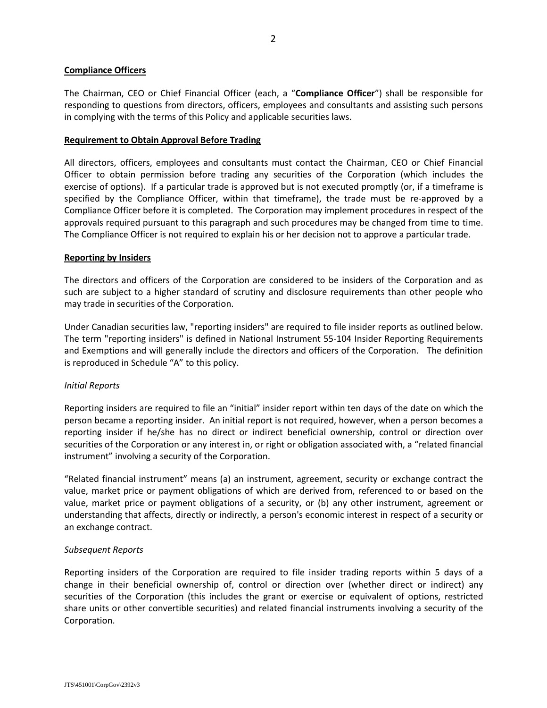### **Compliance Officers**

The Chairman, CEO or Chief Financial Officer (each, a "**Compliance Officer**") shall be responsible for responding to questions from directors, officers, employees and consultants and assisting such persons in complying with the terms of this Policy and applicable securities laws.

### **Requirement to Obtain Approval Before Trading**

All directors, officers, employees and consultants must contact the Chairman, CEO or Chief Financial Officer to obtain permission before trading any securities of the Corporation (which includes the exercise of options). If a particular trade is approved but is not executed promptly (or, if a timeframe is specified by the Compliance Officer, within that timeframe), the trade must be re-approved by a Compliance Officer before it is completed. The Corporation may implement procedures in respect of the approvals required pursuant to this paragraph and such procedures may be changed from time to time. The Compliance Officer is not required to explain his or her decision not to approve a particular trade.

#### **Reporting by Insiders**

The directors and officers of the Corporation are considered to be insiders of the Corporation and as such are subject to a higher standard of scrutiny and disclosure requirements than other people who may trade in securities of the Corporation.

Under Canadian securities law, "reporting insiders" are required to file insider reports as outlined below. The term "reporting insiders" is defined in National Instrument 55-104 Insider Reporting Requirements and Exemptions and will generally include the directors and officers of the Corporation. The definition is reproduced in Schedule "A" to this policy.

### *Initial Reports*

Reporting insiders are required to file an "initial" insider report within ten days of the date on which the person became a reporting insider. An initial report is not required, however, when a person becomes a reporting insider if he/she has no direct or indirect beneficial ownership, control or direction over securities of the Corporation or any interest in, or right or obligation associated with, a "related financial instrument" involving a security of the Corporation.

"Related financial instrument" means (a) an instrument, agreement, security or exchange contract the value, market price or payment obligations of which are derived from, referenced to or based on the value, market price or payment obligations of a security, or (b) any other instrument, agreement or understanding that affects, directly or indirectly, a person's economic interest in respect of a security or an exchange contract.

### *Subsequent Reports*

Reporting insiders of the Corporation are required to file insider trading reports within 5 days of a change in their beneficial ownership of, control or direction over (whether direct or indirect) any securities of the Corporation (this includes the grant or exercise or equivalent of options, restricted share units or other convertible securities) and related financial instruments involving a security of the Corporation.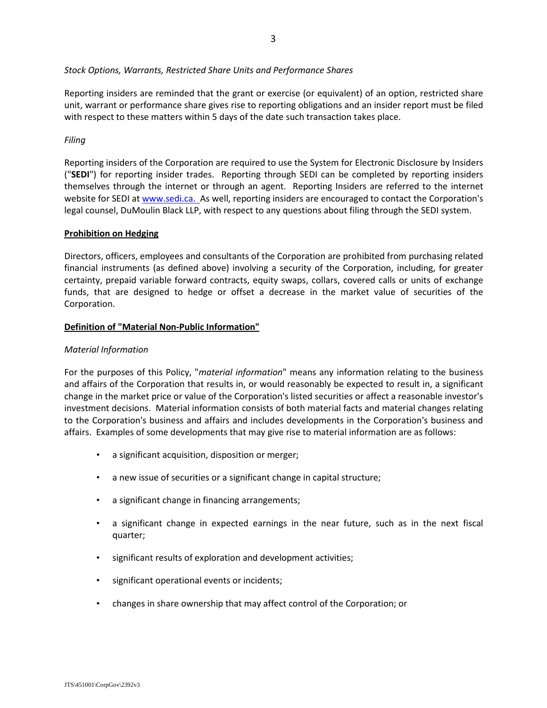*Stock Options, Warrants, Restricted Share Units and Performance Shares*

Reporting insiders are reminded that the grant or exercise (or equivalent) of an option, restricted share unit, warrant or performance share gives rise to reporting obligations and an insider report must be filed with respect to these matters within 5 days of the date such transaction takes place.

### *Filing*

Reporting insiders of the Corporation are required to use the System for Electronic Disclosure by Insiders ("**SEDI**") for reporting insider trades. Reporting through SEDI can be completed by reporting insiders themselves through the internet or through an agent. Reporting Insiders are referred to the internet website for SEDI at [www.sedi.ca. A](http://www.sedi.ca./)s well, reporting insiders are encouraged to contact the Corporation's legal counsel, DuMoulin Black LLP, with respect to any questions about filing through the SEDI system.

### **Prohibition on Hedging**

Directors, officers, employees and consultants of the Corporation are prohibited from purchasing related financial instruments (as defined above) involving a security of the Corporation, including, for greater certainty, prepaid variable forward contracts, equity swaps, collars, covered calls or units of exchange funds, that are designed to hedge or offset a decrease in the market value of securities of the Corporation.

# **Definition of "Material Non-Public Information"**

### *Material Information*

For the purposes of this Policy, "*material information*" means any information relating to the business and affairs of the Corporation that results in, or would reasonably be expected to result in, a significant change in the market price or value of the Corporation's listed securities or affect a reasonable investor's investment decisions. Material information consists of both material facts and material changes relating to the Corporation's business and affairs and includes developments in the Corporation's business and affairs. Examples of some developments that may give rise to material information are as follows:

- a significant acquisition, disposition or merger;
- a new issue of securities or a significant change in capital structure;
- a significant change in financing arrangements;
- a significant change in expected earnings in the near future, such as in the next fiscal quarter;
- significant results of exploration and development activities;
- significant operational events or incidents;
- changes in share ownership that may affect control of the Corporation; or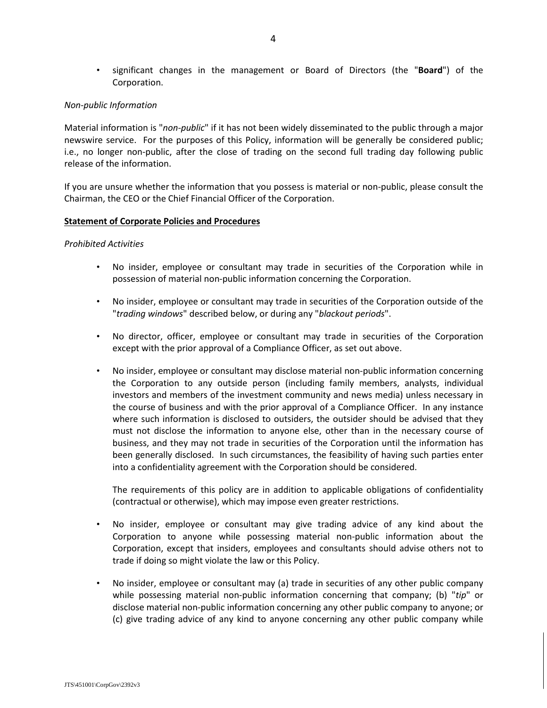• significant changes in the management or Board of Directors (the "**Board**") of the Corporation.

### *Non-public Information*

Material information is "*non-public*" if it has not been widely disseminated to the public through a major newswire service. For the purposes of this Policy, information will be generally be considered public; i.e., no longer non-public, after the close of trading on the second full trading day following public release of the information.

If you are unsure whether the information that you possess is material or non-public, please consult the Chairman, the CEO or the Chief Financial Officer of the Corporation.

### **Statement of Corporate Policies and Procedures**

#### *Prohibited Activities*

- No insider, employee or consultant may trade in securities of the Corporation while in possession of material non-public information concerning the Corporation.
- No insider, employee or consultant may trade in securities of the Corporation outside of the "*trading windows*" described below, or during any "*blackout periods*".
- No director, officer, employee or consultant may trade in securities of the Corporation except with the prior approval of a Compliance Officer, as set out above.
- No insider, employee or consultant may disclose material non-public information concerning the Corporation to any outside person (including family members, analysts, individual investors and members of the investment community and news media) unless necessary in the course of business and with the prior approval of a Compliance Officer. In any instance where such information is disclosed to outsiders, the outsider should be advised that they must not disclose the information to anyone else, other than in the necessary course of business, and they may not trade in securities of the Corporation until the information has been generally disclosed. In such circumstances, the feasibility of having such parties enter into a confidentiality agreement with the Corporation should be considered.

The requirements of this policy are in addition to applicable obligations of confidentiality (contractual or otherwise), which may impose even greater restrictions.

- No insider, employee or consultant may give trading advice of any kind about the Corporation to anyone while possessing material non-public information about the Corporation, except that insiders, employees and consultants should advise others not to trade if doing so might violate the law or this Policy.
- No insider, employee or consultant may (a) trade in securities of any other public company while possessing material non-public information concerning that company; (b) "*tip*" or disclose material non-public information concerning any other public company to anyone; or (c) give trading advice of any kind to anyone concerning any other public company while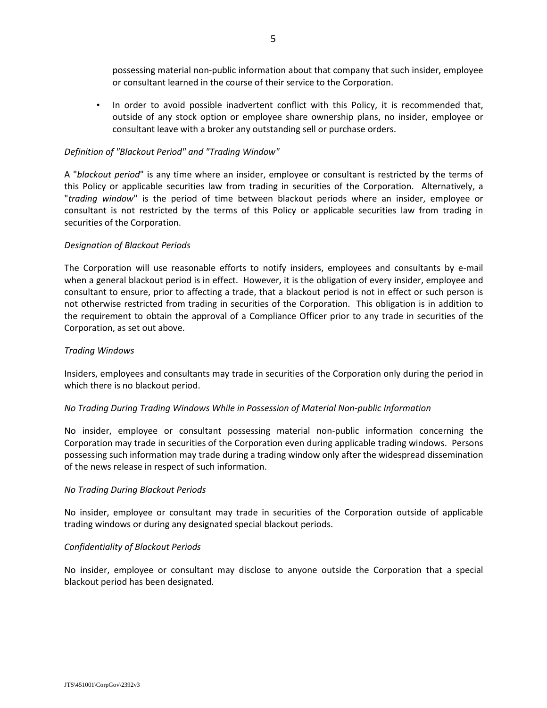possessing material non-public information about that company that such insider, employee or consultant learned in the course of their service to the Corporation.

• In order to avoid possible inadvertent conflict with this Policy, it is recommended that, outside of any stock option or employee share ownership plans, no insider, employee or consultant leave with a broker any outstanding sell or purchase orders.

### *Definition of "Blackout Period" and "Trading Window"*

A "*blackout period*" is any time where an insider, employee or consultant is restricted by the terms of this Policy or applicable securities law from trading in securities of the Corporation. Alternatively, a "*trading window*" is the period of time between blackout periods where an insider, employee or consultant is not restricted by the terms of this Policy or applicable securities law from trading in securities of the Corporation.

### *Designation of Blackout Periods*

The Corporation will use reasonable efforts to notify insiders, employees and consultants by e-mail when a general blackout period is in effect. However, it is the obligation of every insider, employee and consultant to ensure, prior to affecting a trade, that a blackout period is not in effect or such person is not otherwise restricted from trading in securities of the Corporation. This obligation is in addition to the requirement to obtain the approval of a Compliance Officer prior to any trade in securities of the Corporation, as set out above.

### *Trading Windows*

Insiders, employees and consultants may trade in securities of the Corporation only during the period in which there is no blackout period.

# *No Trading During Trading Windows While in Possession of Material Non-public Information*

No insider, employee or consultant possessing material non-public information concerning the Corporation may trade in securities of the Corporation even during applicable trading windows. Persons possessing such information may trade during a trading window only after the widespread dissemination of the news release in respect of such information.

### *No Trading During Blackout Periods*

No insider, employee or consultant may trade in securities of the Corporation outside of applicable trading windows or during any designated special blackout periods.

### *Confidentiality of Blackout Periods*

No insider, employee or consultant may disclose to anyone outside the Corporation that a special blackout period has been designated.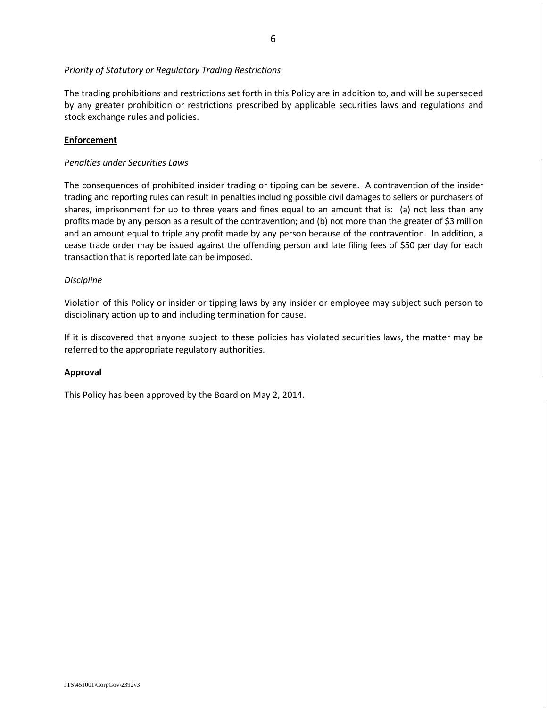### *Priority of Statutory or Regulatory Trading Restrictions*

The trading prohibitions and restrictions set forth in this Policy are in addition to, and will be superseded by any greater prohibition or restrictions prescribed by applicable securities laws and regulations and stock exchange rules and policies.

### **Enforcement**

### *Penalties under Securities Laws*

The consequences of prohibited insider trading or tipping can be severe. A contravention of the insider trading and reporting rules can result in penalties including possible civil damages to sellers or purchasers of shares, imprisonment for up to three years and fines equal to an amount that is: (a) not less than any profits made by any person as a result of the contravention; and (b) not more than the greater of \$3 million and an amount equal to triple any profit made by any person because of the contravention. In addition, a cease trade order may be issued against the offending person and late filing fees of \$50 per day for each transaction that is reported late can be imposed.

### *Discipline*

Violation of this Policy or insider or tipping laws by any insider or employee may subject such person to disciplinary action up to and including termination for cause.

If it is discovered that anyone subject to these policies has violated securities laws, the matter may be referred to the appropriate regulatory authorities.

### **Approval**

This Policy has been approved by the Board on May 2, 2014.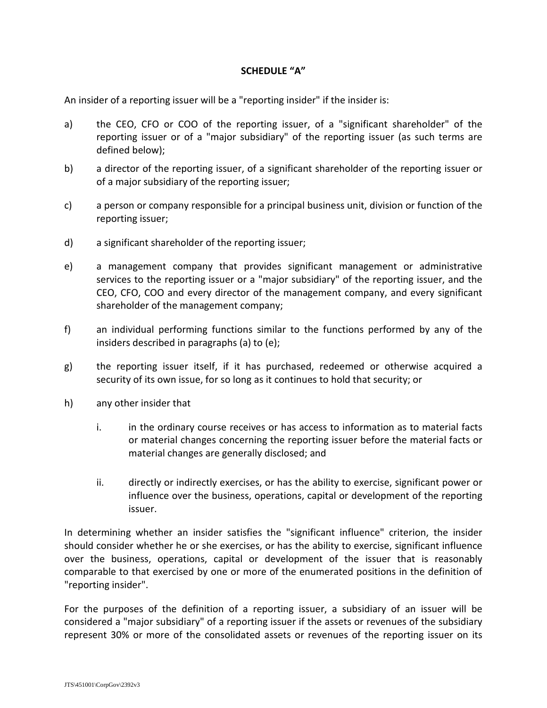# **SCHEDULE "A"**

An insider of a reporting issuer will be a "reporting insider" if the insider is:

- a) the CEO, CFO or COO of the reporting issuer, of a "significant shareholder" of the reporting issuer or of a "major subsidiary" of the reporting issuer (as such terms are defined below);
- b) a director of the reporting issuer, of a significant shareholder of the reporting issuer or of a major subsidiary of the reporting issuer;
- c) a person or company responsible for a principal business unit, division or function of the reporting issuer;
- d) a significant shareholder of the reporting issuer;
- e) a management company that provides significant management or administrative services to the reporting issuer or a "major subsidiary" of the reporting issuer, and the CEO, CFO, COO and every director of the management company, and every significant shareholder of the management company;
- f) an individual performing functions similar to the functions performed by any of the insiders described in paragraphs (a) to (e);
- g) the reporting issuer itself, if it has purchased, redeemed or otherwise acquired a security of its own issue, for so long as it continues to hold that security; or
- h) any other insider that
	- i. in the ordinary course receives or has access to information as to material facts or material changes concerning the reporting issuer before the material facts or material changes are generally disclosed; and
	- ii. directly or indirectly exercises, or has the ability to exercise, significant power or influence over the business, operations, capital or development of the reporting issuer.

In determining whether an insider satisfies the "significant influence" criterion, the insider should consider whether he or she exercises, or has the ability to exercise, significant influence over the business, operations, capital or development of the issuer that is reasonably comparable to that exercised by one or more of the enumerated positions in the definition of "reporting insider".

For the purposes of the definition of a reporting issuer, a subsidiary of an issuer will be considered a "major subsidiary" of a reporting issuer if the assets or revenues of the subsidiary represent 30% or more of the consolidated assets or revenues of the reporting issuer on its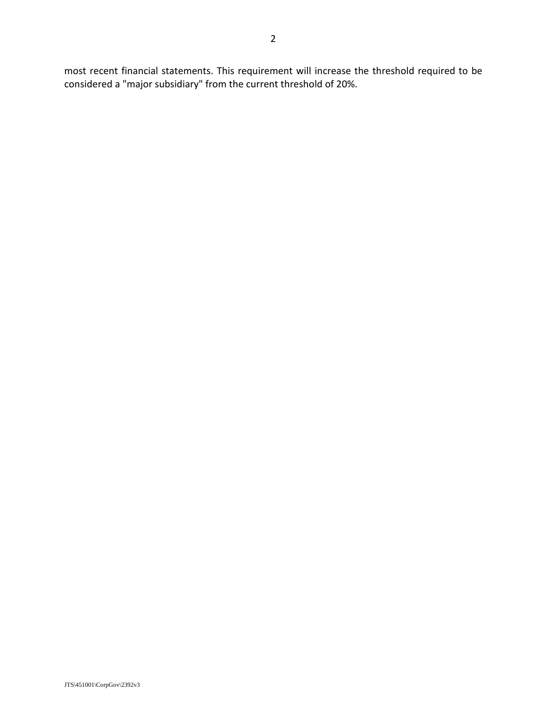most recent financial statements. This requirement will increase the threshold required to be considered a "major subsidiary" from the current threshold of 20%.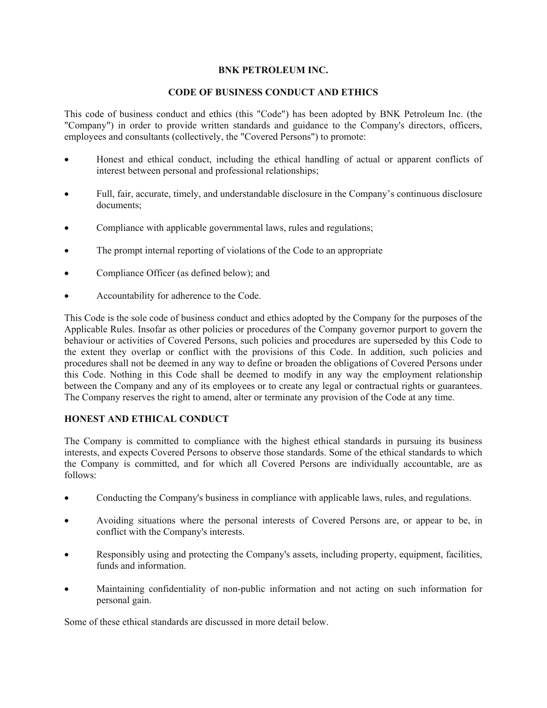# **BNK PETROLEUM INC.**

# **CODE OF BUSINESS CONDUCT AND ETHICS**

This code of business conduct and ethics (this "Code") has been adopted by BNK Petroleum Inc. (the "Company") in order to provide written standards and guidance to the Company's directors, officers, employees and consultants (collectively, the "Covered Persons") to promote:

- Honest and ethical conduct, including the ethical handling of actual or apparent conflicts of interest between personal and professional relationships;
- Full, fair, accurate, timely, and understandable disclosure in the Company's continuous disclosure documents;
- Compliance with applicable governmental laws, rules and regulations;
- The prompt internal reporting of violations of the Code to an appropriate
- Compliance Officer (as defined below); and
- Accountability for adherence to the Code.

This Code is the sole code of business conduct and ethics adopted by the Company for the purposes of the Applicable Rules. Insofar as other policies or procedures of the Company governor purport to govern the behaviour or activities of Covered Persons, such policies and procedures are superseded by this Code to the extent they overlap or conflict with the provisions of this Code. In addition, such policies and procedures shall not be deemed in any way to define or broaden the obligations of Covered Persons under this Code. Nothing in this Code shall be deemed to modify in any way the employment relationship between the Company and any of its employees or to create any legal or contractual rights or guarantees. The Company reserves the right to amend, alter or terminate any provision of the Code at any time.

# **HONEST AND ETHICAL CONDUCT**

The Company is committed to compliance with the highest ethical standards in pursuing its business interests, and expects Covered Persons to observe those standards. Some of the ethical standards to which the Company is committed, and for which all Covered Persons are individually accountable, are as follows:

- Conducting the Company's business in compliance with applicable laws, rules, and regulations.
- Avoiding situations where the personal interests of Covered Persons are, or appear to be, in conflict with the Company's interests.
- Responsibly using and protecting the Company's assets, including property, equipment, facilities, funds and information.
- Maintaining confidentiality of non-public information and not acting on such information for personal gain.

Some of these ethical standards are discussed in more detail below.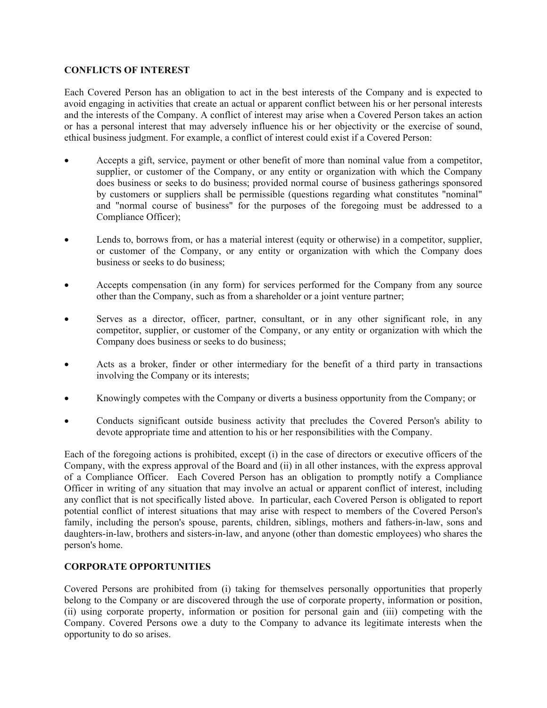# **CONFLICTS OF INTEREST**

Each Covered Person has an obligation to act in the best interests of the Company and is expected to avoid engaging in activities that create an actual or apparent conflict between his or her personal interests and the interests of the Company. A conflict of interest may arise when a Covered Person takes an action or has a personal interest that may adversely influence his or her objectivity or the exercise of sound, ethical business judgment. For example, a conflict of interest could exist if a Covered Person:

- Accepts a gift, service, payment or other benefit of more than nominal value from a competitor, supplier, or customer of the Company, or any entity or organization with which the Company does business or seeks to do business; provided normal course of business gatherings sponsored by customers or suppliers shall be permissible (questions regarding what constitutes "nominal" and "normal course of business" for the purposes of the foregoing must be addressed to a Compliance Officer);
- Lends to, borrows from, or has a material interest (equity or otherwise) in a competitor, supplier, or customer of the Company, or any entity or organization with which the Company does business or seeks to do business;
- Accepts compensation (in any form) for services performed for the Company from any source other than the Company, such as from a shareholder or a joint venture partner;
- Serves as a director, officer, partner, consultant, or in any other significant role, in any competitor, supplier, or customer of the Company, or any entity or organization with which the Company does business or seeks to do business;
- Acts as a broker, finder or other intermediary for the benefit of a third party in transactions involving the Company or its interests;
- Knowingly competes with the Company or diverts a business opportunity from the Company; or
- Conducts significant outside business activity that precludes the Covered Person's ability to devote appropriate time and attention to his or her responsibilities with the Company.

Each of the foregoing actions is prohibited, except (i) in the case of directors or executive officers of the Company, with the express approval of the Board and (ii) in all other instances, with the express approval of a Compliance Officer. Each Covered Person has an obligation to promptly notify a Compliance Officer in writing of any situation that may involve an actual or apparent conflict of interest, including any conflict that is not specifically listed above. In particular, each Covered Person is obligated to report potential conflict of interest situations that may arise with respect to members of the Covered Person's family, including the person's spouse, parents, children, siblings, mothers and fathers-in-law, sons and daughters-in-law, brothers and sisters-in-law, and anyone (other than domestic employees) who shares the person's home.

# **CORPORATE OPPORTUNITIES**

Covered Persons are prohibited from (i) taking for themselves personally opportunities that properly belong to the Company or are discovered through the use of corporate property, information or position, (ii) using corporate property, information or position for personal gain and (iii) competing with the Company. Covered Persons owe a duty to the Company to advance its legitimate interests when the opportunity to do so arises.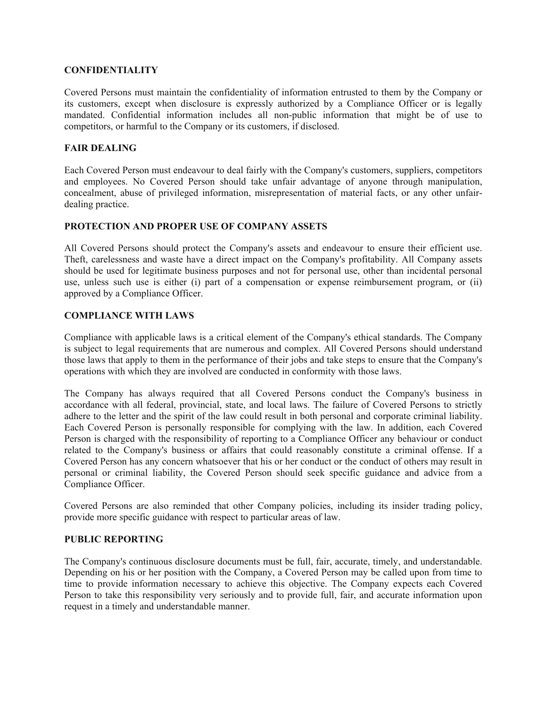# **CONFIDENTIALITY**

Covered Persons must maintain the confidentiality of information entrusted to them by the Company or its customers, except when disclosure is expressly authorized by a Compliance Officer or is legally mandated. Confidential information includes all non-public information that might be of use to competitors, or harmful to the Company or its customers, if disclosed.

# **FAIR DEALING**

Each Covered Person must endeavour to deal fairly with the Company's customers, suppliers, competitors and employees. No Covered Person should take unfair advantage of anyone through manipulation, concealment, abuse of privileged information, misrepresentation of material facts, or any other unfairdealing practice.

# **PROTECTION AND PROPER USE OF COMPANY ASSETS**

All Covered Persons should protect the Company's assets and endeavour to ensure their efficient use. Theft, carelessness and waste have a direct impact on the Company's profitability. All Company assets should be used for legitimate business purposes and not for personal use, other than incidental personal use, unless such use is either (i) part of a compensation or expense reimbursement program, or (ii) approved by a Compliance Officer.

# **COMPLIANCE WITH LAWS**

Compliance with applicable laws is a critical element of the Company's ethical standards. The Company is subject to legal requirements that are numerous and complex. All Covered Persons should understand those laws that apply to them in the performance of their jobs and take steps to ensure that the Company's operations with which they are involved are conducted in conformity with those laws.

The Company has always required that all Covered Persons conduct the Company's business in accordance with all federal, provincial, state, and local laws. The failure of Covered Persons to strictly adhere to the letter and the spirit of the law could result in both personal and corporate criminal liability. Each Covered Person is personally responsible for complying with the law. In addition, each Covered Person is charged with the responsibility of reporting to a Compliance Officer any behaviour or conduct related to the Company's business or affairs that could reasonably constitute a criminal offense. If a Covered Person has any concern whatsoever that his or her conduct or the conduct of others may result in personal or criminal liability, the Covered Person should seek specific guidance and advice from a Compliance Officer.

Covered Persons are also reminded that other Company policies, including its insider trading policy, provide more specific guidance with respect to particular areas of law.

# **PUBLIC REPORTING**

The Company's continuous disclosure documents must be full, fair, accurate, timely, and understandable. Depending on his or her position with the Company, a Covered Person may be called upon from time to time to provide information necessary to achieve this objective. The Company expects each Covered Person to take this responsibility very seriously and to provide full, fair, and accurate information upon request in a timely and understandable manner.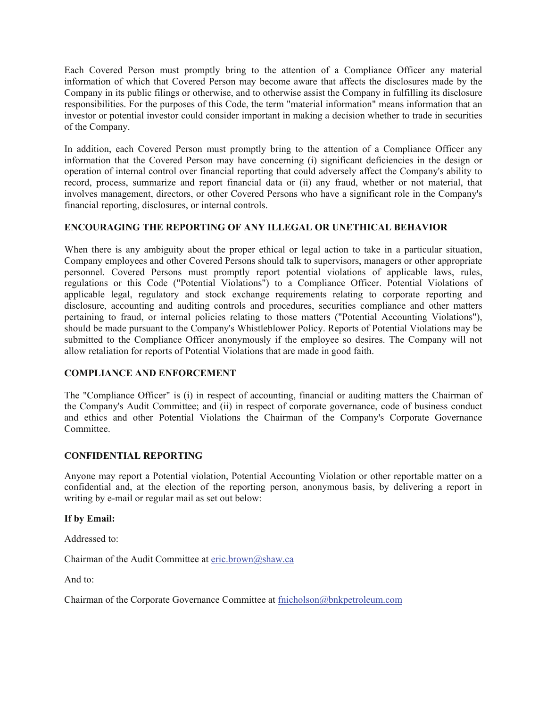Each Covered Person must promptly bring to the attention of a Compliance Officer any material information of which that Covered Person may become aware that affects the disclosures made by the Company in its public filings or otherwise, and to otherwise assist the Company in fulfilling its disclosure responsibilities. For the purposes of this Code, the term "material information" means information that an investor or potential investor could consider important in making a decision whether to trade in securities of the Company.

In addition, each Covered Person must promptly bring to the attention of a Compliance Officer any information that the Covered Person may have concerning (i) significant deficiencies in the design or operation of internal control over financial reporting that could adversely affect the Company's ability to record, process, summarize and report financial data or (ii) any fraud, whether or not material, that involves management, directors, or other Covered Persons who have a significant role in the Company's financial reporting, disclosures, or internal controls.

# **ENCOURAGING THE REPORTING OF ANY ILLEGAL OR UNETHICAL BEHAVIOR**

When there is any ambiguity about the proper ethical or legal action to take in a particular situation, Company employees and other Covered Persons should talk to supervisors, managers or other appropriate personnel. Covered Persons must promptly report potential violations of applicable laws, rules, regulations or this Code ("Potential Violations") to a Compliance Officer. Potential Violations of applicable legal, regulatory and stock exchange requirements relating to corporate reporting and disclosure, accounting and auditing controls and procedures, securities compliance and other matters pertaining to fraud, or internal policies relating to those matters ("Potential Accounting Violations"), should be made pursuant to the Company's Whistleblower Policy. Reports of Potential Violations may be submitted to the Compliance Officer anonymously if the employee so desires. The Company will not allow retaliation for reports of Potential Violations that are made in good faith.

# **COMPLIANCE AND ENFORCEMENT**

The "Compliance Officer" is (i) in respect of accounting, financial or auditing matters the Chairman of the Company's Audit Committee; and (ii) in respect of corporate governance, code of business conduct and ethics and other Potential Violations the Chairman of the Company's Corporate Governance Committee.

# **CONFIDENTIAL REPORTING**

Anyone may report a Potential violation, Potential Accounting Violation or other reportable matter on a confidential and, at the election of the reporting person, anonymous basis, by delivering a report in writing by e-mail or regular mail as set out below:

# **If by Email:**

Addressed to:

Chairman of the Audit Committee at [eric.brown@shaw.ca](mailto:eric.brown@shaw.ca) 

And to:

Chairman of the Corporate Governance Committee at [fnicholson@bnkpetroleum.com](mailto:fnicholson@bnkpetroleum.com)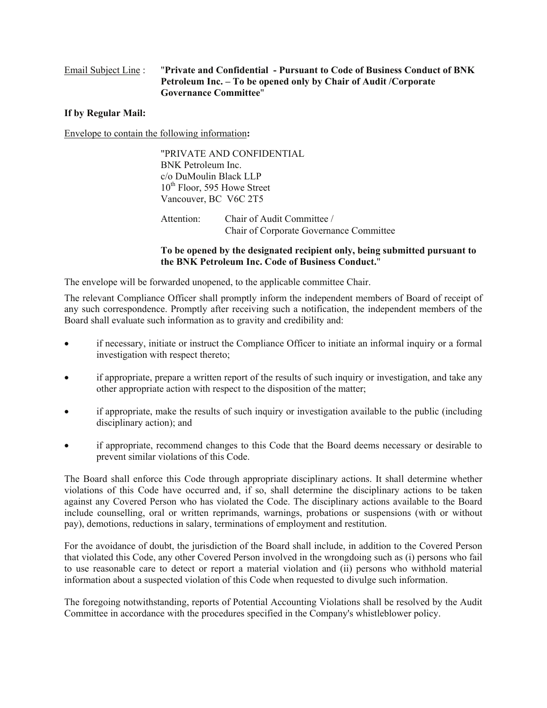# Email Subject Line : "**Private and Confidential - Pursuant to Code of Business Conduct of BNK Petroleum Inc. – To be opened only by Chair of Audit /Corporate Governance Committee**"

# **If by Regular Mail:**

Envelope to contain the following information**:** 

"PRIVATE AND CONFIDENTIAL BNK Petroleum Inc. c/o DuMoulin Black LLP  $10^{th}$  Floor, 595 Howe Street Vancouver, BC V6C 2T5

Attention: Chair of Audit Committee / Chair of Corporate Governance Committee

### **To be opened by the designated recipient only, being submitted pursuant to the BNK Petroleum Inc. Code of Business Conduct.**"

The envelope will be forwarded unopened, to the applicable committee Chair.

The relevant Compliance Officer shall promptly inform the independent members of Board of receipt of any such correspondence. Promptly after receiving such a notification, the independent members of the Board shall evaluate such information as to gravity and credibility and:

- if necessary, initiate or instruct the Compliance Officer to initiate an informal inquiry or a formal investigation with respect thereto;
- if appropriate, prepare a written report of the results of such inquiry or investigation, and take any other appropriate action with respect to the disposition of the matter;
- if appropriate, make the results of such inquiry or investigation available to the public (including disciplinary action); and
- if appropriate, recommend changes to this Code that the Board deems necessary or desirable to prevent similar violations of this Code.

The Board shall enforce this Code through appropriate disciplinary actions. It shall determine whether violations of this Code have occurred and, if so, shall determine the disciplinary actions to be taken against any Covered Person who has violated the Code. The disciplinary actions available to the Board include counselling, oral or written reprimands, warnings, probations or suspensions (with or without pay), demotions, reductions in salary, terminations of employment and restitution.

For the avoidance of doubt, the jurisdiction of the Board shall include, in addition to the Covered Person that violated this Code, any other Covered Person involved in the wrongdoing such as (i) persons who fail to use reasonable care to detect or report a material violation and (ii) persons who withhold material information about a suspected violation of this Code when requested to divulge such information.

The foregoing notwithstanding, reports of Potential Accounting Violations shall be resolved by the Audit Committee in accordance with the procedures specified in the Company's whistleblower policy.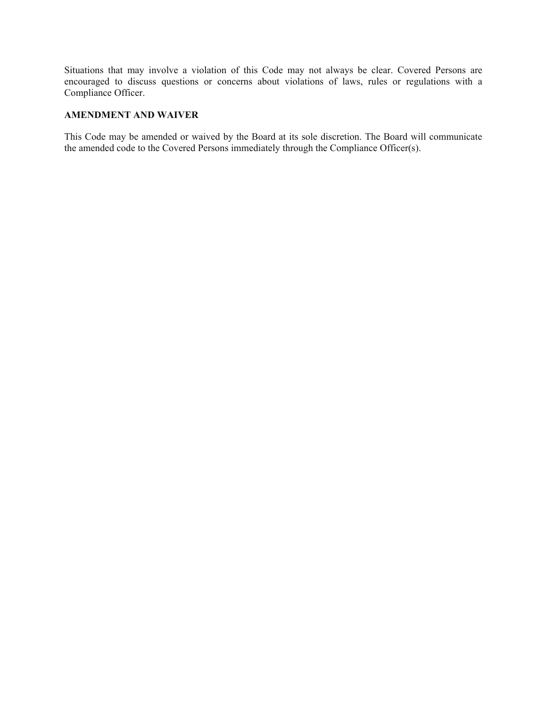Situations that may involve a violation of this Code may not always be clear. Covered Persons are encouraged to discuss questions or concerns about violations of laws, rules or regulations with a Compliance Officer.

## **AMENDMENT AND WAIVER**

This Code may be amended or waived by the Board at its sole discretion. The Board will communicate the amended code to the Covered Persons immediately through the Compliance Officer(s).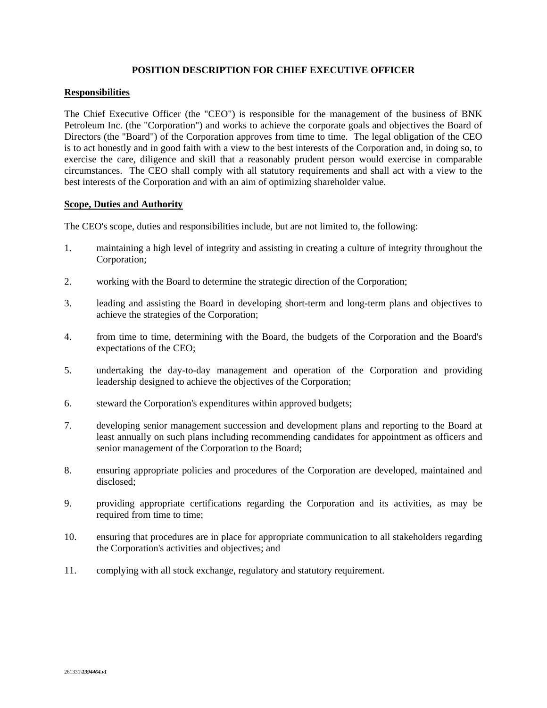## **POSITION DESCRIPTION FOR CHIEF EXECUTIVE OFFICER**

### **Responsibilities**

The Chief Executive Officer (the "CEO") is responsible for the management of the business of BNK Petroleum Inc. (the "Corporation") and works to achieve the corporate goals and objectives the Board of Directors (the "Board") of the Corporation approves from time to time. The legal obligation of the CEO is to act honestly and in good faith with a view to the best interests of the Corporation and, in doing so, to exercise the care, diligence and skill that a reasonably prudent person would exercise in comparable circumstances. The CEO shall comply with all statutory requirements and shall act with a view to the best interests of the Corporation and with an aim of optimizing shareholder value.

### **Scope, Duties and Authority**

The CEO's scope, duties and responsibilities include, but are not limited to, the following:

- 1. maintaining a high level of integrity and assisting in creating a culture of integrity throughout the Corporation;
- 2. working with the Board to determine the strategic direction of the Corporation;
- 3. leading and assisting the Board in developing short-term and long-term plans and objectives to achieve the strategies of the Corporation;
- 4. from time to time, determining with the Board, the budgets of the Corporation and the Board's expectations of the CEO;
- 5. undertaking the day-to-day management and operation of the Corporation and providing leadership designed to achieve the objectives of the Corporation;
- 6. steward the Corporation's expenditures within approved budgets;
- 7. developing senior management succession and development plans and reporting to the Board at least annually on such plans including recommending candidates for appointment as officers and senior management of the Corporation to the Board;
- 8. ensuring appropriate policies and procedures of the Corporation are developed, maintained and disclosed;
- 9. providing appropriate certifications regarding the Corporation and its activities, as may be required from time to time;
- 10. ensuring that procedures are in place for appropriate communication to all stakeholders regarding the Corporation's activities and objectives; and
- 11. complying with all stock exchange, regulatory and statutory requirement.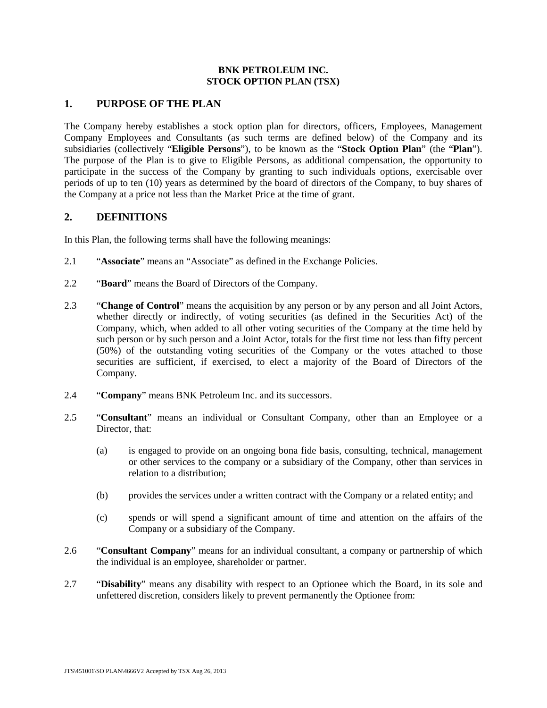## **BNK PETROLEUM INC. STOCK OPTION PLAN (TSX)**

# **1. PURPOSE OF THE PLAN**

The Company hereby establishes a stock option plan for directors, officers, Employees, Management Company Employees and Consultants (as such terms are defined below) of the Company and its subsidiaries (collectively "**Eligible Persons**"), to be known as the "**Stock Option Plan**" (the "**Plan**"). The purpose of the Plan is to give to Eligible Persons, as additional compensation, the opportunity to participate in the success of the Company by granting to such individuals options, exercisable over periods of up to ten (10) years as determined by the board of directors of the Company, to buy shares of the Company at a price not less than the Market Price at the time of grant.

# **2. DEFINITIONS**

In this Plan, the following terms shall have the following meanings:

- 2.1 "**Associate**" means an "Associate" as defined in the Exchange Policies.
- 2.2 "**Board**" means the Board of Directors of the Company.
- 2.3 "**Change of Control**" means the acquisition by any person or by any person and all Joint Actors, whether directly or indirectly, of voting securities (as defined in the Securities Act) of the Company, which, when added to all other voting securities of the Company at the time held by such person or by such person and a Joint Actor, totals for the first time not less than fifty percent (50%) of the outstanding voting securities of the Company or the votes attached to those securities are sufficient, if exercised, to elect a majority of the Board of Directors of the Company.
- 2.4 "**Company**" means BNK Petroleum Inc. and its successors.
- 2.5 "**Consultant**" means an individual or Consultant Company, other than an Employee or a Director, that:
	- (a) is engaged to provide on an ongoing bona fide basis, consulting, technical, management or other services to the company or a subsidiary of the Company, other than services in relation to a distribution;
	- (b) provides the services under a written contract with the Company or a related entity; and
	- (c) spends or will spend a significant amount of time and attention on the affairs of the Company or a subsidiary of the Company.
- 2.6 "**Consultant Company**" means for an individual consultant, a company or partnership of which the individual is an employee, shareholder or partner.
- 2.7 "**Disability**" means any disability with respect to an Optionee which the Board, in its sole and unfettered discretion, considers likely to prevent permanently the Optionee from: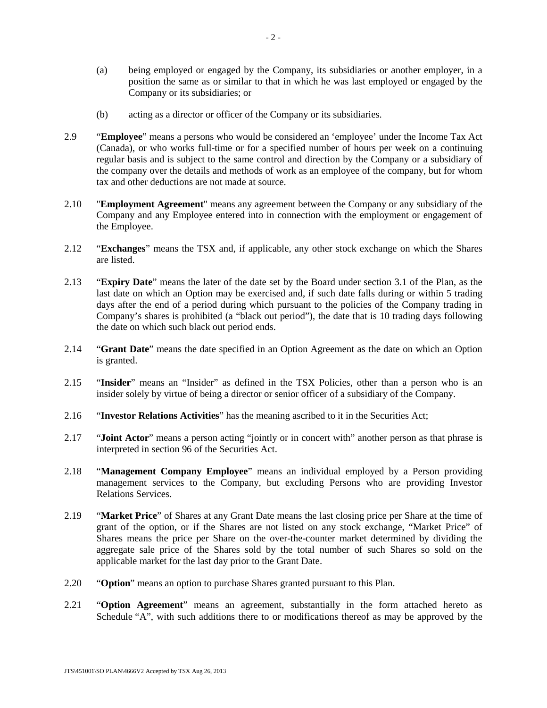- (a) being employed or engaged by the Company, its subsidiaries or another employer, in a position the same as or similar to that in which he was last employed or engaged by the Company or its subsidiaries; or
- (b) acting as a director or officer of the Company or its subsidiaries.
- 2.9 "**Employee**" means a persons who would be considered an 'employee' under the Income Tax Act (Canada), or who works full-time or for a specified number of hours per week on a continuing regular basis and is subject to the same control and direction by the Company or a subsidiary of the company over the details and methods of work as an employee of the company, but for whom tax and other deductions are not made at source.
- 2.10 "**Employment Agreement**" means any agreement between the Company or any subsidiary of the Company and any Employee entered into in connection with the employment or engagement of the Employee.
- 2.12 "**Exchanges**" means the TSX and, if applicable, any other stock exchange on which the Shares are listed.
- 2.13 "**Expiry Date**" means the later of the date set by the Board under section 3.1 of the Plan, as the last date on which an Option may be exercised and, if such date falls during or within 5 trading days after the end of a period during which pursuant to the policies of the Company trading in Company's shares is prohibited (a "black out period"), the date that is 10 trading days following the date on which such black out period ends.
- 2.14 "**Grant Date**" means the date specified in an Option Agreement as the date on which an Option is granted.
- 2.15 "**Insider**" means an "Insider" as defined in the TSX Policies, other than a person who is an insider solely by virtue of being a director or senior officer of a subsidiary of the Company.
- 2.16 "**Investor Relations Activities**" has the meaning ascribed to it in the Securities Act;
- 2.17 "**Joint Actor**" means a person acting "jointly or in concert with" another person as that phrase is interpreted in section 96 of the Securities Act.
- 2.18 "**Management Company Employee**" means an individual employed by a Person providing management services to the Company, but excluding Persons who are providing Investor Relations Services.
- 2.19 "**Market Price**" of Shares at any Grant Date means the last closing price per Share at the time of grant of the option, or if the Shares are not listed on any stock exchange, "Market Price" of Shares means the price per Share on the over-the-counter market determined by dividing the aggregate sale price of the Shares sold by the total number of such Shares so sold on the applicable market for the last day prior to the Grant Date.
- 2.20 "**Option**" means an option to purchase Shares granted pursuant to this Plan.
- 2.21 "**Option Agreement**" means an agreement, substantially in the form attached hereto as Schedule "A", with such additions there to or modifications thereof as may be approved by the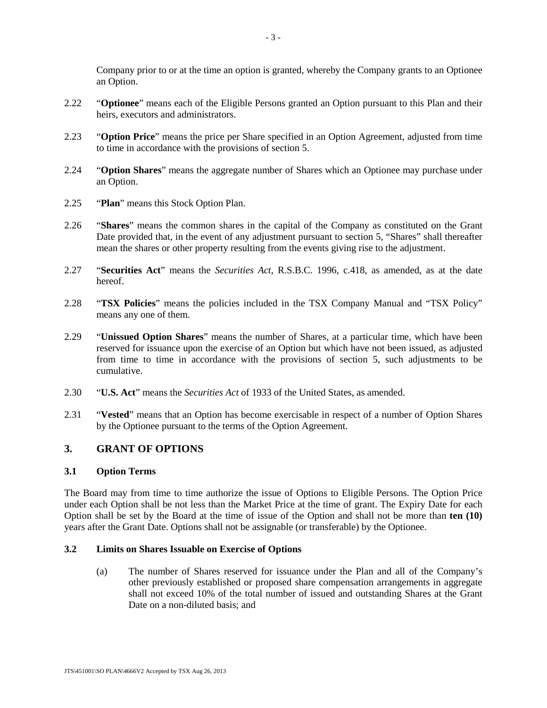Company prior to or at the time an option is granted, whereby the Company grants to an Optionee an Option.

- 2.22 "**Optionee**" means each of the Eligible Persons granted an Option pursuant to this Plan and their heirs, executors and administrators.
- 2.23 "**Option Price**" means the price per Share specified in an Option Agreement, adjusted from time to time in accordance with the provisions of section 5.
- 2.24 "**Option Shares**" means the aggregate number of Shares which an Optionee may purchase under an Option.
- 2.25 "**Plan**" means this Stock Option Plan.
- 2.26 "**Shares**" means the common shares in the capital of the Company as constituted on the Grant Date provided that, in the event of any adjustment pursuant to section 5, "Shares" shall thereafter mean the shares or other property resulting from the events giving rise to the adjustment.
- 2.27 "**Securities Act**" means the *Securities Act*, R.S.B.C. 1996, c.418, as amended, as at the date hereof.
- 2.28 "**TSX Policies**" means the policies included in the TSX Company Manual and "TSX Policy" means any one of them.
- 2.29 "**Unissued Option Shares**" means the number of Shares, at a particular time, which have been reserved for issuance upon the exercise of an Option but which have not been issued, as adjusted from time to time in accordance with the provisions of section 5, such adjustments to be cumulative.
- 2.30 "**U.S. Act**" means the *Securities Act* of 1933 of the United States, as amended.
- 2.31 "**Vested**" means that an Option has become exercisable in respect of a number of Option Shares by the Optionee pursuant to the terms of the Option Agreement.

# **3. GRANT OF OPTIONS**

#### **3.1 Option Terms**

The Board may from time to time authorize the issue of Options to Eligible Persons. The Option Price under each Option shall be not less than the Market Price at the time of grant. The Expiry Date for each Option shall be set by the Board at the time of issue of the Option and shall not be more than **ten (10)** years after the Grant Date. Options shall not be assignable (or transferable) by the Optionee.

#### **3.2 Limits on Shares Issuable on Exercise of Options**

(a) The number of Shares reserved for issuance under the Plan and all of the Company's other previously established or proposed share compensation arrangements in aggregate shall not exceed 10% of the total number of issued and outstanding Shares at the Grant Date on a non-diluted basis; and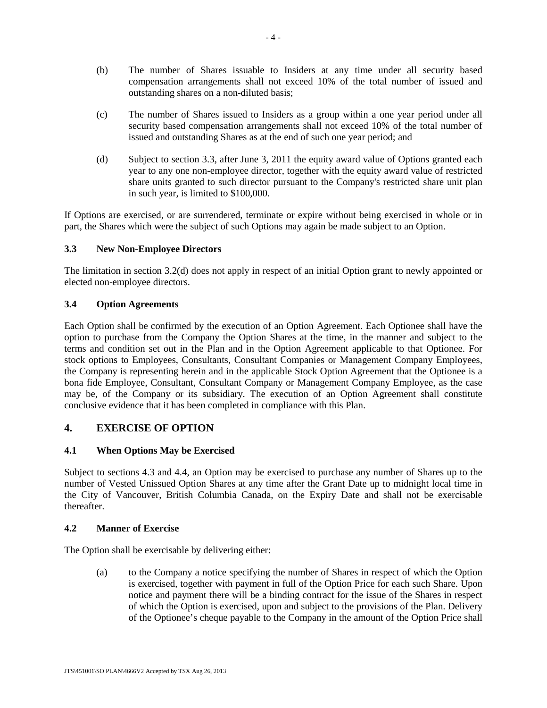- (b) The number of Shares issuable to Insiders at any time under all security based compensation arrangements shall not exceed 10% of the total number of issued and outstanding shares on a non-diluted basis;
- (c) The number of Shares issued to Insiders as a group within a one year period under all security based compensation arrangements shall not exceed 10% of the total number of issued and outstanding Shares as at the end of such one year period; and
- (d) Subject to section 3.3, after June 3, 2011 the equity award value of Options granted each year to any one non-employee director, together with the equity award value of restricted share units granted to such director pursuant to the Company's restricted share unit plan in such year, is limited to \$100,000.

If Options are exercised, or are surrendered, terminate or expire without being exercised in whole or in part, the Shares which were the subject of such Options may again be made subject to an Option.

## **3.3 New Non-Employee Directors**

The limitation in section 3.2(d) does not apply in respect of an initial Option grant to newly appointed or elected non-employee directors.

## **3.4 Option Agreements**

Each Option shall be confirmed by the execution of an Option Agreement. Each Optionee shall have the option to purchase from the Company the Option Shares at the time, in the manner and subject to the terms and condition set out in the Plan and in the Option Agreement applicable to that Optionee. For stock options to Employees, Consultants, Consultant Companies or Management Company Employees, the Company is representing herein and in the applicable Stock Option Agreement that the Optionee is a bona fide Employee, Consultant, Consultant Company or Management Company Employee, as the case may be, of the Company or its subsidiary. The execution of an Option Agreement shall constitute conclusive evidence that it has been completed in compliance with this Plan.

# **4. EXERCISE OF OPTION**

## **4.1 When Options May be Exercised**

Subject to sections 4.3 and 4.4, an Option may be exercised to purchase any number of Shares up to the number of Vested Unissued Option Shares at any time after the Grant Date up to midnight local time in the City of Vancouver, British Columbia Canada, on the Expiry Date and shall not be exercisable thereafter.

## **4.2 Manner of Exercise**

The Option shall be exercisable by delivering either:

(a) to the Company a notice specifying the number of Shares in respect of which the Option is exercised, together with payment in full of the Option Price for each such Share. Upon notice and payment there will be a binding contract for the issue of the Shares in respect of which the Option is exercised, upon and subject to the provisions of the Plan. Delivery of the Optionee's cheque payable to the Company in the amount of the Option Price shall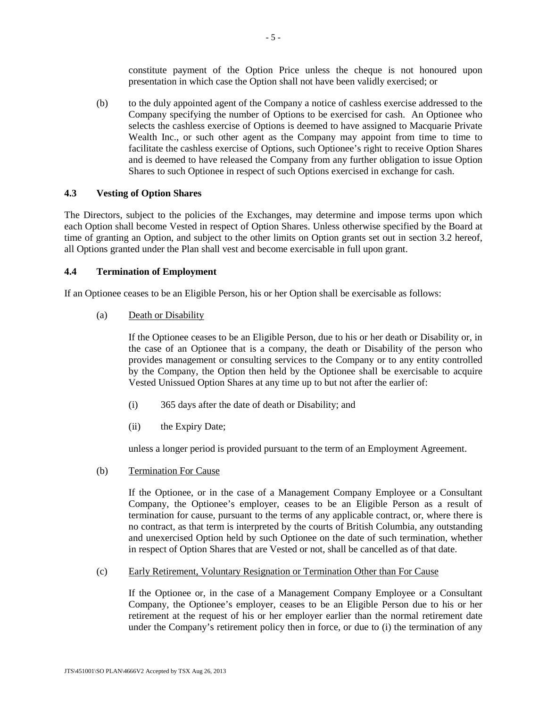constitute payment of the Option Price unless the cheque is not honoured upon presentation in which case the Option shall not have been validly exercised; or

(b) to the duly appointed agent of the Company a notice of cashless exercise addressed to the Company specifying the number of Options to be exercised for cash. An Optionee who selects the cashless exercise of Options is deemed to have assigned to Macquarie Private Wealth Inc., or such other agent as the Company may appoint from time to time to facilitate the cashless exercise of Options, such Optionee's right to receive Option Shares and is deemed to have released the Company from any further obligation to issue Option Shares to such Optionee in respect of such Options exercised in exchange for cash.

## **4.3 Vesting of Option Shares**

The Directors, subject to the policies of the Exchanges, may determine and impose terms upon which each Option shall become Vested in respect of Option Shares. Unless otherwise specified by the Board at time of granting an Option, and subject to the other limits on Option grants set out in section 3.2 hereof, all Options granted under the Plan shall vest and become exercisable in full upon grant.

### **4.4 Termination of Employment**

If an Optionee ceases to be an Eligible Person, his or her Option shall be exercisable as follows:

(a) Death or Disability

If the Optionee ceases to be an Eligible Person, due to his or her death or Disability or, in the case of an Optionee that is a company, the death or Disability of the person who provides management or consulting services to the Company or to any entity controlled by the Company, the Option then held by the Optionee shall be exercisable to acquire Vested Unissued Option Shares at any time up to but not after the earlier of:

- (i) 365 days after the date of death or Disability; and
- (ii) the Expiry Date;

unless a longer period is provided pursuant to the term of an Employment Agreement.

(b) Termination For Cause

If the Optionee, or in the case of a Management Company Employee or a Consultant Company, the Optionee's employer, ceases to be an Eligible Person as a result of termination for cause, pursuant to the terms of any applicable contract, or, where there is no contract, as that term is interpreted by the courts of British Columbia, any outstanding and unexercised Option held by such Optionee on the date of such termination, whether in respect of Option Shares that are Vested or not, shall be cancelled as of that date.

#### (c) Early Retirement, Voluntary Resignation or Termination Other than For Cause

If the Optionee or, in the case of a Management Company Employee or a Consultant Company, the Optionee's employer, ceases to be an Eligible Person due to his or her retirement at the request of his or her employer earlier than the normal retirement date under the Company's retirement policy then in force, or due to (i) the termination of any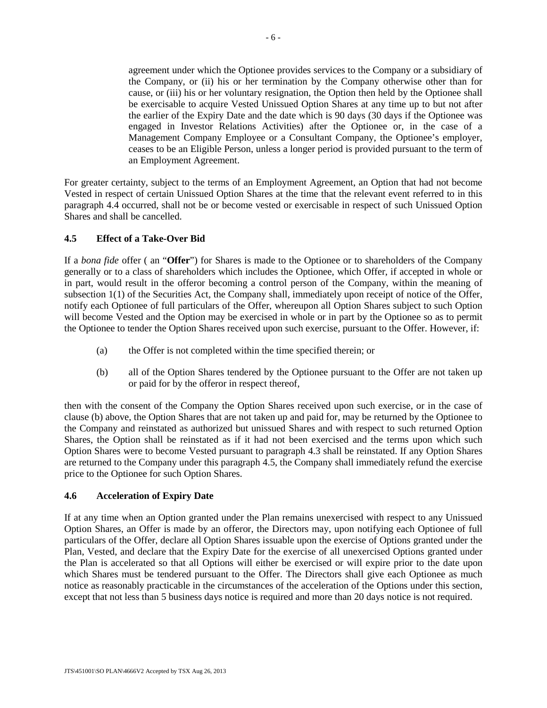agreement under which the Optionee provides services to the Company or a subsidiary of the Company, or (ii) his or her termination by the Company otherwise other than for cause, or (iii) his or her voluntary resignation, the Option then held by the Optionee shall be exercisable to acquire Vested Unissued Option Shares at any time up to but not after the earlier of the Expiry Date and the date which is 90 days (30 days if the Optionee was engaged in Investor Relations Activities) after the Optionee or, in the case of a Management Company Employee or a Consultant Company, the Optionee's employer, ceases to be an Eligible Person, unless a longer period is provided pursuant to the term of an Employment Agreement.

For greater certainty, subject to the terms of an Employment Agreement, an Option that had not become Vested in respect of certain Unissued Option Shares at the time that the relevant event referred to in this paragraph 4.4 occurred, shall not be or become vested or exercisable in respect of such Unissued Option Shares and shall be cancelled.

## **4.5 Effect of a Take-Over Bid**

If a *bona fide* offer ( an "**Offer**") for Shares is made to the Optionee or to shareholders of the Company generally or to a class of shareholders which includes the Optionee, which Offer, if accepted in whole or in part, would result in the offeror becoming a control person of the Company, within the meaning of subsection 1(1) of the Securities Act, the Company shall, immediately upon receipt of notice of the Offer, notify each Optionee of full particulars of the Offer, whereupon all Option Shares subject to such Option will become Vested and the Option may be exercised in whole or in part by the Optionee so as to permit the Optionee to tender the Option Shares received upon such exercise, pursuant to the Offer. However, if:

- (a) the Offer is not completed within the time specified therein; or
- (b) all of the Option Shares tendered by the Optionee pursuant to the Offer are not taken up or paid for by the offeror in respect thereof,

then with the consent of the Company the Option Shares received upon such exercise, or in the case of clause (b) above, the Option Shares that are not taken up and paid for, may be returned by the Optionee to the Company and reinstated as authorized but unissued Shares and with respect to such returned Option Shares, the Option shall be reinstated as if it had not been exercised and the terms upon which such Option Shares were to become Vested pursuant to paragraph 4.3 shall be reinstated. If any Option Shares are returned to the Company under this paragraph 4.5, the Company shall immediately refund the exercise price to the Optionee for such Option Shares.

## **4.6 Acceleration of Expiry Date**

If at any time when an Option granted under the Plan remains unexercised with respect to any Unissued Option Shares, an Offer is made by an offeror, the Directors may, upon notifying each Optionee of full particulars of the Offer, declare all Option Shares issuable upon the exercise of Options granted under the Plan, Vested, and declare that the Expiry Date for the exercise of all unexercised Options granted under the Plan is accelerated so that all Options will either be exercised or will expire prior to the date upon which Shares must be tendered pursuant to the Offer. The Directors shall give each Optionee as much notice as reasonably practicable in the circumstances of the acceleration of the Options under this section, except that not less than 5 business days notice is required and more than 20 days notice is not required.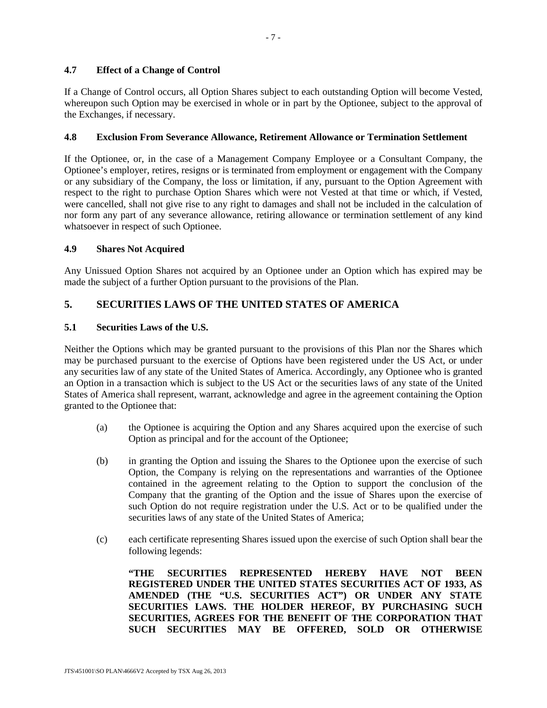## **4.7 Effect of a Change of Control**

If a Change of Control occurs, all Option Shares subject to each outstanding Option will become Vested, whereupon such Option may be exercised in whole or in part by the Optionee, subject to the approval of the Exchanges, if necessary.

### **4.8 Exclusion From Severance Allowance, Retirement Allowance or Termination Settlement**

If the Optionee, or, in the case of a Management Company Employee or a Consultant Company, the Optionee's employer, retires, resigns or is terminated from employment or engagement with the Company or any subsidiary of the Company, the loss or limitation, if any, pursuant to the Option Agreement with respect to the right to purchase Option Shares which were not Vested at that time or which, if Vested, were cancelled, shall not give rise to any right to damages and shall not be included in the calculation of nor form any part of any severance allowance, retiring allowance or termination settlement of any kind whatsoever in respect of such Optionee.

### **4.9 Shares Not Acquired**

Any Unissued Option Shares not acquired by an Optionee under an Option which has expired may be made the subject of a further Option pursuant to the provisions of the Plan.

# **5. SECURITIES LAWS OF THE UNITED STATES OF AMERICA**

## **5.1 Securities Laws of the U.S.**

Neither the Options which may be granted pursuant to the provisions of this Plan nor the Shares which may be purchased pursuant to the exercise of Options have been registered under the US Act, or under any securities law of any state of the United States of America. Accordingly, any Optionee who is granted an Option in a transaction which is subject to the US Act or the securities laws of any state of the United States of America shall represent, warrant, acknowledge and agree in the agreement containing the Option granted to the Optionee that:

- (a) the Optionee is acquiring the Option and any Shares acquired upon the exercise of such Option as principal and for the account of the Optionee;
- (b) in granting the Option and issuing the Shares to the Optionee upon the exercise of such Option, the Company is relying on the representations and warranties of the Optionee contained in the agreement relating to the Option to support the conclusion of the Company that the granting of the Option and the issue of Shares upon the exercise of such Option do not require registration under the U.S. Act or to be qualified under the securities laws of any state of the United States of America;
- (c) each certificate representing Shares issued upon the exercise of such Option shall bear the following legends:

**"THE SECURITIES REPRESENTED HEREBY HAVE NOT BEEN REGISTERED UNDER THE UNITED STATES SECURITIES ACT OF 1933, AS AMENDED (THE "U.S. SECURITIES ACT") OR UNDER ANY STATE SECURITIES LAWS. THE HOLDER HEREOF, BY PURCHASING SUCH SECURITIES, AGREES FOR THE BENEFIT OF THE CORPORATION THAT SUCH SECURITIES MAY BE OFFERED, SOLD OR OTHERWISE**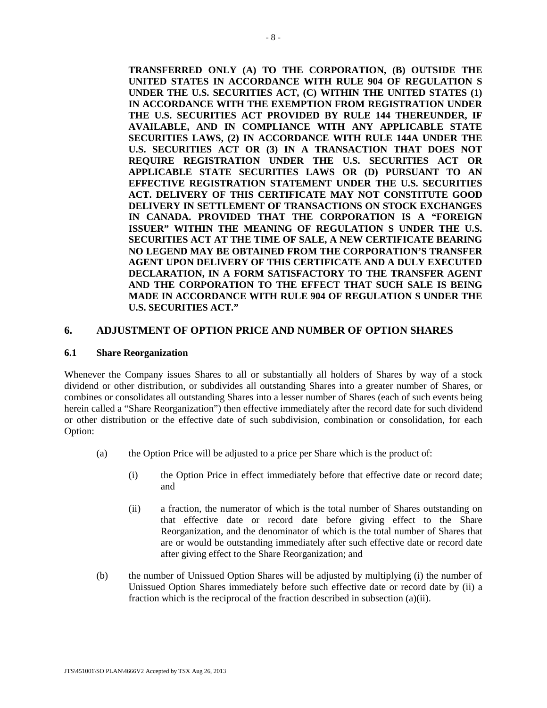**TRANSFERRED ONLY (A) TO THE CORPORATION, (B) OUTSIDE THE UNITED STATES IN ACCORDANCE WITH RULE 904 OF REGULATION S UNDER THE U.S. SECURITIES ACT, (C) WITHIN THE UNITED STATES (1) IN ACCORDANCE WITH THE EXEMPTION FROM REGISTRATION UNDER THE U.S. SECURITIES ACT PROVIDED BY RULE 144 THEREUNDER, IF AVAILABLE, AND IN COMPLIANCE WITH ANY APPLICABLE STATE SECURITIES LAWS, (2) IN ACCORDANCE WITH RULE 144A UNDER THE U.S. SECURITIES ACT OR (3) IN A TRANSACTION THAT DOES NOT REQUIRE REGISTRATION UNDER THE U.S. SECURITIES ACT OR APPLICABLE STATE SECURITIES LAWS OR (D) PURSUANT TO AN EFFECTIVE REGISTRATION STATEMENT UNDER THE U.S. SECURITIES ACT. DELIVERY OF THIS CERTIFICATE MAY NOT CONSTITUTE GOOD DELIVERY IN SETTLEMENT OF TRANSACTIONS ON STOCK EXCHANGES IN CANADA. PROVIDED THAT THE CORPORATION IS A "FOREIGN ISSUER" WITHIN THE MEANING OF REGULATION S UNDER THE U.S. SECURITIES ACT AT THE TIME OF SALE, A NEW CERTIFICATE BEARING NO LEGEND MAY BE OBTAINED FROM THE CORPORATION'S TRANSFER AGENT UPON DELIVERY OF THIS CERTIFICATE AND A DULY EXECUTED DECLARATION, IN A FORM SATISFACTORY TO THE TRANSFER AGENT AND THE CORPORATION TO THE EFFECT THAT SUCH SALE IS BEING MADE IN ACCORDANCE WITH RULE 904 OF REGULATION S UNDER THE U.S. SECURITIES ACT."** 

## **6. ADJUSTMENT OF OPTION PRICE AND NUMBER OF OPTION SHARES**

#### **6.1 Share Reorganization**

Whenever the Company issues Shares to all or substantially all holders of Shares by way of a stock dividend or other distribution, or subdivides all outstanding Shares into a greater number of Shares, or combines or consolidates all outstanding Shares into a lesser number of Shares (each of such events being herein called a "Share Reorganization") then effective immediately after the record date for such dividend or other distribution or the effective date of such subdivision, combination or consolidation, for each Option:

- (a) the Option Price will be adjusted to a price per Share which is the product of:
	- (i) the Option Price in effect immediately before that effective date or record date; and
	- (ii) a fraction, the numerator of which is the total number of Shares outstanding on that effective date or record date before giving effect to the Share Reorganization, and the denominator of which is the total number of Shares that are or would be outstanding immediately after such effective date or record date after giving effect to the Share Reorganization; and
- (b) the number of Unissued Option Shares will be adjusted by multiplying (i) the number of Unissued Option Shares immediately before such effective date or record date by (ii) a fraction which is the reciprocal of the fraction described in subsection (a)(ii).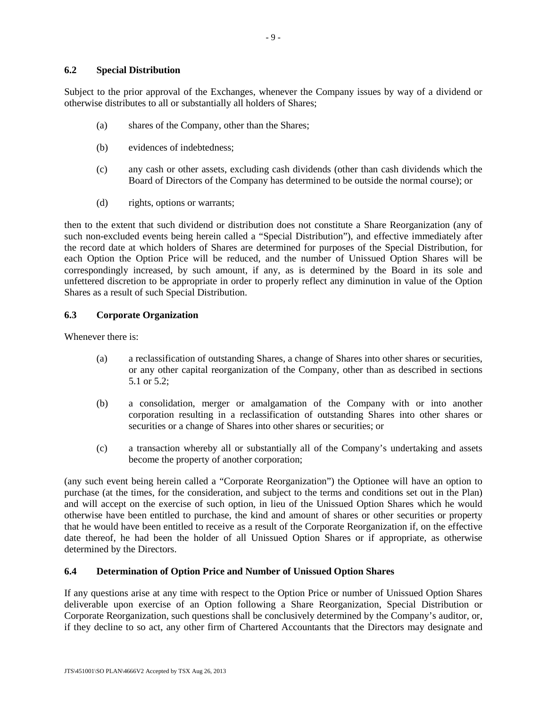Subject to the prior approval of the Exchanges, whenever the Company issues by way of a dividend or otherwise distributes to all or substantially all holders of Shares;

- (a) shares of the Company, other than the Shares;
- (b) evidences of indebtedness;
- (c) any cash or other assets, excluding cash dividends (other than cash dividends which the Board of Directors of the Company has determined to be outside the normal course); or
- (d) rights, options or warrants;

then to the extent that such dividend or distribution does not constitute a Share Reorganization (any of such non-excluded events being herein called a "Special Distribution"), and effective immediately after the record date at which holders of Shares are determined for purposes of the Special Distribution, for each Option the Option Price will be reduced, and the number of Unissued Option Shares will be correspondingly increased, by such amount, if any, as is determined by the Board in its sole and unfettered discretion to be appropriate in order to properly reflect any diminution in value of the Option Shares as a result of such Special Distribution.

## **6.3 Corporate Organization**

Whenever there is:

- (a) a reclassification of outstanding Shares, a change of Shares into other shares or securities, or any other capital reorganization of the Company, other than as described in sections 5.1 or 5.2;
- (b) a consolidation, merger or amalgamation of the Company with or into another corporation resulting in a reclassification of outstanding Shares into other shares or securities or a change of Shares into other shares or securities; or
- (c) a transaction whereby all or substantially all of the Company's undertaking and assets become the property of another corporation;

(any such event being herein called a "Corporate Reorganization") the Optionee will have an option to purchase (at the times, for the consideration, and subject to the terms and conditions set out in the Plan) and will accept on the exercise of such option, in lieu of the Unissued Option Shares which he would otherwise have been entitled to purchase, the kind and amount of shares or other securities or property that he would have been entitled to receive as a result of the Corporate Reorganization if, on the effective date thereof, he had been the holder of all Unissued Option Shares or if appropriate, as otherwise determined by the Directors.

## **6.4 Determination of Option Price and Number of Unissued Option Shares**

If any questions arise at any time with respect to the Option Price or number of Unissued Option Shares deliverable upon exercise of an Option following a Share Reorganization, Special Distribution or Corporate Reorganization, such questions shall be conclusively determined by the Company's auditor, or, if they decline to so act, any other firm of Chartered Accountants that the Directors may designate and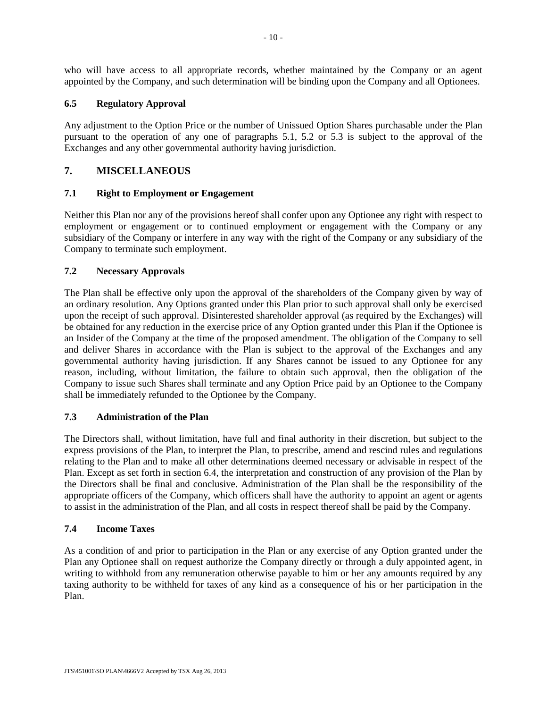who will have access to all appropriate records, whether maintained by the Company or an agent appointed by the Company, and such determination will be binding upon the Company and all Optionees.

## **6.5 Regulatory Approval**

Any adjustment to the Option Price or the number of Unissued Option Shares purchasable under the Plan pursuant to the operation of any one of paragraphs 5.1, 5.2 or 5.3 is subject to the approval of the Exchanges and any other governmental authority having jurisdiction.

# **7. MISCELLANEOUS**

## **7.1 Right to Employment or Engagement**

Neither this Plan nor any of the provisions hereof shall confer upon any Optionee any right with respect to employment or engagement or to continued employment or engagement with the Company or any subsidiary of the Company or interfere in any way with the right of the Company or any subsidiary of the Company to terminate such employment.

## **7.2 Necessary Approvals**

The Plan shall be effective only upon the approval of the shareholders of the Company given by way of an ordinary resolution. Any Options granted under this Plan prior to such approval shall only be exercised upon the receipt of such approval. Disinterested shareholder approval (as required by the Exchanges) will be obtained for any reduction in the exercise price of any Option granted under this Plan if the Optionee is an Insider of the Company at the time of the proposed amendment. The obligation of the Company to sell and deliver Shares in accordance with the Plan is subject to the approval of the Exchanges and any governmental authority having jurisdiction. If any Shares cannot be issued to any Optionee for any reason, including, without limitation, the failure to obtain such approval, then the obligation of the Company to issue such Shares shall terminate and any Option Price paid by an Optionee to the Company shall be immediately refunded to the Optionee by the Company.

## **7.3 Administration of the Plan**

The Directors shall, without limitation, have full and final authority in their discretion, but subject to the express provisions of the Plan, to interpret the Plan, to prescribe, amend and rescind rules and regulations relating to the Plan and to make all other determinations deemed necessary or advisable in respect of the Plan. Except as set forth in section 6.4, the interpretation and construction of any provision of the Plan by the Directors shall be final and conclusive. Administration of the Plan shall be the responsibility of the appropriate officers of the Company, which officers shall have the authority to appoint an agent or agents to assist in the administration of the Plan, and all costs in respect thereof shall be paid by the Company.

## **7.4 Income Taxes**

As a condition of and prior to participation in the Plan or any exercise of any Option granted under the Plan any Optionee shall on request authorize the Company directly or through a duly appointed agent, in writing to withhold from any remuneration otherwise payable to him or her any amounts required by any taxing authority to be withheld for taxes of any kind as a consequence of his or her participation in the Plan.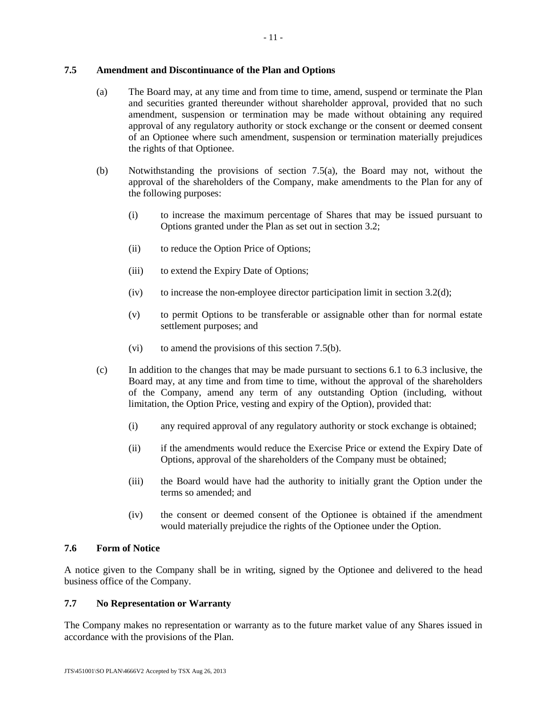## **7.5 Amendment and Discontinuance of the Plan and Options**

- (a) The Board may, at any time and from time to time, amend, suspend or terminate the Plan and securities granted thereunder without shareholder approval, provided that no such amendment, suspension or termination may be made without obtaining any required approval of any regulatory authority or stock exchange or the consent or deemed consent of an Optionee where such amendment, suspension or termination materially prejudices the rights of that Optionee.
- (b) Notwithstanding the provisions of section 7.5(a), the Board may not, without the approval of the shareholders of the Company, make amendments to the Plan for any of the following purposes:
	- (i) to increase the maximum percentage of Shares that may be issued pursuant to Options granted under the Plan as set out in section 3.2;
	- (ii) to reduce the Option Price of Options;
	- (iii) to extend the Expiry Date of Options;
	- (iv) to increase the non-employee director participation limit in section  $3.2(d)$ ;
	- (v) to permit Options to be transferable or assignable other than for normal estate settlement purposes; and
	- (vi) to amend the provisions of this section 7.5(b).
- (c) In addition to the changes that may be made pursuant to sections 6.1 to 6.3 inclusive, the Board may, at any time and from time to time, without the approval of the shareholders of the Company, amend any term of any outstanding Option (including, without limitation, the Option Price, vesting and expiry of the Option), provided that:
	- (i) any required approval of any regulatory authority or stock exchange is obtained;
	- (ii) if the amendments would reduce the Exercise Price or extend the Expiry Date of Options, approval of the shareholders of the Company must be obtained;
	- (iii) the Board would have had the authority to initially grant the Option under the terms so amended; and
	- (iv) the consent or deemed consent of the Optionee is obtained if the amendment would materially prejudice the rights of the Optionee under the Option.

## **7.6 Form of Notice**

A notice given to the Company shall be in writing, signed by the Optionee and delivered to the head business office of the Company.

## **7.7 No Representation or Warranty**

The Company makes no representation or warranty as to the future market value of any Shares issued in accordance with the provisions of the Plan.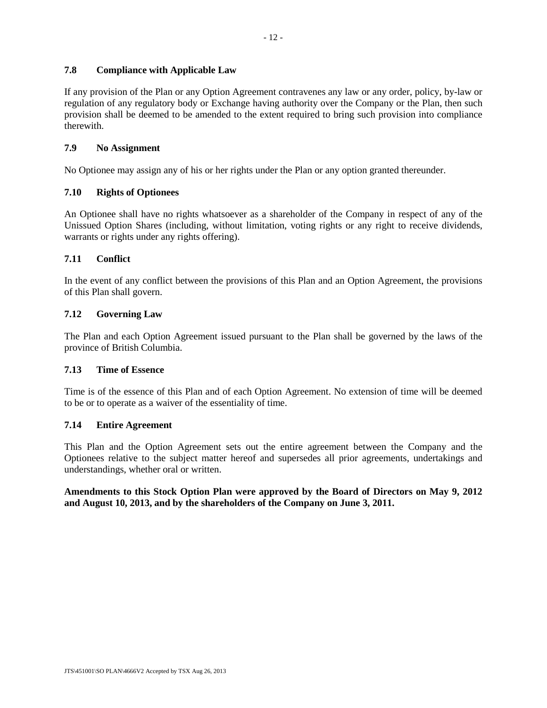## **7.8 Compliance with Applicable Law**

If any provision of the Plan or any Option Agreement contravenes any law or any order, policy, by-law or regulation of any regulatory body or Exchange having authority over the Company or the Plan, then such provision shall be deemed to be amended to the extent required to bring such provision into compliance therewith.

## **7.9 No Assignment**

No Optionee may assign any of his or her rights under the Plan or any option granted thereunder.

## **7.10 Rights of Optionees**

An Optionee shall have no rights whatsoever as a shareholder of the Company in respect of any of the Unissued Option Shares (including, without limitation, voting rights or any right to receive dividends, warrants or rights under any rights offering).

## **7.11 Conflict**

In the event of any conflict between the provisions of this Plan and an Option Agreement, the provisions of this Plan shall govern.

## **7.12 Governing Law**

The Plan and each Option Agreement issued pursuant to the Plan shall be governed by the laws of the province of British Columbia.

## **7.13 Time of Essence**

Time is of the essence of this Plan and of each Option Agreement. No extension of time will be deemed to be or to operate as a waiver of the essentiality of time.

## **7.14 Entire Agreement**

This Plan and the Option Agreement sets out the entire agreement between the Company and the Optionees relative to the subject matter hereof and supersedes all prior agreements, undertakings and understandings, whether oral or written.

**Amendments to this Stock Option Plan were approved by the Board of Directors on May 9, 2012 and August 10, 2013, and by the shareholders of the Company on June 3, 2011.**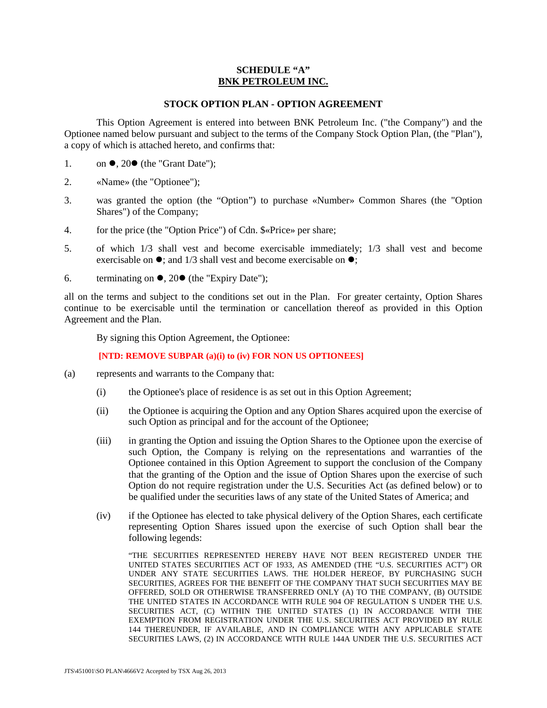## **SCHEDULE "A" BNK PETROLEUM INC.**

#### **STOCK OPTION PLAN - OPTION AGREEMENT**

This Option Agreement is entered into between BNK Petroleum Inc. ("the Company") and the Optionee named below pursuant and subject to the terms of the Company Stock Option Plan, (the "Plan"), a copy of which is attached hereto, and confirms that:

- 1. on  $\bullet$ , 20 $\bullet$  (the "Grant Date");
- 2. «Name» (the "Optionee");
- 3. was granted the option (the "Option") to purchase «Number» Common Shares (the "Option Shares") of the Company;
- 4. for the price (the "Option Price") of Cdn. \$«Price» per share;
- 5. of which 1/3 shall vest and become exercisable immediately; 1/3 shall vest and become exercisable on  $\bullet$ ; and 1/3 shall vest and become exercisable on  $\bullet$ ;
- 6. terminating on  $\bullet$ , 20 $\bullet$  (the "Expiry Date");

all on the terms and subject to the conditions set out in the Plan. For greater certainty, Option Shares continue to be exercisable until the termination or cancellation thereof as provided in this Option Agreement and the Plan.

By signing this Option Agreement, the Optionee:

#### **[NTD: REMOVE SUBPAR (a)(i) to (iv) FOR NON US OPTIONEES]**

- (a) represents and warrants to the Company that:
	- (i) the Optionee's place of residence is as set out in this Option Agreement;
	- (ii) the Optionee is acquiring the Option and any Option Shares acquired upon the exercise of such Option as principal and for the account of the Optionee;
	- (iii) in granting the Option and issuing the Option Shares to the Optionee upon the exercise of such Option, the Company is relying on the representations and warranties of the Optionee contained in this Option Agreement to support the conclusion of the Company that the granting of the Option and the issue of Option Shares upon the exercise of such Option do not require registration under the U.S. Securities Act (as defined below) or to be qualified under the securities laws of any state of the United States of America; and
	- (iv) if the Optionee has elected to take physical delivery of the Option Shares, each certificate representing Option Shares issued upon the exercise of such Option shall bear the following legends:

"THE SECURITIES REPRESENTED HEREBY HAVE NOT BEEN REGISTERED UNDER THE UNITED STATES SECURITIES ACT OF 1933, AS AMENDED (THE "U.S. SECURITIES ACT") OR UNDER ANY STATE SECURITIES LAWS. THE HOLDER HEREOF, BY PURCHASING SUCH SECURITIES, AGREES FOR THE BENEFIT OF THE COMPANY THAT SUCH SECURITIES MAY BE OFFERED, SOLD OR OTHERWISE TRANSFERRED ONLY (A) TO THE COMPANY, (B) OUTSIDE THE UNITED STATES IN ACCORDANCE WITH RULE 904 OF REGULATION S UNDER THE U.S. SECURITIES ACT, (C) WITHIN THE UNITED STATES (1) IN ACCORDANCE WITH THE EXEMPTION FROM REGISTRATION UNDER THE U.S. SECURITIES ACT PROVIDED BY RULE 144 THEREUNDER, IF AVAILABLE, AND IN COMPLIANCE WITH ANY APPLICABLE STATE SECURITIES LAWS, (2) IN ACCORDANCE WITH RULE 144A UNDER THE U.S. SECURITIES ACT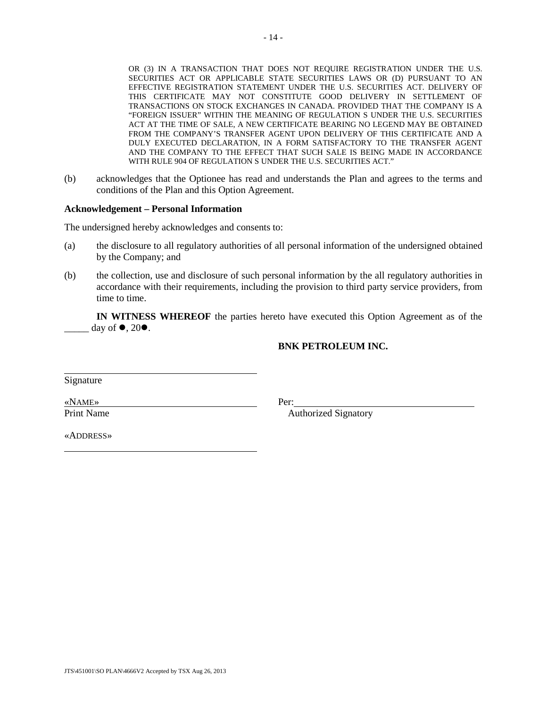OR (3) IN A TRANSACTION THAT DOES NOT REQUIRE REGISTRATION UNDER THE U.S. SECURITIES ACT OR APPLICABLE STATE SECURITIES LAWS OR (D) PURSUANT TO AN EFFECTIVE REGISTRATION STATEMENT UNDER THE U.S. SECURITIES ACT. DELIVERY OF THIS CERTIFICATE MAY NOT CONSTITUTE GOOD DELIVERY IN SETTLEMENT OF TRANSACTIONS ON STOCK EXCHANGES IN CANADA. PROVIDED THAT THE COMPANY IS A "FOREIGN ISSUER" WITHIN THE MEANING OF REGULATION S UNDER THE U.S. SECURITIES ACT AT THE TIME OF SALE, A NEW CERTIFICATE BEARING NO LEGEND MAY BE OBTAINED FROM THE COMPANY'S TRANSFER AGENT UPON DELIVERY OF THIS CERTIFICATE AND A DULY EXECUTED DECLARATION, IN A FORM SATISFACTORY TO THE TRANSFER AGENT AND THE COMPANY TO THE EFFECT THAT SUCH SALE IS BEING MADE IN ACCORDANCE WITH RULE 904 OF REGULATION S UNDER THE U.S. SECURITIES ACT."

(b) acknowledges that the Optionee has read and understands the Plan and agrees to the terms and conditions of the Plan and this Option Agreement.

#### **Acknowledgement – Personal Information**

The undersigned hereby acknowledges and consents to:

- (a) the disclosure to all regulatory authorities of all personal information of the undersigned obtained by the Company; and
- (b) the collection, use and disclosure of such personal information by the all regulatory authorities in accordance with their requirements, including the provision to third party service providers, from time to time.

**IN WITNESS WHEREOF** the parties hereto have executed this Option Agreement as of the day of  $\bullet$ , 20 $\bullet$ .

#### **BNK PETROLEUM INC.**

Signature

«NAME» Print Name Per:

Authorized Signatory

«ADDRESS»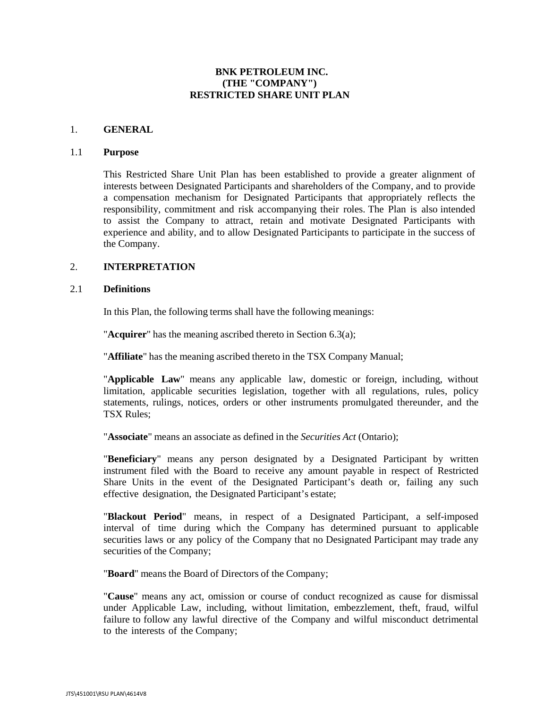### **BNK PETROLEUM INC. (THE "COMPANY") RESTRICTED SHARE UNIT PLAN**

#### 1. **GENERAL**

#### 1.1 **Purpose**

This Restricted Share Unit Plan has been established to provide a greater alignment of interests between Designated Participants and shareholders of the Company, and to provide a compensation mechanism for Designated Participants that appropriately reflects the responsibility, commitment and risk accompanying their roles. The Plan is also intended to assist the Company to attract, retain and motivate Designated Participants with experience and ability, and to allow Designated Participants to participate in the success of the Company.

### 2. **INTERPRETATION**

#### 2.1 **Definitions**

In this Plan, the following terms shall have the following meanings:

"**Acquirer**" has the meaning ascribed thereto in Section [6.3\(a\);](#page-62-0)

"**Affiliate**" has the meaning ascribed thereto in the TSX Company Manual;

"**Applicable Law**" means any applicable law, domestic or foreign, including, without limitation, applicable securities legislation, together with all regulations, rules, policy statements, rulings, notices, orders or other instruments promulgated thereunder, and the TSX Rules;

"**Associate**" means an associate as defined in the *Securities Act* (Ontario);

"**Beneficiary**" means any person designated by a Designated Participant by written instrument filed with the Board to receive any amount payable in respect of Restricted Share Units in the event of the Designated Participant's death or, failing any such effective designation, the Designated Participant's estate;

"**Blackout Period**" means, in respect of a Designated Participant, a self-imposed interval of time during which the Company has determined pursuant to applicable securities laws or any policy of the Company that no Designated Participant may trade any securities of the Company;

"**Board**" means the Board of Directors of the Company;

"**Cause**" means any act, omission or course of conduct recognized as cause for dismissal under Applicable Law, including, without limitation, embezzlement, theft, fraud, wilful failure to follow any lawful directive of the Company and wilful misconduct detrimental to the interests of the Company;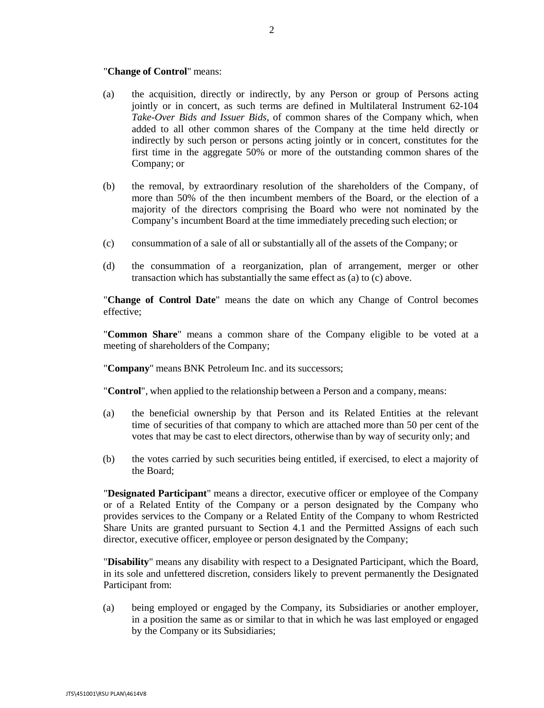#### "**Change of Control**" means:

- (a) the acquisition, directly or indirectly, by any Person or group of Persons acting jointly or in concert, as such terms are defined in Multilateral Instrument 62-104 *Take-Over Bids and Issuer Bids*, of common shares of the Company which, when added to all other common shares of the Company at the time held directly or indirectly by such person or persons acting jointly or in concert, constitutes for the first time in the aggregate 50% or more of the outstanding common shares of the Company; or
- (b) the removal, by extraordinary resolution of the shareholders of the Company, of more than 50% of the then incumbent members of the Board, or the election of a majority of the directors comprising the Board who were not nominated by the Company's incumbent Board at the time immediately preceding such election; or
- (c) consummation of a sale of all or substantially all of the assets of the Company; or
- (d) the consummation of a reorganization, plan of arrangement, merger or other transaction which has substantially the same effect as (a) to (c) above.

"**Change of Control Date**" means the date on which any Change of Control becomes effective;

"**Common Share**" means a common share of the Company eligible to be voted at a meeting of shareholders of the Company;

"**Company**" means BNK Petroleum Inc. and its successors;

"**Control**", when applied to the relationship between a Person and a company, means:

- (a) the beneficial ownership by that Person and its Related Entities at the relevant time of securities of that company to which are attached more than 50 per cent of the votes that may be cast to elect directors, otherwise than by way of security only; and
- (b) the votes carried by such securities being entitled, if exercised, to elect a majority of the Board;

"**Designated Participant**" means a director, executive officer or employee of the Company or of a Related Entity of the Company or a person designated by the Company who provides services to the Company or a Related Entity of the Company to whom Restricted Share Units are granted pursuant to Section [4.1](#page-58-0) and the Permitted Assigns of each such director, executive officer, employee or person designated by the Company;

"**Disability**" means any disability with respect to a Designated Participant, which the Board, in its sole and unfettered discretion, considers likely to prevent permanently the Designated Participant from:

(a) being employed or engaged by the Company, its Subsidiaries or another employer, in a position the same as or similar to that in which he was last employed or engaged by the Company or its Subsidiaries;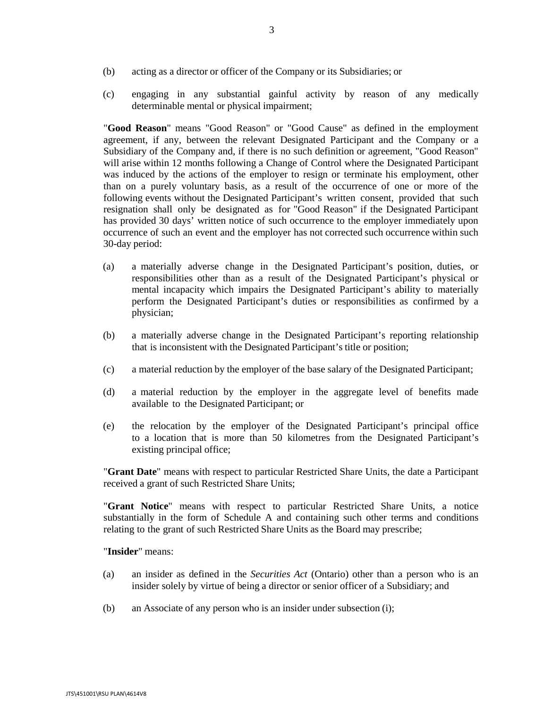- (b) acting as a director or officer of the Company or its Subsidiaries; or
- (c) engaging in any substantial gainful activity by reason of any medically determinable mental or physical impairment;

"**Good Reason**" means "Good Reason" or "Good Cause" as defined in the employment agreement, if any, between the relevant Designated Participant and the Company or a Subsidiary of the Company and, if there is no such definition or agreement, "Good Reason" will arise within 12 months following a Change of Control where the Designated Participant was induced by the actions of the employer to resign or terminate his employment, other than on a purely voluntary basis, as a result of the occurrence of one or more of the following events without the Designated Participant's written consent, provided that such resignation shall only be designated as for "Good Reason" if the Designated Participant has provided 30 days' written notice of such occurrence to the employer immediately upon occurrence of such an event and the employer has not corrected such occurrence within such 30-day period:

- (a) a materially adverse change in the Designated Participant's position, duties, or responsibilities other than as a result of the Designated Participant's physical or mental incapacity which impairs the Designated Participant's ability to materially perform the Designated Participant's duties or responsibilities as confirmed by a physician;
- (b) a materially adverse change in the Designated Participant's reporting relationship that is inconsistent with the Designated Participant's title or position;
- (c) a material reduction by the employer of the base salary of the Designated Participant;
- (d) a material reduction by the employer in the aggregate level of benefits made available to the Designated Participant; or
- (e) the relocation by the employer of the Designated Participant's principal office to a location that is more than 50 kilometres from the Designated Participant's existing principal office;

"**Grant Date**" means with respect to particular Restricted Share Units, the date a Participant received a grant of such Restricted Share Units;

"**Grant Notice**" means with respect to particular Restricted Share Units, a notice substantially in the form of Schedule A and containing such other terms and conditions relating to the grant of such Restricted Share Units as the Board may prescribe;

"**Insider**" means:

- (a) an insider as defined in the *Securities Act* (Ontario) other than a person who is an insider solely by virtue of being a director or senior officer of a Subsidiary; and
- (b) an Associate of any person who is an insider under subsection (i);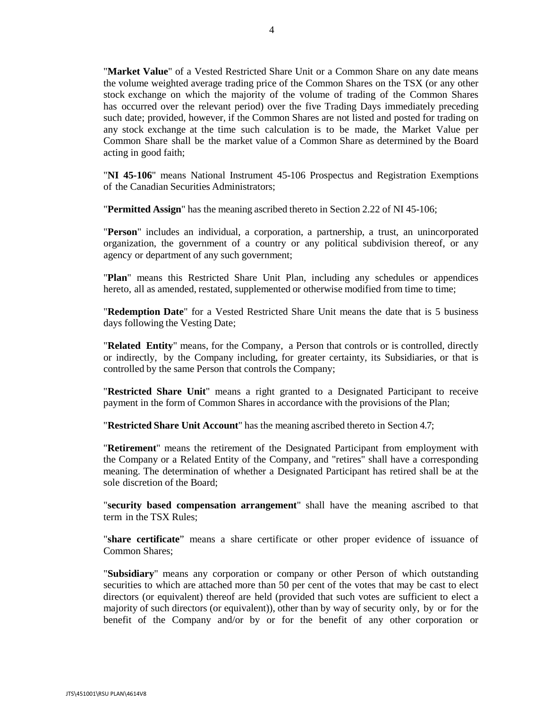"**Market Value**" of a Vested Restricted Share Unit or a Common Share on any date means the volume weighted average trading price of the Common Shares on the TSX (or any other stock exchange on which the majority of the volume of trading of the Common Shares has occurred over the relevant period) over the five Trading Days immediately preceding such date; provided, however, if the Common Shares are not listed and posted for trading on any stock exchange at the time such calculation is to be made, the Market Value per Common Share shall be the market value of a Common Share as determined by the Board acting in good faith;

"**NI 45-106**" means National Instrument 45-106 Prospectus and Registration Exemptions of the Canadian Securities Administrators;

"**Permitted Assign**" has the meaning ascribed thereto in Section 2.22 of NI 45-106;

"**Person**" includes an individual, a corporation, a partnership, a trust, an unincorporated organization, the government of a country or any political subdivision thereof, or any agency or department of any such government;

"**Plan**" means this Restricted Share Unit Plan, including any schedules or appendices hereto, all as amended, restated, supplemented or otherwise modified from time to time;

"**Redemption Date**" for a Vested Restricted Share Unit means the date that is 5 business days following the Vesting Date;

"**Related Entity**" means, for the Company, a Person that controls or is controlled, directly or indirectly, by the Company including, for greater certainty, its Subsidiaries, or that is controlled by the same Person that controls the Company;

"**Restricted Share Unit**" means a right granted to a Designated Participant to receive payment in the form of Common Shares in accordance with the provisions of the Plan;

"**Restricted Share Unit Account**" has the meaning ascribed thereto in Section [4.7;](#page-60-0)

"**Retirement**" means the retirement of the Designated Participant from employment with the Company or a Related Entity of the Company, and "retires" shall have a corresponding meaning. The determination of whether a Designated Participant has retired shall be at the sole discretion of the Board;

"**security based compensation arrangement**" shall have the meaning ascribed to that term in the TSX Rules;

"**share certificate**" means a share certificate or other proper evidence of issuance of Common Shares;

"**Subsidiary**" means any corporation or company or other Person of which outstanding securities to which are attached more than 50 per cent of the votes that may be cast to elect directors (or equivalent) thereof are held (provided that such votes are sufficient to elect a majority of such directors (or equivalent)), other than by way of security only, by or for the benefit of the Company and/or by or for the benefit of any other corporation or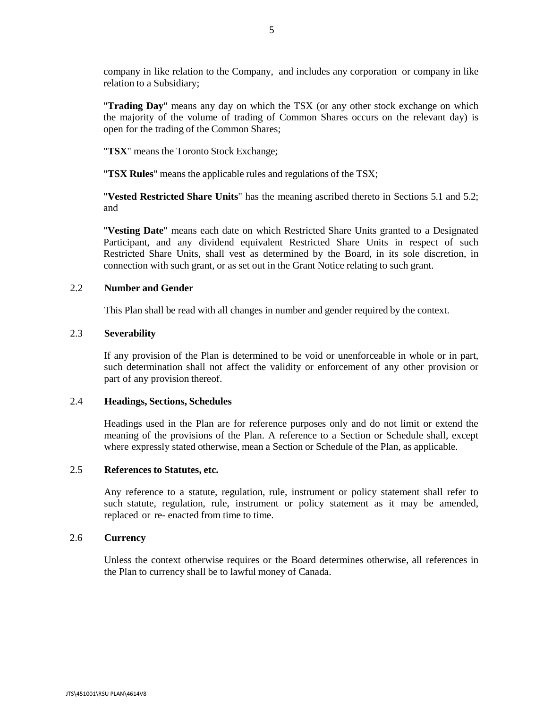company in like relation to the Company, and includes any corporation or company in like relation to a Subsidiary;

"**Trading Day**" means any day on which the TSX (or any other stock exchange on which the majority of the volume of trading of Common Shares occurs on the relevant day) is open for the trading of the Common Shares;

"**TSX**" means the Toronto Stock Exchange;

"**TSX Rules**" means the applicable rules and regulations of the TSX;

"**Vested Restricted Share Units**" has the meaning ascribed thereto in Sections [5.1](#page-60-1) and [5.2;](#page-61-0) and

"**Vesting Date**" means each date on which Restricted Share Units granted to a Designated Participant, and any dividend equivalent Restricted Share Units in respect of such Restricted Share Units, shall vest as determined by the Board, in its sole discretion, in connection with such grant, or as set out in the Grant Notice relating to such grant.

#### 2.2 **Number and Gender**

This Plan shall be read with all changes in number and gender required by the context.

#### 2.3 **Severability**

If any provision of the Plan is determined to be void or unenforceable in whole or in part, such determination shall not affect the validity or enforcement of any other provision or part of any provision thereof.

#### 2.4 **Headings, Sections, Schedules**

Headings used in the Plan are for reference purposes only and do not limit or extend the meaning of the provisions of the Plan. A reference to a Section or Schedule shall, except where expressly stated otherwise, mean a Section or Schedule of the Plan, as applicable.

# 2.5 **References to Statutes, etc.**

Any reference to a statute, regulation, rule, instrument or policy statement shall refer to such statute, regulation, rule, instrument or policy statement as it may be amended, replaced or re- enacted from time to time.

#### 2.6 **Currency**

Unless the context otherwise requires or the Board determines otherwise, all references in the Plan to currency shall be to lawful money of Canada.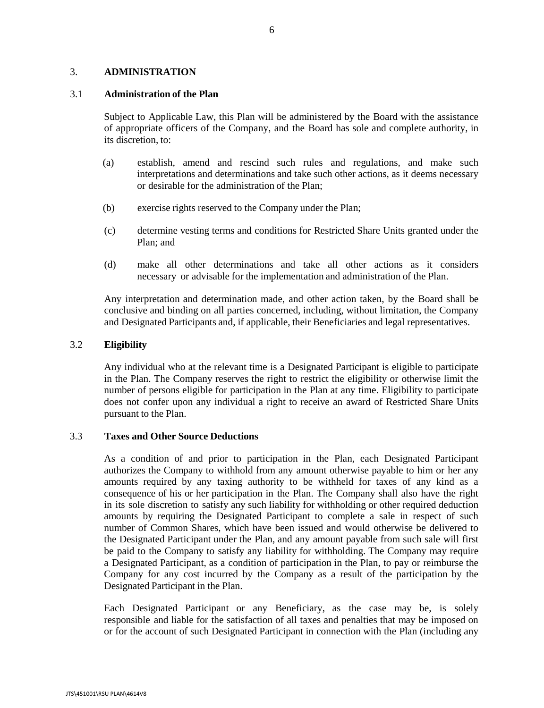### 3. **ADMINISTRATION**

#### 3.1 **Administration of the Plan**

Subject to Applicable Law, this Plan will be administered by the Board with the assistance of appropriate officers of the Company, and the Board has sole and complete authority, in its discretion, to:

- (a) establish, amend and rescind such rules and regulations, and make such interpretations and determinations and take such other actions, as it deems necessary or desirable for the administration of the Plan;
- (b) exercise rights reserved to the Company under the Plan;
- (c) determine vesting terms and conditions for Restricted Share Units granted under the Plan; and
- (d) make all other determinations and take all other actions as it considers necessary or advisable for the implementation and administration of the Plan.

Any interpretation and determination made, and other action taken, by the Board shall be conclusive and binding on all parties concerned, including, without limitation, the Company and Designated Participants and, if applicable, their Beneficiaries and legal representatives.

#### 3.2 **Eligibility**

Any individual who at the relevant time is a Designated Participant is eligible to participate in the Plan. The Company reserves the right to restrict the eligibility or otherwise limit the number of persons eligible for participation in the Plan at any time. Eligibility to participate does not confer upon any individual a right to receive an award of Restricted Share Units pursuant to the Plan.

#### <span id="page-57-0"></span>3.3 **Taxes and Other Source Deductions**

As a condition of and prior to participation in the Plan, each Designated Participant authorizes the Company to withhold from any amount otherwise payable to him or her any amounts required by any taxing authority to be withheld for taxes of any kind as a consequence of his or her participation in the Plan. The Company shall also have the right in its sole discretion to satisfy any such liability for withholding or other required deduction amounts by requiring the Designated Participant to complete a sale in respect of such number of Common Shares, which have been issued and would otherwise be delivered to the Designated Participant under the Plan, and any amount payable from such sale will first be paid to the Company to satisfy any liability for withholding. The Company may require a Designated Participant, as a condition of participation in the Plan, to pay or reimburse the Company for any cost incurred by the Company as a result of the participation by the Designated Participant in the Plan.

Each Designated Participant or any Beneficiary, as the case may be, is solely responsible and liable for the satisfaction of all taxes and penalties that may be imposed on or for the account of such Designated Participant in connection with the Plan (including any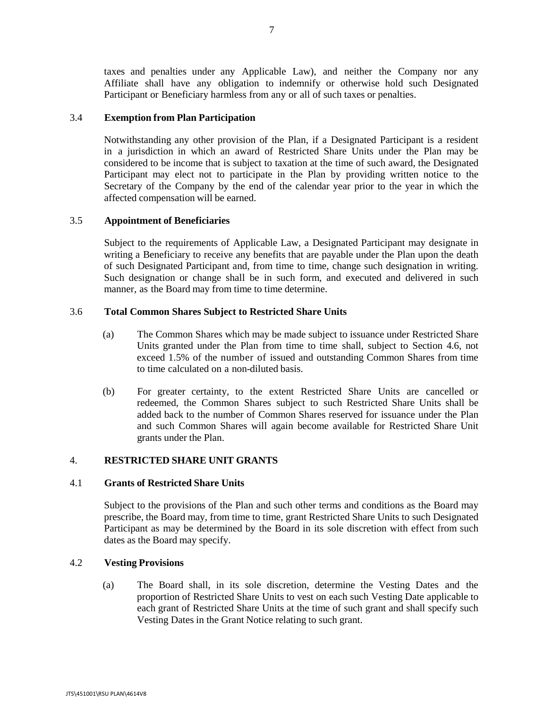taxes and penalties under any Applicable Law), and neither the Company nor any Affiliate shall have any obligation to indemnify or otherwise hold such Designated Participant or Beneficiary harmless from any or all of such taxes or penalties.

#### 3.4 **Exemption from Plan Participation**

Notwithstanding any other provision of the Plan, if a Designated Participant is a resident in a jurisdiction in which an award of Restricted Share Units under the Plan may be considered to be income that is subject to taxation at the time of such award, the Designated Participant may elect not to participate in the Plan by providing written notice to the Secretary of the Company by the end of the calendar year prior to the year in which the affected compensation will be earned.

### 3.5 **Appointment of Beneficiaries**

Subject to the requirements of Applicable Law, a Designated Participant may designate in writing a Beneficiary to receive any benefits that are payable under the Plan upon the death of such Designated Participant and, from time to time, change such designation in writing. Such designation or change shall be in such form, and executed and delivered in such manner, as the Board may from time to time determine.

### 3.6 **Total Common Shares Subject to Restricted Share Units**

- (a) The Common Shares which may be made subject to issuance under Restricted Share Units granted under the Plan from time to time shall, subject to Section [4.6,](#page-59-0) not exceed 1.5% of the number of issued and outstanding Common Shares from time to time calculated on a non-diluted basis.
- (b) For greater certainty, to the extent Restricted Share Units are cancelled or redeemed, the Common Shares subject to such Restricted Share Units shall be added back to the number of Common Shares reserved for issuance under the Plan and such Common Shares will again become available for Restricted Share Unit grants under the Plan.

### 4. **RESTRICTED SHARE UNIT GRANTS**

#### <span id="page-58-0"></span>4.1 **Grants of Restricted Share Units**

Subject to the provisions of the Plan and such other terms and conditions as the Board may prescribe, the Board may, from time to time, grant Restricted Share Units to such Designated Participant as may be determined by the Board in its sole discretion with effect from such dates as the Board may specify.

#### <span id="page-58-1"></span>4.2 **Vesting Provisions**

(a) The Board shall, in its sole discretion, determine the Vesting Dates and the proportion of Restricted Share Units to vest on each such Vesting Date applicable to each grant of Restricted Share Units at the time of such grant and shall specify such Vesting Dates in the Grant Notice relating to such grant.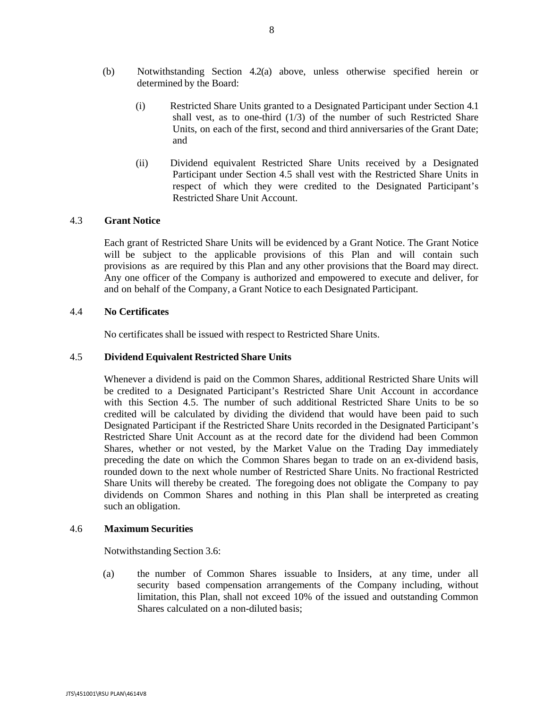- (b) Notwithstanding Section [4.2\(a\)](#page-58-1) above, unless otherwise specified herein or determined by the Board:
	- (i) Restricted Share Units granted to a Designated Participant under Section [4.1](#page-58-0) shall vest, as to one-third (1/3) of the number of such Restricted Share Units, on each of the first, second and third anniversaries of the Grant Date; and
	- (ii) Dividend equivalent Restricted Share Units received by a Designated Participant under Section [4.5](#page-59-1) shall vest with the Restricted Share Units in respect of which they were credited to the Designated Participant's Restricted Share Unit Account.

### 4.3 **Grant Notice**

Each grant of Restricted Share Units will be evidenced by a Grant Notice. The Grant Notice will be subject to the applicable provisions of this Plan and will contain such provisions as are required by this Plan and any other provisions that the Board may direct. Any one officer of the Company is authorized and empowered to execute and deliver, for and on behalf of the Company, a Grant Notice to each Designated Participant.

#### 4.4 **No Certificates**

No certificates shall be issued with respect to Restricted Share Units.

#### <span id="page-59-1"></span>4.5 **Dividend Equivalent Restricted Share Units**

Whenever a dividend is paid on the Common Shares, additional Restricted Share Units will be credited to a Designated Participant's Restricted Share Unit Account in accordance with this Section [4.5.](#page-59-1) The number of such additional Restricted Share Units to be so credited will be calculated by dividing the dividend that would have been paid to such Designated Participant if the Restricted Share Units recorded in the Designated Participant's Restricted Share Unit Account as at the record date for the dividend had been Common Shares, whether or not vested, by the Market Value on the Trading Day immediately preceding the date on which the Common Shares began to trade on an ex-dividend basis, rounded down to the next whole number of Restricted Share Units. No fractional Restricted Share Units will thereby be created. The foregoing does not obligate the Company to pay dividends on Common Shares and nothing in this Plan shall be interpreted as creating such an obligation.

#### <span id="page-59-0"></span>4.6 **Maximum Securities**

Notwithstanding Section 3.6:

(a) the number of Common Shares issuable to Insiders, at any time, under all security based compensation arrangements of the Company including, without limitation, this Plan, shall not exceed 10% of the issued and outstanding Common Shares calculated on a non-diluted basis;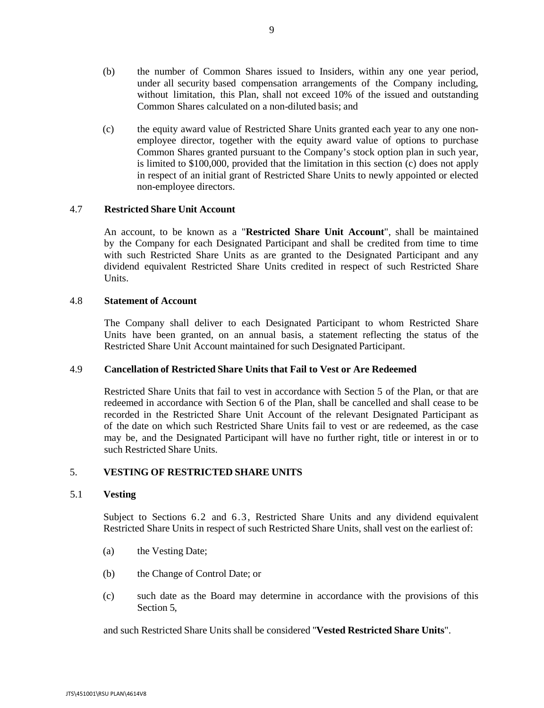- (b) the number of Common Shares issued to Insiders, within any one year period, under all security based compensation arrangements of the Company including, without limitation, this Plan, shall not exceed 10% of the issued and outstanding Common Shares calculated on a non-diluted basis; and
- (c) the equity award value of Restricted Share Units granted each year to any one nonemployee director, together with the equity award value of options to purchase Common Shares granted pursuant to the Company's stock option plan in such year, is limited to \$100,000, provided that the limitation in this section (c) does not apply in respect of an initial grant of Restricted Share Units to newly appointed or elected non-employee directors.

### <span id="page-60-0"></span>4.7 **Restricted Share Unit Account**

An account, to be known as a "**Restricted Share Unit Account**", shall be maintained by the Company for each Designated Participant and shall be credited from time to time with such Restricted Share Units as are granted to the Designated Participant and any dividend equivalent Restricted Share Units credited in respect of such Restricted Share Units.

### 4.8 **Statement of Account**

The Company shall deliver to each Designated Participant to whom Restricted Share Units have been granted, on an annual basis, a statement reflecting the status of the Restricted Share Unit Account maintained for such Designated Participant.

#### 4.9 **Cancellation of Restricted Share Units that Fail to Vest or Are Redeemed**

Restricted Share Units that fail to vest in accordance with Section [5](#page-60-2) of the Plan, or that are redeemed in accordance with Section [6](#page-61-1) of the Plan, shall be cancelled and shall cease to be recorded in the Restricted Share Unit Account of the relevant Designated Participant as of the date on which such Restricted Share Units fail to vest or are redeemed, as the case may be, and the Designated Participant will have no further right, title or interest in or to such Restricted Share Units.

## <span id="page-60-2"></span>5. **VESTING OF RESTRICTED SHARE UNITS**

#### <span id="page-60-1"></span>5.1 **Vesting**

Subject to Sections [6.2](#page-61-2) and [6.3,](#page-62-0) Restricted Share Units and any dividend equivalent Restricted Share Units in respect of such Restricted Share Units, shall vest on the earliest of:

- (a) the Vesting Date;
- (b) the Change of Control Date; or
- (c) such date as the Board may determine in accordance with the provisions of this Section [5,](#page-60-2)

and such Restricted Share Units shall be considered "**Vested Restricted Share Units**".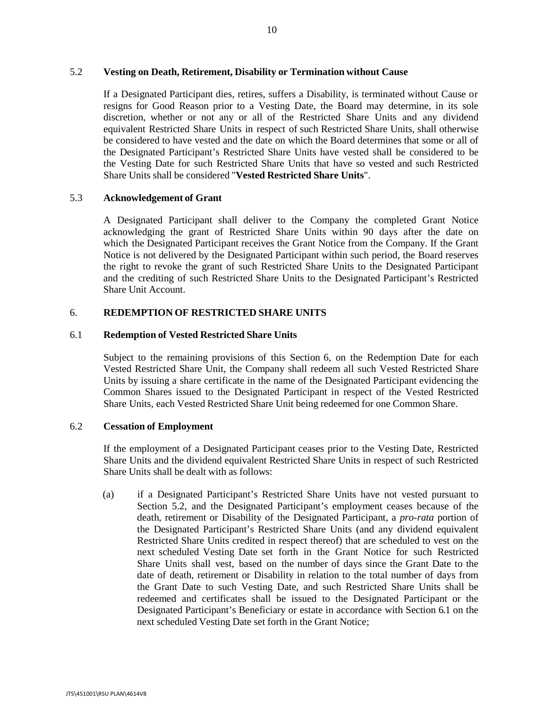#### <span id="page-61-0"></span>5.2 **Vesting on Death, Retirement, Disability or Termination without Cause**

If a Designated Participant dies, retires, suffers a Disability, is terminated without Cause or resigns for Good Reason prior to a Vesting Date, the Board may determine, in its sole discretion, whether or not any or all of the Restricted Share Units and any dividend equivalent Restricted Share Units in respect of such Restricted Share Units, shall otherwise be considered to have vested and the date on which the Board determines that some or all of the Designated Participant's Restricted Share Units have vested shall be considered to be the Vesting Date for such Restricted Share Units that have so vested and such Restricted Share Units shall be considered "**Vested Restricted Share Units**".

#### 5.3 **Acknowledgement of Grant**

A Designated Participant shall deliver to the Company the completed Grant Notice acknowledging the grant of Restricted Share Units within 90 days after the date on which the Designated Participant receives the Grant Notice from the Company. If the Grant Notice is not delivered by the Designated Participant within such period, the Board reserves the right to revoke the grant of such Restricted Share Units to the Designated Participant and the crediting of such Restricted Share Units to the Designated Participant's Restricted Share Unit Account.

## <span id="page-61-1"></span>6. **REDEMPTION OF RESTRICTED SHARE UNITS**

#### <span id="page-61-3"></span>6.1 **Redemption of Vested Restricted Share Units**

Subject to the remaining provisions of this Section [6,](#page-61-1) on the Redemption Date for each Vested Restricted Share Unit, the Company shall redeem all such Vested Restricted Share Units by issuing a share certificate in the name of the Designated Participant evidencing the Common Shares issued to the Designated Participant in respect of the Vested Restricted Share Units, each Vested Restricted Share Unit being redeemed for one Common Share.

### <span id="page-61-2"></span>6.2 **Cessation of Employment**

If the employment of a Designated Participant ceases prior to the Vesting Date, Restricted Share Units and the dividend equivalent Restricted Share Units in respect of such Restricted Share Units shall be dealt with as follows:

(a) if a Designated Participant's Restricted Share Units have not vested pursuant to Section [5.2,](#page-61-0) and the Designated Participant's employment ceases because of the death, retirement or Disability of the Designated Participant, a *pro-rata* portion of the Designated Participant's Restricted Share Units (and any dividend equivalent Restricted Share Units credited in respect thereof) that are scheduled to vest on the next scheduled Vesting Date set forth in the Grant Notice for such Restricted Share Units shall vest, based on the number of days since the Grant Date to the date of death, retirement or Disability in relation to the total number of days from the Grant Date to such Vesting Date, and such Restricted Share Units shall be redeemed and certificates shall be issued to the Designated Participant or the Designated Participant's Beneficiary or estate in accordance with Section [6.1](#page-61-3) on the next scheduled Vesting Date set forth in the Grant Notice;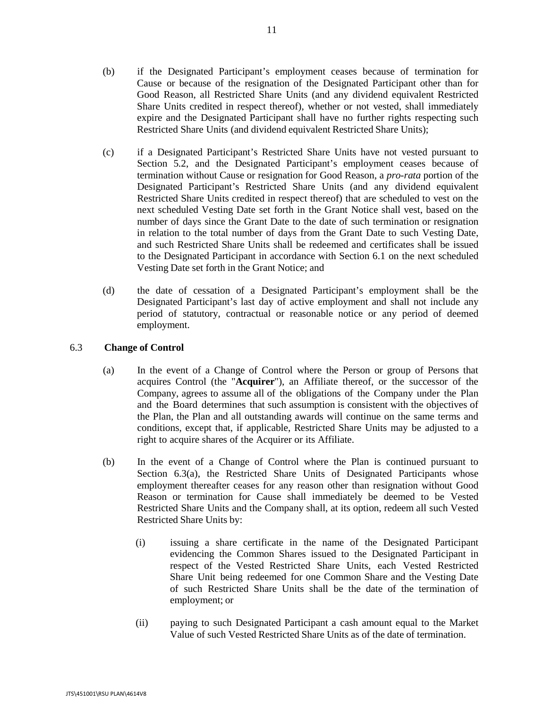11

- (b) if the Designated Participant's employment ceases because of termination for Cause or because of the resignation of the Designated Participant other than for Good Reason, all Restricted Share Units (and any dividend equivalent Restricted Share Units credited in respect thereof), whether or not vested, shall immediately expire and the Designated Participant shall have no further rights respecting such Restricted Share Units (and dividend equivalent Restricted Share Units);
- (c) if a Designated Participant's Restricted Share Units have not vested pursuant to Section [5.2,](#page-61-0) and the Designated Participant's employment ceases because of termination without Cause or resignation for Good Reason, a *pro-rata* portion of the Designated Participant's Restricted Share Units (and any dividend equivalent Restricted Share Units credited in respect thereof) that are scheduled to vest on the next scheduled Vesting Date set forth in the Grant Notice shall vest, based on the number of days since the Grant Date to the date of such termination or resignation in relation to the total number of days from the Grant Date to such Vesting Date, and such Restricted Share Units shall be redeemed and certificates shall be issued to the Designated Participant in accordance with Section [6.1](#page-61-3) on the next scheduled Vesting Date set forth in the Grant Notice; and
- (d) the date of cessation of a Designated Participant's employment shall be the Designated Participant's last day of active employment and shall not include any period of statutory, contractual or reasonable notice or any period of deemed employment.

## <span id="page-62-0"></span>6.3 **Change of Control**

- (a) In the event of a Change of Control where the Person or group of Persons that acquires Control (the "**Acquirer**"), an Affiliate thereof, or the successor of the Company, agrees to assume all of the obligations of the Company under the Plan and the Board determines that such assumption is consistent with the objectives of the Plan, the Plan and all outstanding awards will continue on the same terms and conditions, except that, if applicable, Restricted Share Units may be adjusted to a right to acquire shares of the Acquirer or its Affiliate.
- (b) In the event of a Change of Control where the Plan is continued pursuant to Section [6.3\(a\),](#page-62-0) the Restricted Share Units of Designated Participants whose employment thereafter ceases for any reason other than resignation without Good Reason or termination for Cause shall immediately be deemed to be Vested Restricted Share Units and the Company shall, at its option, redeem all such Vested Restricted Share Units by:
	- (i) issuing a share certificate in the name of the Designated Participant evidencing the Common Shares issued to the Designated Participant in respect of the Vested Restricted Share Units, each Vested Restricted Share Unit being redeemed for one Common Share and the Vesting Date of such Restricted Share Units shall be the date of the termination of employment; or
	- (ii) paying to such Designated Participant a cash amount equal to the Market Value of such Vested Restricted Share Units as of the date of termination.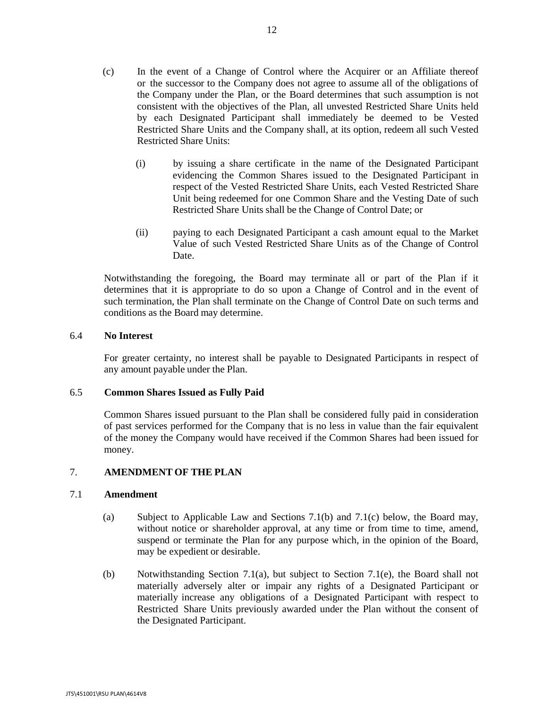- (c) In the event of a Change of Control where the Acquirer or an Affiliate thereof or the successor to the Company does not agree to assume all of the obligations of the Company under the Plan, or the Board determines that such assumption is not consistent with the objectives of the Plan, all unvested Restricted Share Units held by each Designated Participant shall immediately be deemed to be Vested Restricted Share Units and the Company shall, at its option, redeem all such Vested Restricted Share Units:
	- (i) by issuing a share certificate in the name of the Designated Participant evidencing the Common Shares issued to the Designated Participant in respect of the Vested Restricted Share Units, each Vested Restricted Share Unit being redeemed for one Common Share and the Vesting Date of such Restricted Share Units shall be the Change of Control Date; or
	- (ii) paying to each Designated Participant a cash amount equal to the Market Value of such Vested Restricted Share Units as of the Change of Control Date.

Notwithstanding the foregoing, the Board may terminate all or part of the Plan if it determines that it is appropriate to do so upon a Change of Control and in the event of such termination, the Plan shall terminate on the Change of Control Date on such terms and conditions as the Board may determine.

#### 6.4 **No Interest**

For greater certainty, no interest shall be payable to Designated Participants in respect of any amount payable under the Plan.

## 6.5 **Common Shares Issued as Fully Paid**

Common Shares issued pursuant to the Plan shall be considered fully paid in consideration of past services performed for the Company that is no less in value than the fair equivalent of the money the Company would have received if the Common Shares had been issued for money.

## 7. **AMENDMENT OF THE PLAN**

#### <span id="page-63-0"></span>7.1 **Amendment**

- (a) Subject to Applicable Law and Sections [7.1\(b\)](#page-63-0) and [7.1\(c\)](#page-63-0) below, the Board may, without notice or shareholder approval, at any time or from time to time, amend, suspend or terminate the Plan for any purpose which, in the opinion of the Board, may be expedient or desirable.
- (b) Notwithstanding Section [7.1\(a\),](#page-63-0) but subject to Section [7.1\(e\),](#page-63-0) the Board shall not materially adversely alter or impair any rights of a Designated Participant or materially increase any obligations of a Designated Participant with respect to Restricted Share Units previously awarded under the Plan without the consent of the Designated Participant.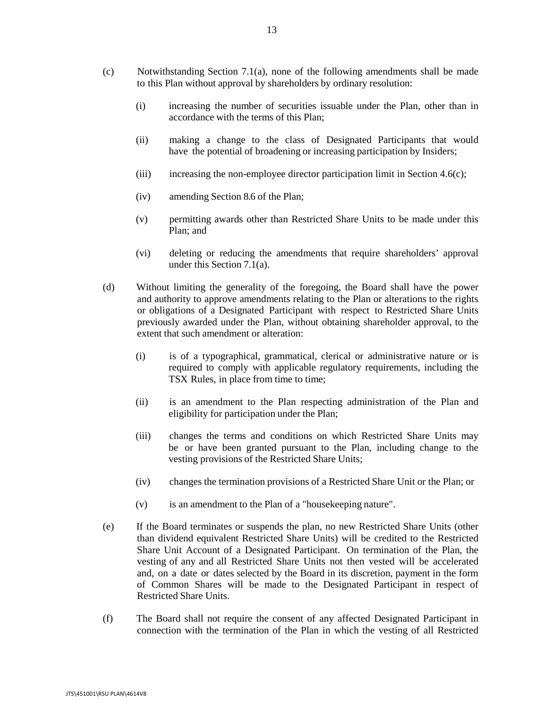- (c) Notwithstanding Section [7.1\(a\),](#page-63-0) none of the following amendments shall be made to this Plan without approval by shareholders by ordinary resolution:
	- (i) increasing the number of securities issuable under the Plan, other than in accordance with the terms of this Plan;
	- (ii) making a change to the class of Designated Participants that would have the potential of broadening or increasing participation by Insiders;
	- (iii) increasing the non-employee director participation limit in Section 4.6(c);
	- (iv) amending Section [8.6](#page-66-0) of the Plan;
	- (v) permitting awards other than Restricted Share Units to be made under this Plan; and
	- (vi) deleting or reducing the amendments that require shareholders' approval under this Section [7.1\(a\).](#page-63-0)
- (d) Without limiting the generality of the foregoing, the Board shall have the power and authority to approve amendments relating to the Plan or alterations to the rights or obligations of a Designated Participant with respect to Restricted Share Units previously awarded under the Plan, without obtaining shareholder approval, to the extent that such amendment or alteration:
	- (i) is of a typographical, grammatical, clerical or administrative nature or is required to comply with applicable regulatory requirements, including the TSX Rules, in place from time to time;
	- (ii) is an amendment to the Plan respecting administration of the Plan and eligibility for participation under the Plan;
	- (iii) changes the terms and conditions on which Restricted Share Units may be or have been granted pursuant to the Plan, including change to the vesting provisions of the Restricted Share Units;
	- (iv) changes the termination provisions of a Restricted Share Unit or the Plan; or
	- (v) is an amendment to the Plan of a "housekeeping nature".
- (e) If the Board terminates or suspends the plan, no new Restricted Share Units (other than dividend equivalent Restricted Share Units) will be credited to the Restricted Share Unit Account of a Designated Participant. On termination of the Plan, the vesting of any and all Restricted Share Units not then vested will be accelerated and, on a date or dates selected by the Board in its discretion, payment in the form of Common Shares will be made to the Designated Participant in respect of Restricted Share Units.
- (f) The Board shall not require the consent of any affected Designated Participant in connection with the termination of the Plan in which the vesting of all Restricted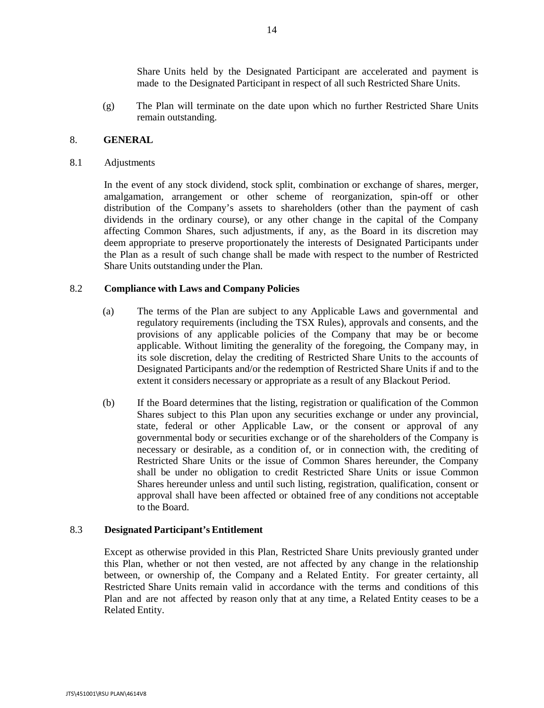Share Units held by the Designated Participant are accelerated and payment is made to the Designated Participant in respect of all such Restricted Share Units.

(g) The Plan will terminate on the date upon which no further Restricted Share Units remain outstanding.

## 8. **GENERAL**

8.1 Adjustments

In the event of any stock dividend, stock split, combination or exchange of shares, merger, amalgamation, arrangement or other scheme of reorganization, spin-off or other distribution of the Company's assets to shareholders (other than the payment of cash dividends in the ordinary course), or any other change in the capital of the Company affecting Common Shares, such adjustments, if any, as the Board in its discretion may deem appropriate to preserve proportionately the interests of Designated Participants under the Plan as a result of such change shall be made with respect to the number of Restricted Share Units outstanding under the Plan.

#### 8.2 **Compliance with Laws and Company Policies**

- (a) The terms of the Plan are subject to any Applicable Laws and governmental and regulatory requirements (including the TSX Rules), approvals and consents, and the provisions of any applicable policies of the Company that may be or become applicable. Without limiting the generality of the foregoing, the Company may, in its sole discretion, delay the crediting of Restricted Share Units to the accounts of Designated Participants and/or the redemption of Restricted Share Units if and to the extent it considers necessary or appropriate as a result of any Blackout Period.
- (b) If the Board determines that the listing, registration or qualification of the Common Shares subject to this Plan upon any securities exchange or under any provincial, state, federal or other Applicable Law, or the consent or approval of any governmental body or securities exchange or of the shareholders of the Company is necessary or desirable, as a condition of, or in connection with, the crediting of Restricted Share Units or the issue of Common Shares hereunder, the Company shall be under no obligation to credit Restricted Share Units or issue Common Shares hereunder unless and until such listing, registration, qualification, consent or approval shall have been affected or obtained free of any conditions not acceptable to the Board.

#### 8.3 **Designated Participant's Entitlement**

Except as otherwise provided in this Plan, Restricted Share Units previously granted under this Plan, whether or not then vested, are not affected by any change in the relationship between, or ownership of, the Company and a Related Entity. For greater certainty, all Restricted Share Units remain valid in accordance with the terms and conditions of this Plan and are not affected by reason only that at any time, a Related Entity ceases to be a Related Entity.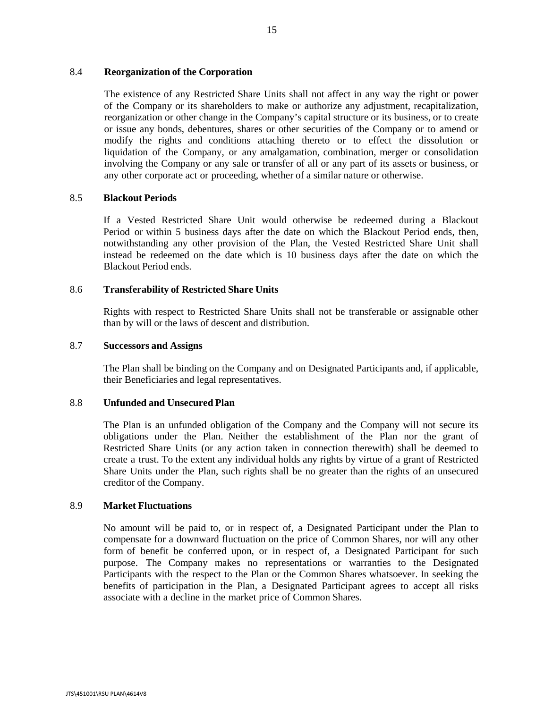### 8.4 **Reorganization of the Corporation**

The existence of any Restricted Share Units shall not affect in any way the right or power of the Company or its shareholders to make or authorize any adjustment, recapitalization, reorganization or other change in the Company's capital structure or its business, or to create or issue any bonds, debentures, shares or other securities of the Company or to amend or modify the rights and conditions attaching thereto or to effect the dissolution or liquidation of the Company, or any amalgamation, combination, merger or consolidation involving the Company or any sale or transfer of all or any part of its assets or business, or any other corporate act or proceeding, whether of a similar nature or otherwise.

### 8.5 **Blackout Periods**

If a Vested Restricted Share Unit would otherwise be redeemed during a Blackout Period or within 5 business days after the date on which the Blackout Period ends, then, notwithstanding any other provision of the Plan, the Vested Restricted Share Unit shall instead be redeemed on the date which is 10 business days after the date on which the Blackout Period ends.

### <span id="page-66-0"></span>8.6 **Transferability of Restricted Share Units**

Rights with respect to Restricted Share Units shall not be transferable or assignable other than by will or the laws of descent and distribution.

### 8.7 **Successors and Assigns**

The Plan shall be binding on the Company and on Designated Participants and, if applicable, their Beneficiaries and legal representatives.

## 8.8 **Unfunded and Unsecured Plan**

The Plan is an unfunded obligation of the Company and the Company will not secure its obligations under the Plan. Neither the establishment of the Plan nor the grant of Restricted Share Units (or any action taken in connection therewith) shall be deemed to create a trust. To the extent any individual holds any rights by virtue of a grant of Restricted Share Units under the Plan, such rights shall be no greater than the rights of an unsecured creditor of the Company.

#### 8.9 **Market Fluctuations**

No amount will be paid to, or in respect of, a Designated Participant under the Plan to compensate for a downward fluctuation on the price of Common Shares, nor will any other form of benefit be conferred upon, or in respect of, a Designated Participant for such purpose. The Company makes no representations or warranties to the Designated Participants with the respect to the Plan or the Common Shares whatsoever. In seeking the benefits of participation in the Plan, a Designated Participant agrees to accept all risks associate with a decline in the market price of Common Shares.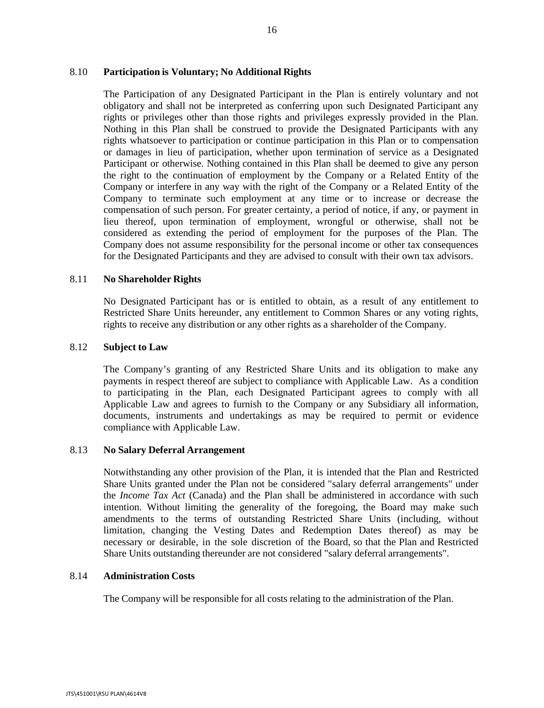## 8.10 **Participation is Voluntary; No Additional Rights**

The Participation of any Designated Participant in the Plan is entirely voluntary and not obligatory and shall not be interpreted as conferring upon such Designated Participant any rights or privileges other than those rights and privileges expressly provided in the Plan. Nothing in this Plan shall be construed to provide the Designated Participants with any rights whatsoever to participation or continue participation in this Plan or to compensation or damages in lieu of participation, whether upon termination of service as a Designated Participant or otherwise. Nothing contained in this Plan shall be deemed to give any person the right to the continuation of employment by the Company or a Related Entity of the Company or interfere in any way with the right of the Company or a Related Entity of the Company to terminate such employment at any time or to increase or decrease the compensation of such person. For greater certainty, a period of notice, if any, or payment in lieu thereof, upon termination of employment, wrongful or otherwise, shall not be considered as extending the period of employment for the purposes of the Plan. The Company does not assume responsibility for the personal income or other tax consequences for the Designated Participants and they are advised to consult with their own tax advisors.

### 8.11 **No Shareholder Rights**

No Designated Participant has or is entitled to obtain, as a result of any entitlement to Restricted Share Units hereunder, any entitlement to Common Shares or any voting rights, rights to receive any distribution or any other rights as a shareholder of the Company.

#### 8.12 **Subject to Law**

The Company's granting of any Restricted Share Units and its obligation to make any payments in respect thereof are subject to compliance with Applicable Law. As a condition to participating in the Plan, each Designated Participant agrees to comply with all Applicable Law and agrees to furnish to the Company or any Subsidiary all information, documents, instruments and undertakings as may be required to permit or evidence compliance with Applicable Law.

#### 8.13 **No Salary Deferral Arrangement**

Notwithstanding any other provision of the Plan, it is intended that the Plan and Restricted Share Units granted under the Plan not be considered "salary deferral arrangements" under the *Income Tax Act* (Canada) and the Plan shall be administered in accordance with such intention. Without limiting the generality of the foregoing, the Board may make such amendments to the terms of outstanding Restricted Share Units (including, without limitation, changing the Vesting Dates and Redemption Dates thereof) as may be necessary or desirable, in the sole discretion of the Board, so that the Plan and Restricted Share Units outstanding thereunder are not considered "salary deferral arrangements".

#### 8.14 **Administration Costs**

The Company will be responsible for all costs relating to the administration of the Plan.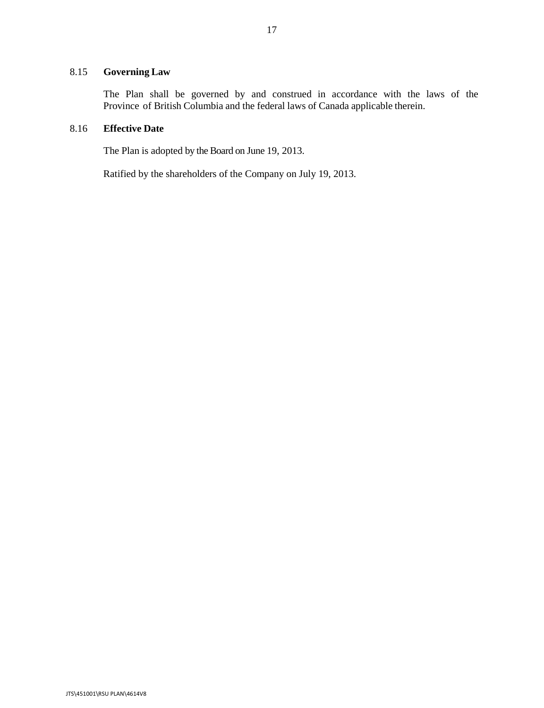## 8.15 **Governing Law**

The Plan shall be governed by and construed in accordance with the laws of the Province of British Columbia and the federal laws of Canada applicable therein.

## 8.16 **Effective Date**

The Plan is adopted by the Board on June 19, 2013.

Ratified by the shareholders of the Company on July 19, 2013.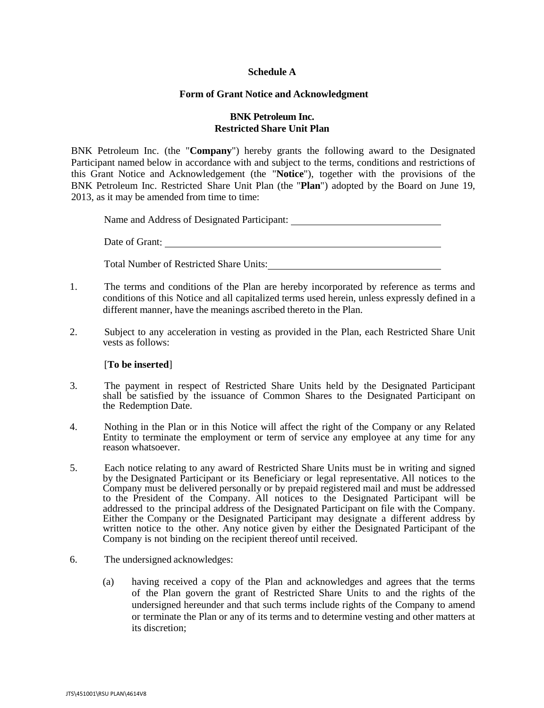## **Schedule A**

## **Form of Grant Notice and Acknowledgment**

## **BNK Petroleum Inc. Restricted Share Unit Plan**

BNK Petroleum Inc. (the "**Company**") hereby grants the following award to the Designated Participant named below in accordance with and subject to the terms, conditions and restrictions of this Grant Notice and Acknowledgement (the "**Notice**"), together with the provisions of the BNK Petroleum Inc. Restricted Share Unit Plan (the "**Plan**") adopted by the Board on June 19, 2013, as it may be amended from time to time:

Name and Address of Designated Participant:

Date of Grant:

Total Number of Restricted Share Units:

- 1. The terms and conditions of the Plan are hereby incorporated by reference as terms and conditions of this Notice and all capitalized terms used herein, unless expressly defined in a different manner, have the meanings ascribed thereto in the Plan.
- 2. Subject to any acceleration in vesting as provided in the Plan, each Restricted Share Unit vests as follows:

#### [**To be inserted**]

- 3. The payment in respect of Restricted Share Units held by the Designated Participant shall be satisfied by the issuance of Common Shares to the Designated Participant on the Redemption Date.
- 4. Nothing in the Plan or in this Notice will affect the right of the Company or any Related Entity to terminate the employment or term of service any employee at any time for any reason whatsoever.
- 5. Each notice relating to any award of Restricted Share Units must be in writing and signed by the Designated Participant or its Beneficiary or legal representative. All notices to the Company must be delivered personally or by prepaid registered mail and must be addressed to the President of the Company. All notices to the Designated Participant will be addressed to the principal address of the Designated Participant on file with the Company. Either the Company or the Designated Participant may designate a different address by written notice to the other. Any notice given by either the Designated Participant of the Company is not binding on the recipient thereof until received.
- 6. The undersigned acknowledges:
	- (a) having received a copy of the Plan and acknowledges and agrees that the terms of the Plan govern the grant of Restricted Share Units to and the rights of the undersigned hereunder and that such terms include rights of the Company to amend or terminate the Plan or any of its terms and to determine vesting and other matters at its discretion;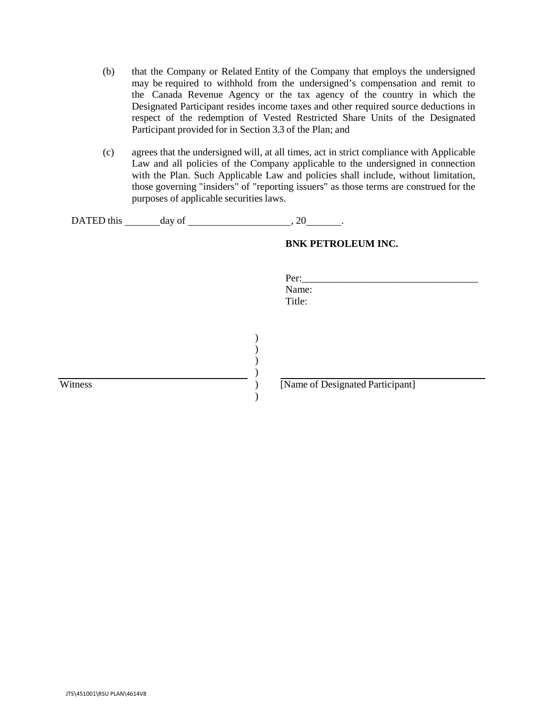- (b) that the Company or Related Entity of the Company that employs the undersigned may be required to withhold from the undersigned's compensation and remit to the Canada Revenue Agency or the tax agency of the country in which the Designated Participant resides income taxes and other required source deductions in respect of the redemption of Vested Restricted Share Units of the Designated Participant provided for in Section [3.3](#page-57-0) of the Plan; and
- (c) agrees that the undersigned will, at all times, act in strict compliance with Applicable Law and all policies of the Company applicable to the undersigned in connection with the Plan. Such Applicable Law and policies shall include, without limitation, those governing "insiders" of "reporting issuers" as those terms are construed for the purposes of applicable securities laws.

Per: Name: Title:

| DATED this | dav of |  |
|------------|--------|--|
|------------|--------|--|

#### **BNK PETROLEUM INC.**

| Witness |  |
|---------|--|
|         |  |

[Name of Designated Participant]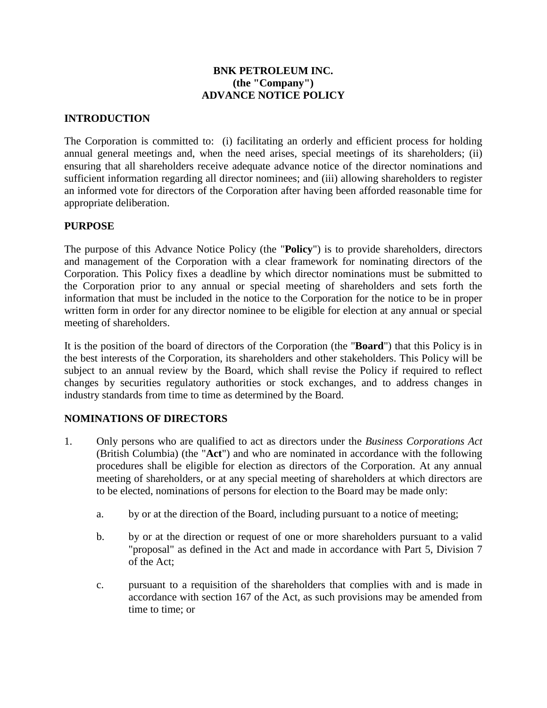# **BNK PETROLEUM INC. (the "Company") ADVANCE NOTICE POLICY**

# **INTRODUCTION**

The Corporation is committed to: (i) facilitating an orderly and efficient process for holding annual general meetings and, when the need arises, special meetings of its shareholders; (ii) ensuring that all shareholders receive adequate advance notice of the director nominations and sufficient information regarding all director nominees; and (iii) allowing shareholders to register an informed vote for directors of the Corporation after having been afforded reasonable time for appropriate deliberation.

# **PURPOSE**

The purpose of this Advance Notice Policy (the "**Policy**") is to provide shareholders, directors and management of the Corporation with a clear framework for nominating directors of the Corporation. This Policy fixes a deadline by which director nominations must be submitted to the Corporation prior to any annual or special meeting of shareholders and sets forth the information that must be included in the notice to the Corporation for the notice to be in proper written form in order for any director nominee to be eligible for election at any annual or special meeting of shareholders.

It is the position of the board of directors of the Corporation (the "**Board**") that this Policy is in the best interests of the Corporation, its shareholders and other stakeholders. This Policy will be subject to an annual review by the Board, which shall revise the Policy if required to reflect changes by securities regulatory authorities or stock exchanges, and to address changes in industry standards from time to time as determined by the Board.

# **NOMINATIONS OF DIRECTORS**

- 1. Only persons who are qualified to act as directors under the *Business Corporations Act* (British Columbia) (the "**Act**") and who are nominated in accordance with the following procedures shall be eligible for election as directors of the Corporation. At any annual meeting of shareholders, or at any special meeting of shareholders at which directors are to be elected, nominations of persons for election to the Board may be made only:
	- a. by or at the direction of the Board, including pursuant to a notice of meeting;
	- b. by or at the direction or request of one or more shareholders pursuant to a valid "proposal" as defined in the Act and made in accordance with Part 5, Division 7 of the Act;
	- c. pursuant to a requisition of the shareholders that complies with and is made in accordance with section 167 of the Act, as such provisions may be amended from time to time; or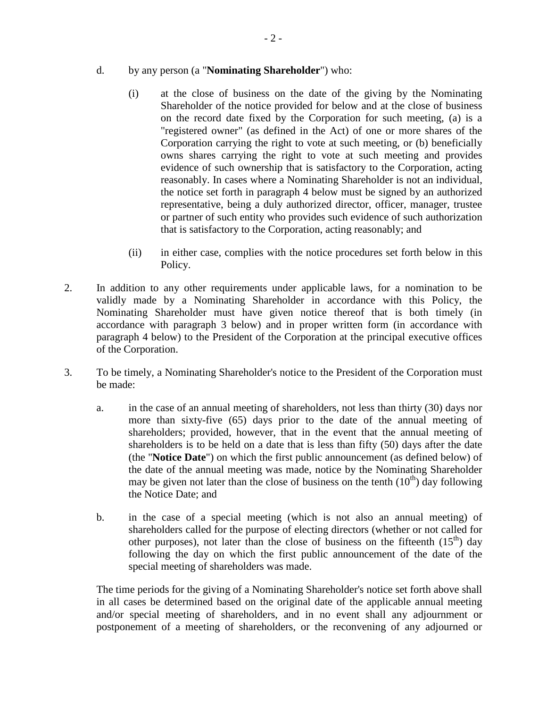- d. by any person (a "**Nominating Shareholder**") who:
	- (i) at the close of business on the date of the giving by the Nominating Shareholder of the notice provided for below and at the close of business on the record date fixed by the Corporation for such meeting, (a) is a "registered owner" (as defined in the Act) of one or more shares of the Corporation carrying the right to vote at such meeting, or (b) beneficially owns shares carrying the right to vote at such meeting and provides evidence of such ownership that is satisfactory to the Corporation, acting reasonably. In cases where a Nominating Shareholder is not an individual, the notice set forth in paragraph 4 below must be signed by an authorized representative, being a duly authorized director, officer, manager, trustee or partner of such entity who provides such evidence of such authorization that is satisfactory to the Corporation, acting reasonably; and
	- (ii) in either case, complies with the notice procedures set forth below in this Policy.
- 2. In addition to any other requirements under applicable laws, for a nomination to be validly made by a Nominating Shareholder in accordance with this Policy, the Nominating Shareholder must have given notice thereof that is both timely (in accordance with paragraph 3 below) and in proper written form (in accordance with paragraph 4 below) to the President of the Corporation at the principal executive offices of the Corporation.
- 3. To be timely, a Nominating Shareholder's notice to the President of the Corporation must be made:
	- a. in the case of an annual meeting of shareholders, not less than thirty (30) days nor more than sixty-five (65) days prior to the date of the annual meeting of shareholders; provided, however, that in the event that the annual meeting of shareholders is to be held on a date that is less than fifty (50) days after the date (the "**Notice Date**") on which the first public announcement (as defined below) of the date of the annual meeting was made, notice by the Nominating Shareholder may be given not later than the close of business on the tenth  $(10<sup>th</sup>)$  day following the Notice Date; and
	- b. in the case of a special meeting (which is not also an annual meeting) of shareholders called for the purpose of electing directors (whether or not called for other purposes), not later than the close of business on the fifteenth  $(15<sup>th</sup>)$  day following the day on which the first public announcement of the date of the special meeting of shareholders was made.

The time periods for the giving of a Nominating Shareholder's notice set forth above shall in all cases be determined based on the original date of the applicable annual meeting and/or special meeting of shareholders, and in no event shall any adjournment or postponement of a meeting of shareholders, or the reconvening of any adjourned or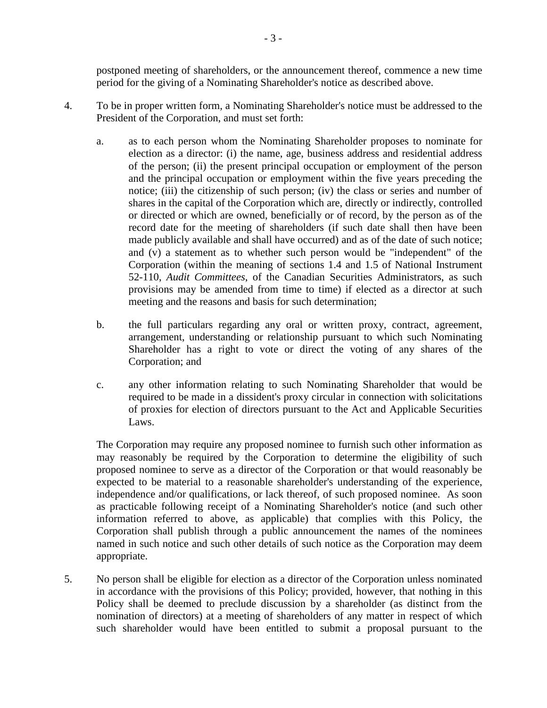postponed meeting of shareholders, or the announcement thereof, commence a new time period for the giving of a Nominating Shareholder's notice as described above.

- 4. To be in proper written form, a Nominating Shareholder's notice must be addressed to the President of the Corporation, and must set forth:
	- a. as to each person whom the Nominating Shareholder proposes to nominate for election as a director: (i) the name, age, business address and residential address of the person; (ii) the present principal occupation or employment of the person and the principal occupation or employment within the five years preceding the notice; (iii) the citizenship of such person; (iv) the class or series and number of shares in the capital of the Corporation which are, directly or indirectly, controlled or directed or which are owned, beneficially or of record, by the person as of the record date for the meeting of shareholders (if such date shall then have been made publicly available and shall have occurred) and as of the date of such notice; and (v) a statement as to whether such person would be "independent" of the Corporation (within the meaning of sections 1.4 and 1.5 of National Instrument 52-110, *Audit Committees*, of the Canadian Securities Administrators, as such provisions may be amended from time to time) if elected as a director at such meeting and the reasons and basis for such determination;
	- b. the full particulars regarding any oral or written proxy, contract, agreement, arrangement, understanding or relationship pursuant to which such Nominating Shareholder has a right to vote or direct the voting of any shares of the Corporation; and
	- c. any other information relating to such Nominating Shareholder that would be required to be made in a dissident's proxy circular in connection with solicitations of proxies for election of directors pursuant to the Act and Applicable Securities Laws.

The Corporation may require any proposed nominee to furnish such other information as may reasonably be required by the Corporation to determine the eligibility of such proposed nominee to serve as a director of the Corporation or that would reasonably be expected to be material to a reasonable shareholder's understanding of the experience, independence and/or qualifications, or lack thereof, of such proposed nominee. As soon as practicable following receipt of a Nominating Shareholder's notice (and such other information referred to above, as applicable) that complies with this Policy, the Corporation shall publish through a public announcement the names of the nominees named in such notice and such other details of such notice as the Corporation may deem appropriate.

5. No person shall be eligible for election as a director of the Corporation unless nominated in accordance with the provisions of this Policy; provided, however, that nothing in this Policy shall be deemed to preclude discussion by a shareholder (as distinct from the nomination of directors) at a meeting of shareholders of any matter in respect of which such shareholder would have been entitled to submit a proposal pursuant to the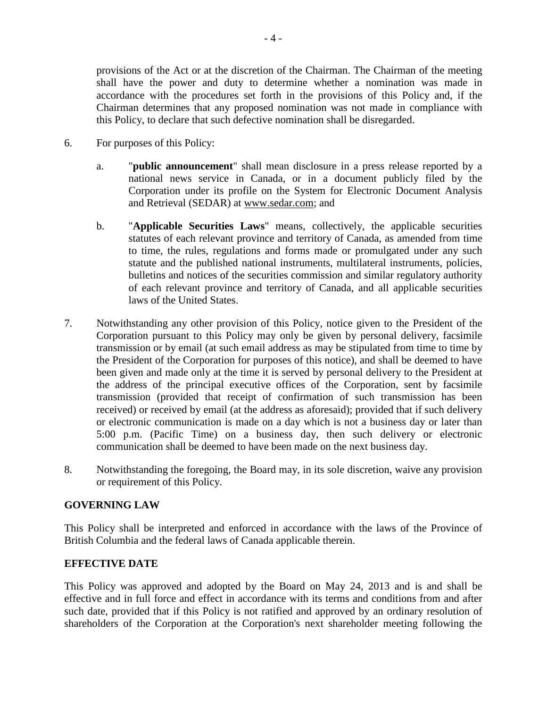provisions of the Act or at the discretion of the Chairman. The Chairman of the meeting shall have the power and duty to determine whether a nomination was made in accordance with the procedures set forth in the provisions of this Policy and, if the Chairman determines that any proposed nomination was not made in compliance with this Policy, to declare that such defective nomination shall be disregarded.

- 6. For purposes of this Policy:
	- a. "**public announcement**" shall mean disclosure in a press release reported by a national news service in Canada, or in a document publicly filed by the Corporation under its profile on the System for Electronic Document Analysis and Retrieval (SEDAR) at www.sedar.com; and
	- b. "**Applicable Securities Laws**" means, collectively, the applicable securities statutes of each relevant province and territory of Canada, as amended from time to time, the rules, regulations and forms made or promulgated under any such statute and the published national instruments, multilateral instruments, policies, bulletins and notices of the securities commission and similar regulatory authority of each relevant province and territory of Canada, and all applicable securities laws of the United States.
- 7. Notwithstanding any other provision of this Policy, notice given to the President of the Corporation pursuant to this Policy may only be given by personal delivery, facsimile transmission or by email (at such email address as may be stipulated from time to time by the President of the Corporation for purposes of this notice), and shall be deemed to have been given and made only at the time it is served by personal delivery to the President at the address of the principal executive offices of the Corporation, sent by facsimile transmission (provided that receipt of confirmation of such transmission has been received) or received by email (at the address as aforesaid); provided that if such delivery or electronic communication is made on a day which is not a business day or later than 5:00 p.m. (Pacific Time) on a business day, then such delivery or electronic communication shall be deemed to have been made on the next business day.
- 8. Notwithstanding the foregoing, the Board may, in its sole discretion, waive any provision or requirement of this Policy.

## **GOVERNING LAW**

This Policy shall be interpreted and enforced in accordance with the laws of the Province of British Columbia and the federal laws of Canada applicable therein.

## **EFFECTIVE DATE**

This Policy was approved and adopted by the Board on May 24, 2013 and is and shall be effective and in full force and effect in accordance with its terms and conditions from and after such date, provided that if this Policy is not ratified and approved by an ordinary resolution of shareholders of the Corporation at the Corporation's next shareholder meeting following the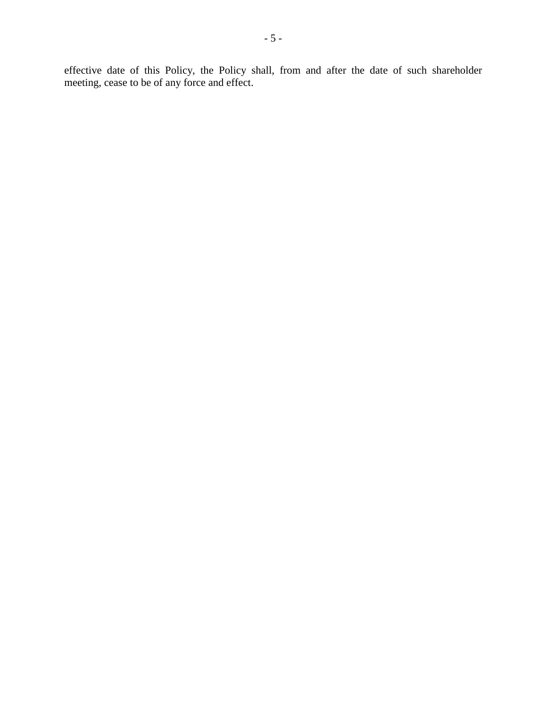effective date of this Policy, the Policy shall, from and after the date of such shareholder meeting, cease to be of any force and effect.